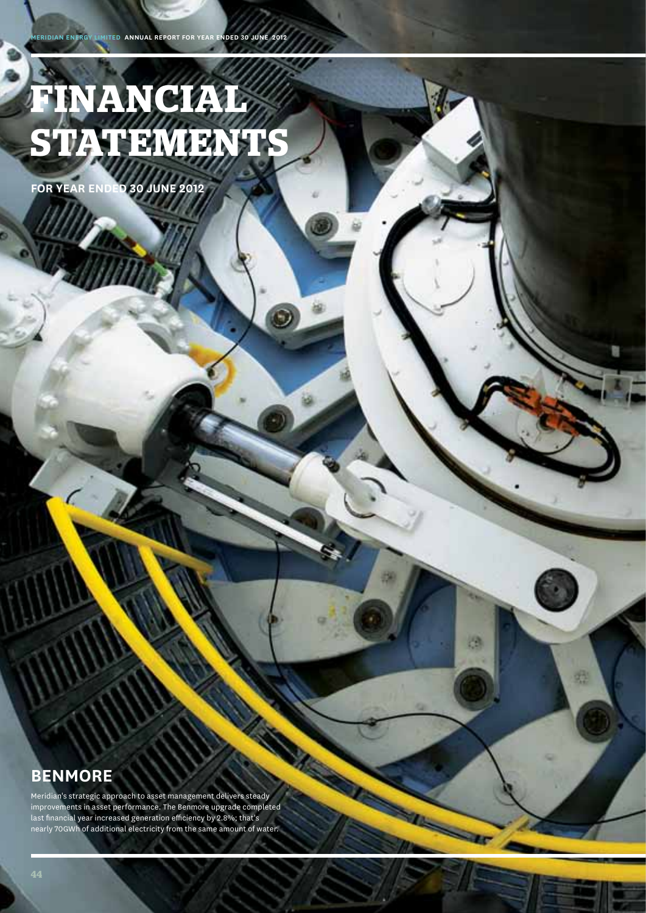**MERIDIAN ENERGY LIMITED ANNUAL REPORT FOR YEAR ENDED 30 JUNE 2014** 

# **FINANCIAL STATEMENTS**

**FOR YEAR ENDED 30 JUNE 2012**

## **BENMORE**

Meridian's strategic approach to asset management delivers steady improvements in asset performance. The Benmore upgrade completed last financial year increased generation efficiency by 2.8%; that's nearly 70GWh of additional electricity from the same amount of water. œ

處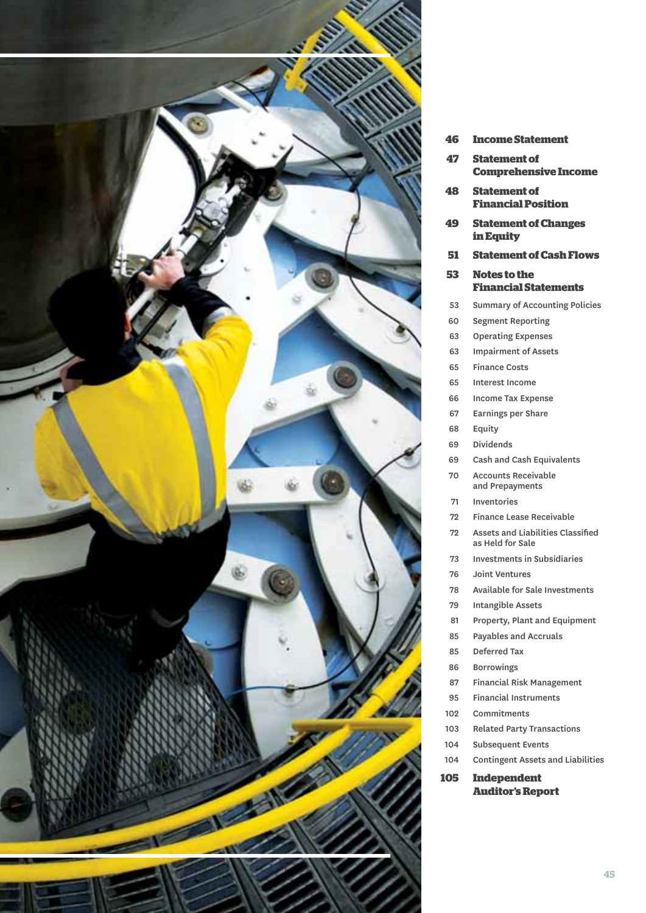

| 46  | <b>Income Statement</b>                                      |
|-----|--------------------------------------------------------------|
| 47  | Statement of                                                 |
|     | <b>Comprehensive Income</b>                                  |
| 48  | <b>Statement of</b><br><b>Financial Position</b>             |
| 49  | <b>Statement of Changes</b><br>in Equity                     |
| 51  | <b>Statement of Cash Flows</b>                               |
| 53  | <b>Notes to the</b><br><b>Financial Statements</b>           |
| 53  | <b>Summary of Accounting Policies</b>                        |
| 60  | <b>Segment Reporting</b>                                     |
| 63  | <b>Operating Expenses</b>                                    |
| 63  | <b>Impairment of Assets</b>                                  |
| 65  | <b>Finance Costs</b>                                         |
| 65  | <b>Interest Income</b>                                       |
| 66  | <b>Income Tax Expense</b>                                    |
| 67  | Earnings per Share                                           |
| 68  | Equity                                                       |
| 69  | <b>Dividends</b>                                             |
| 69  | <b>Cash and Cash Equivalents</b>                             |
| 70  | <b>Accounts Receivable</b><br>and Prepayments                |
| 71  | Inventories                                                  |
| 72  | Finance Lease Receivable                                     |
| 72  | <b>Assets and Liabilities Classified</b><br>as Held for Sale |
| 73  | <b>Investments in Subsidiaries</b>                           |
| 76  | <b>Joint Ventures</b>                                        |
| 78  | Available for Sale Investments                               |
| 79  | <b>Intangible Assets</b>                                     |
| 81  | Property, Plant and Equipment                                |
| 85  | <b>Payables and Accruals</b>                                 |
| 85  | Deferred Tax                                                 |
| 86  | Borrowings                                                   |
| 87  | <b>Financial Risk Management</b>                             |
| 95  | <b>Financial Instruments</b>                                 |
| 102 | Commitments                                                  |
| 103 | <b>Related Party Transactions</b>                            |
| 104 | <b>Subsequent Events</b>                                     |
| 104 | <b>Contingent Assets and Liabilities</b>                     |
| 105 | <b>Independent</b><br><b>Auditor's Report</b>                |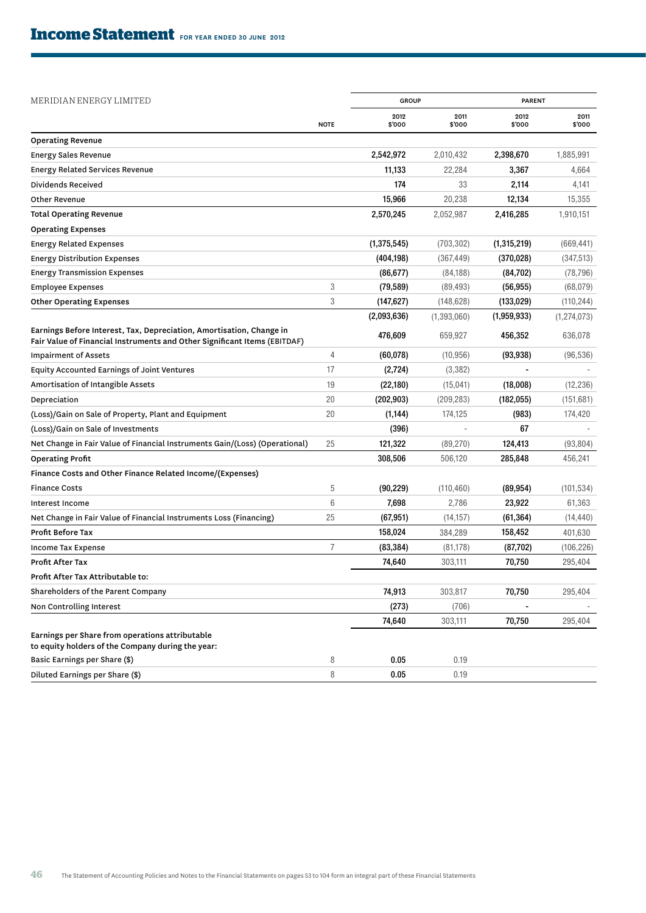| MERIDIAN ENERGY LIMITED                                                                                                                           |             | <b>GROUP</b>   |                | <b>PARENT</b>  |                |  |
|---------------------------------------------------------------------------------------------------------------------------------------------------|-------------|----------------|----------------|----------------|----------------|--|
|                                                                                                                                                   | <b>NOTE</b> | 2012<br>\$'000 | 2011<br>\$'000 | 2012<br>\$'000 | 2011<br>\$'000 |  |
| <b>Operating Revenue</b>                                                                                                                          |             |                |                |                |                |  |
| <b>Energy Sales Revenue</b>                                                                                                                       |             | 2,542,972      | 2,010,432      | 2,398,670      | 1,885,991      |  |
| <b>Energy Related Services Revenue</b>                                                                                                            |             | 11,133         | 22,284         | 3,367          | 4,664          |  |
| Dividends Received                                                                                                                                |             | 174            | 33             | 2,114          | 4,141          |  |
| Other Revenue                                                                                                                                     |             | 15,966         | 20,238         | 12,134         | 15,355         |  |
| <b>Total Operating Revenue</b>                                                                                                                    |             | 2,570,245      | 2,052,987      | 2,416,285      | 1,910,151      |  |
| <b>Operating Expenses</b>                                                                                                                         |             |                |                |                |                |  |
| <b>Energy Related Expenses</b>                                                                                                                    |             | (1, 375, 545)  | (703, 302)     | (1,315,219)    | (669, 441)     |  |
| <b>Energy Distribution Expenses</b>                                                                                                               |             | (404, 198)     | (367, 449)     | (370, 028)     | (347, 513)     |  |
| <b>Energy Transmission Expenses</b>                                                                                                               |             | (86, 677)      | (84, 188)      | (84, 702)      | (78, 796)      |  |
| <b>Employee Expenses</b>                                                                                                                          | 3           | (79, 589)      | (89, 493)      | (56, 955)      | (68,079)       |  |
| <b>Other Operating Expenses</b>                                                                                                                   | 3           | (147, 627)     | (148, 628)     | (133, 029)     | (110, 244)     |  |
|                                                                                                                                                   |             | (2,093,636)    | (1,393,060)    | (1,959,933)    | (1, 274, 073)  |  |
| Earnings Before Interest, Tax, Depreciation, Amortisation, Change in<br>Fair Value of Financial Instruments and Other Significant Items (EBITDAF) |             | 476,609        | 659,927        | 456,352        | 636,078        |  |
| <b>Impairment of Assets</b>                                                                                                                       | 4           | (60,078)       | (10, 956)      | (93, 938)      | (96, 536)      |  |
| <b>Equity Accounted Earnings of Joint Ventures</b>                                                                                                | 17          | (2,724)        | (3, 382)       |                |                |  |
| Amortisation of Intangible Assets                                                                                                                 | 19          | (22, 180)      | (15, 041)      | (18,008)       | (12, 236)      |  |
| Depreciation                                                                                                                                      | 20          | (202, 903)     | (209, 283)     | (182, 055)     | (151, 681)     |  |
| (Loss)/Gain on Sale of Property, Plant and Equipment                                                                                              | 20          | (1, 144)       | 174,125        | (983)          | 174,420        |  |
| (Loss)/Gain on Sale of Investments                                                                                                                |             | (396)          |                | 67             |                |  |
| Net Change in Fair Value of Financial Instruments Gain/(Loss) (Operational)                                                                       | 25          | 121,322        | (89, 270)      | 124,413        | (93, 804)      |  |
| <b>Operating Profit</b>                                                                                                                           |             | 308,506        | 506,120        | 285,848        | 456,241        |  |
| Finance Costs and Other Finance Related Income/(Expenses)                                                                                         |             |                |                |                |                |  |
| <b>Finance Costs</b>                                                                                                                              | 5           | (90, 229)      | (110, 460)     | (89, 954)      | (101, 534)     |  |
| Interest Income                                                                                                                                   | 6           | 7,698          | 2,786          | 23,922         | 61,363         |  |
| Net Change in Fair Value of Financial Instruments Loss (Financing)                                                                                | 25          | (67, 951)      | (14, 157)      | (61, 364)      | (14, 440)      |  |
| Profit Before Tax                                                                                                                                 |             | 158,024        | 384,289        | 158,452        | 401,630        |  |
| Income Tax Expense                                                                                                                                | 7           | (83, 384)      | (81, 178)      | (87, 702)      | (106, 226)     |  |
| <b>Profit After Tax</b>                                                                                                                           |             | 74,640         | 303,111        | 70,750         | 295,404        |  |
| Profit After Tax Attributable to:                                                                                                                 |             |                |                |                |                |  |
| Shareholders of the Parent Company                                                                                                                |             | 74,913         | 303,817        | 70,750         | 295,404        |  |
| Non Controlling Interest                                                                                                                          |             | (273)          | (706)          |                |                |  |
|                                                                                                                                                   |             | 74,640         | 303,111        | 70,750         | 295,404        |  |
| Earnings per Share from operations attributable                                                                                                   |             |                |                |                |                |  |
| to equity holders of the Company during the year:                                                                                                 |             |                |                |                |                |  |
| Basic Earnings per Share (\$)                                                                                                                     | 8           | 0.05           | 0.19           |                |                |  |
| Diluted Earnings per Share (\$)                                                                                                                   | 8           | 0.05           | 0.19           |                |                |  |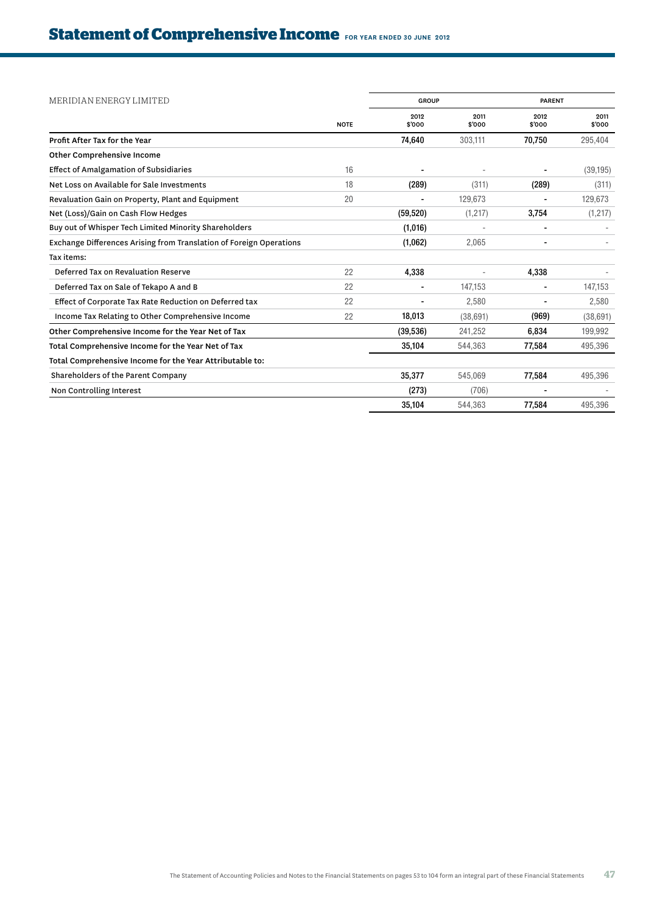## **Statement of Comprehensive Income <b>FOR YEAR ENDED 30 JUNE 2012**

| MERIDIAN ENERGY LIMITED                                             |             | <b>GROUP</b>   |                | <b>PARENT</b>  |                |
|---------------------------------------------------------------------|-------------|----------------|----------------|----------------|----------------|
|                                                                     | <b>NOTE</b> | 2012<br>\$'000 | 2011<br>\$'000 | 2012<br>\$'000 | 2011<br>\$'000 |
| Profit After Tax for the Year                                       |             | 74,640         | 303.111        | 70.750         | 295,404        |
| <b>Other Comprehensive Income</b>                                   |             |                |                |                |                |
| Effect of Amalgamation of Subsidiaries                              | 16          |                |                |                | (39, 195)      |
| Net Loss on Available for Sale Investments                          | 18          | (289)          | (311)          | (289)          | (311)          |
| Revaluation Gain on Property, Plant and Equipment                   | 20          |                | 129,673        |                | 129,673        |
| Net (Loss)/Gain on Cash Flow Hedges                                 |             | (59, 520)      | (1, 217)       | 3,754          | (1, 217)       |
| Buy out of Whisper Tech Limited Minority Shareholders               |             | (1,016)        |                | ٠              |                |
| Exchange Differences Arising from Translation of Foreign Operations |             | (1,062)        | 2,065          |                |                |
| Tax items:                                                          |             |                |                |                |                |
| Deferred Tax on Revaluation Reserve                                 | 22          | 4,338          |                | 4,338          |                |
| Deferred Tax on Sale of Tekapo A and B                              | 22          |                | 147,153        |                | 147,153        |
| Effect of Corporate Tax Rate Reduction on Deferred tax              | 22          | ٠              | 2,580          |                | 2,580          |
| Income Tax Relating to Other Comprehensive Income                   | 22          | 18.013         | (38,691)       | (969)          | (38, 691)      |
| Other Comprehensive Income for the Year Net of Tax                  |             | (39, 536)      | 241,252        | 6,834          | 199,992        |
| Total Comprehensive Income for the Year Net of Tax                  |             | 35.104         | 544,363        | 77.584         | 495,396        |
| Total Comprehensive Income for the Year Attributable to:            |             |                |                |                |                |
| Shareholders of the Parent Company                                  |             | 35.377         | 545.069        | 77.584         | 495,396        |
| Non Controlling Interest                                            |             | (273)          | (706)          |                |                |
|                                                                     |             | 35,104         | 544,363        | 77,584         | 495,396        |
|                                                                     |             |                |                |                |                |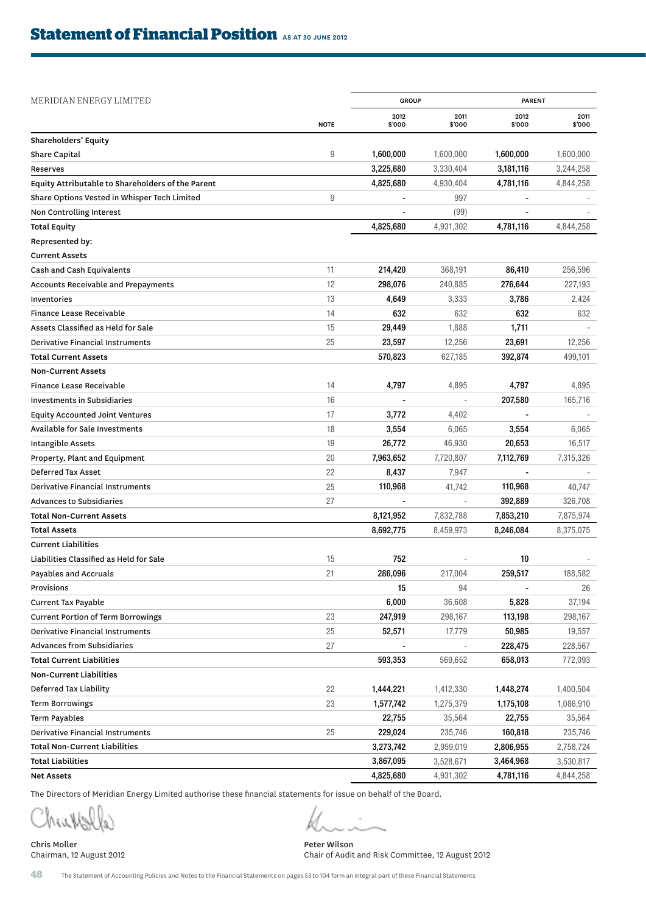## **Statement of Financial Position AS AT 30 JUNE 2012**

|                                                   |             |                      |           | <b>PARENT</b> |           |  |
|---------------------------------------------------|-------------|----------------------|-----------|---------------|-----------|--|
| MERIDIAN ENERGY LIMITED                           |             | <b>GROUP</b><br>2012 | 2011      | 2012          | 2011      |  |
|                                                   | <b>NOTE</b> | \$'000               | \$'000    | \$'000        | \$'000    |  |
| Shareholders' Equity                              |             |                      |           |               |           |  |
| Share Capital                                     | 9           | 1,600,000            | 1,600,000 | 1,600,000     | 1,600,000 |  |
| Reserves                                          |             | 3,225,680            | 3,330,404 | 3,181,116     | 3,244,258 |  |
| Equity Attributable to Shareholders of the Parent |             | 4,825,680            | 4,930,404 | 4,781,116     | 4,844,258 |  |
| Share Options Vested in Whisper Tech Limited      | 9           |                      | 997       |               |           |  |
| Non Controlling Interest                          |             |                      | (99)      |               |           |  |
| <b>Total Equity</b>                               |             | 4,825,680            | 4,931,302 | 4,781,116     | 4,844,258 |  |
| Represented by:                                   |             |                      |           |               |           |  |
| <b>Current Assets</b>                             |             |                      |           |               |           |  |
| Cash and Cash Equivalents                         | 11          | 214,420              | 368,191   | 86,410        | 256,596   |  |
| <b>Accounts Receivable and Prepayments</b>        | 12          | 298,076              | 240,885   | 276,644       | 227,193   |  |
| Inventories                                       | 13          | 4,649                | 3,333     | 3,786         | 2,424     |  |
| Finance Lease Receivable                          | 14          | 632                  | 632       | 632           | 632       |  |
| Assets Classified as Held for Sale                | 15          | 29,449               | 1,888     | 1,711         |           |  |
| Derivative Financial Instruments                  | 25          | 23,597               | 12,256    | 23,691        | 12,256    |  |
| <b>Total Current Assets</b>                       |             | 570,823              | 627,185   | 392,874       | 499,101   |  |
| <b>Non-Current Assets</b>                         |             |                      |           |               |           |  |
| Finance Lease Receivable                          | 14          | 4,797                | 4,895     | 4,797         | 4,895     |  |
| <b>Investments in Subsidiaries</b>                | 16          |                      | i.        | 207,580       | 165,716   |  |
| <b>Equity Accounted Joint Ventures</b>            | 17          | 3,772                | 4,402     |               |           |  |
| Available for Sale Investments                    | 18          | 3,554                | 6,065     | 3,554         | 6,065     |  |
| Intangible Assets                                 | 19          | 26,772               | 46,930    | 20,653        | 16,517    |  |
| Property, Plant and Equipment                     | 20          | 7,963,652            | 7,720,807 | 7,112,769     | 7,315,326 |  |
| Deferred Tax Asset                                | 22          | 8,437                | 7,947     |               |           |  |
| Derivative Financial Instruments                  | 25          | 110,968              | 41,742    | 110,968       | 40,747    |  |
| <b>Advances to Subsidiaries</b>                   | 27          |                      |           | 392,889       | 326,708   |  |
| Total Non-Current Assets                          |             | 8,121,952            | 7,832,788 | 7,853,210     | 7,875,974 |  |
| <b>Total Assets</b>                               |             | 8,692,775            | 8,459,973 | 8,246,084     | 8,375,075 |  |
| <b>Current Liabilities</b>                        |             |                      |           |               |           |  |
| Liabilities Classified as Held for Sale           | 15          | 752                  |           | 10            |           |  |
| Payables and Accruals                             | 21          | 286,096              | 217,004   | 259,517       | 188,582   |  |
| Provisions                                        |             | 15                   | 94        |               | 26        |  |
| <b>Current Tax Payable</b>                        |             | 6,000                | 36,608    | 5,828         | 37,194    |  |
| <b>Current Portion of Term Borrowings</b>         | 23          | 247,919              | 298,167   | 113,198       | 298,167   |  |
| Derivative Financial Instruments                  | 25          | 52,571               | 17,779    | 50,985        | 19,557    |  |
| <b>Advances from Subsidiaries</b>                 | 27          |                      |           | 228,475       | 228,567   |  |
| Total Current Liabilities                         |             | 593,353              | 569,652   | 658,013       | 772,093   |  |
| <b>Non-Current Liabilities</b>                    |             |                      |           |               |           |  |
| Deferred Tax Liability                            | 22          | 1,444,221            | 1,412,330 | 1,448,274     | 1,400,504 |  |
| <b>Term Borrowings</b>                            | 23          | 1,577,742            | 1,275,379 | 1,175,108     | 1,086,910 |  |
| Term Payables                                     |             | 22,755               | 35,564    | 22,755        | 35,564    |  |
| Derivative Financial Instruments                  | 25          | 229,024              | 235,746   | 160,818       | 235,746   |  |
| Total Non-Current Liabilities                     |             | 3,273,742            | 2,959,019 | 2,806,955     | 2,758,724 |  |
| <b>Total Liabilities</b>                          |             | 3,867,095            | 3,528,671 | 3,464,968     | 3,530,817 |  |
| <b>Net Assets</b>                                 |             | 4,825,680            | 4,931,302 | 4,781,116     | 4,844,258 |  |

The Directors of Meridian Energy Limited authorise these financial statements for issue on behalf of the Board.

huikk Va)

Chris Moller **Peter Wilson** 

Chairman, 12 August 2012 Chair of Audit and Risk Committee, 12 August 2012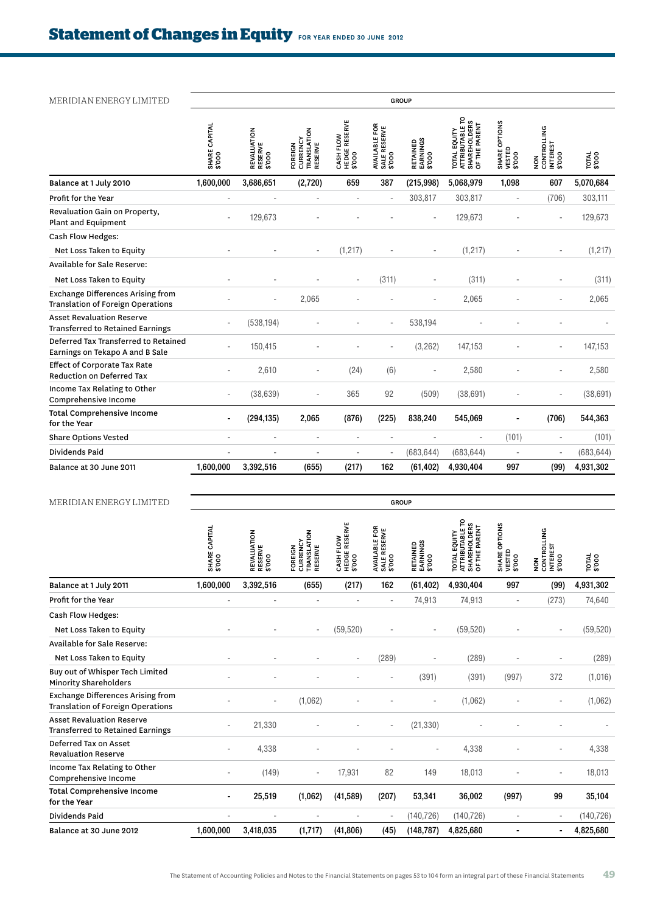## **Statement of Changes in Equity FOR YEAR ENDED 30 JUNE 2012**

| MERIDIAN ENERGY LIMITED                                                              | <b>GROUP</b>             |                                          |                                                         |                                    |                                         |                                |                                                                                |                                   |                                                 |                        |
|--------------------------------------------------------------------------------------|--------------------------|------------------------------------------|---------------------------------------------------------|------------------------------------|-----------------------------------------|--------------------------------|--------------------------------------------------------------------------------|-----------------------------------|-------------------------------------------------|------------------------|
|                                                                                      | SHARE CAPITAL<br>\$'000  | <b>REVALUATION<br/>RESERVE</b><br>\$'000 | <b>FOREIGN<br/>CURRENCY<br/>TRANSLATION<br/>RESERVE</b> | CASH FLOW<br>HEDGE RESERVE<br>5000 | AVAILABLE FOR<br>SALE RESERVE<br>\$'000 | EARNINGS<br>RETAINED<br>\$'000 | <b>ATTRIBUTABLE TO</b><br><b>SHAREHOLDERS</b><br>OF THE PARENT<br>TOTAL EQUITY | SHARE OPTIONS<br>VESTED<br>\$'000 | <b>CONTROLLING</b><br>INTEREST<br>\$'000<br>NON | <b>TOTAL</b><br>\$'000 |
| Balance at 1 July 2010                                                               | 1,600,000                | 3,686,651                                | (2,720)                                                 | 659                                | 387                                     | (215, 998)                     | 5,068,979                                                                      | 1,098                             | 607                                             | 5,070,684              |
| Profit for the Year                                                                  |                          |                                          |                                                         |                                    |                                         | 303,817                        | 303,817                                                                        |                                   | (706)                                           | 303,111                |
| Revaluation Gain on Property,<br>Plant and Equipment                                 | $\overline{\phantom{a}}$ | 129,673                                  |                                                         |                                    |                                         |                                | 129,673                                                                        |                                   |                                                 | 129,673                |
| Cash Flow Hedges:                                                                    |                          |                                          |                                                         |                                    |                                         |                                |                                                                                |                                   |                                                 |                        |
| Net Loss Taken to Equity                                                             |                          |                                          |                                                         | (1, 217)                           |                                         |                                | (1, 217)                                                                       |                                   |                                                 | (1, 217)               |
| Available for Sale Reserve:                                                          |                          |                                          |                                                         |                                    |                                         |                                |                                                                                |                                   |                                                 |                        |
| Net Loss Taken to Equity                                                             |                          |                                          |                                                         |                                    | (311)                                   |                                | (311)                                                                          |                                   |                                                 | (311)                  |
| <b>Exchange Differences Arising from</b><br><b>Translation of Foreign Operations</b> |                          |                                          | 2,065                                                   |                                    |                                         |                                | 2,065                                                                          |                                   |                                                 | 2,065                  |
| <b>Asset Revaluation Reserve</b><br><b>Transferred to Retained Earnings</b>          |                          | (538, 194)                               |                                                         |                                    | $\blacksquare$                          | 538,194                        |                                                                                |                                   |                                                 |                        |
| Deferred Tax Transferred to Retained<br>Earnings on Tekapo A and B Sale              |                          | 150,415                                  |                                                         |                                    |                                         | (3, 262)                       | 147,153                                                                        |                                   |                                                 | 147,153                |
| <b>Effect of Corporate Tax Rate</b><br><b>Reduction on Deferred Tax</b>              |                          | 2,610                                    |                                                         | (24)                               | (6)                                     |                                | 2,580                                                                          |                                   |                                                 | 2,580                  |
| Income Tax Relating to Other<br>Comprehensive Income                                 |                          | (38, 639)                                |                                                         | 365                                | 92                                      | (509)                          | (38, 691)                                                                      |                                   |                                                 | (38, 691)              |
| <b>Total Comprehensive Income</b><br>for the Year                                    |                          | (294, 135)                               | 2,065                                                   | (876)                              | (225)                                   | 838,240                        | 545,069                                                                        |                                   | (706)                                           | 544,363                |
| <b>Share Options Vested</b>                                                          |                          |                                          | ٠                                                       |                                    |                                         |                                | $\bar{ }$                                                                      | (101)                             | $\overline{\phantom{a}}$                        | (101)                  |
| Dividends Paid                                                                       |                          |                                          |                                                         |                                    | $\overline{\phantom{a}}$                | (683, 644)                     | (683, 644)                                                                     |                                   |                                                 | (683, 644)             |
| Balance at 30 June 2011                                                              | 1,600,000                | 3,392,516                                | (655)                                                   | (217)                              | 162                                     | (61, 402)                      | 4,930,404                                                                      | 997                               | (99)                                            | 4,931,302              |

| MERIDIAN ENERGY LIMITED                                                       |                                | <b>GROUP</b>                              |                                                       |                                      |                                               |                                         |                                                                          |                                        |                                                   |                        |  |
|-------------------------------------------------------------------------------|--------------------------------|-------------------------------------------|-------------------------------------------------------|--------------------------------------|-----------------------------------------------|-----------------------------------------|--------------------------------------------------------------------------|----------------------------------------|---------------------------------------------------|------------------------|--|
|                                                                               | <b>SHARE CAPITAL</b><br>\$'000 | <b>REVALUATION<br/>RESERVE<br/>\$'000</b> | <b>CURRENCY<br/>TRANSLATION</b><br>FOREIGN<br>RESERVE | CASH FLOW<br>HEDGE RESERVE<br>\$'000 | ξŘ<br>AVAILABLE FOR<br>SALE RESERVE<br>\$'000 | <b>RETAINED<br/>EARNINGS<br/>\$'000</b> | <b>TOTAL EQUITY<br/>ATTRIBUTABLE TO</b><br>SHAREHOLDERS<br>OF THE PARENT | OPTIONS<br>SHARE C<br>VESTED<br>\$'000 | <b>CONTROLLING<br/>INTEREST<br/>\$'000</b><br>NON | <b>TOTAL</b><br>\$'000 |  |
| Balance at 1 July 2011                                                        | 1,600,000                      | 3,392,516                                 | (655)                                                 | (217)                                | 162                                           | (61, 402)                               | 4,930,404                                                                | 997                                    | (99)                                              | 4,931,302              |  |
| Profit for the Year                                                           |                                |                                           | ÷,                                                    |                                      |                                               | 74,913                                  | 74,913                                                                   |                                        | (273)                                             | 74,640                 |  |
| <b>Cash Flow Hedges:</b><br>Net Loss Taken to Equity                          |                                |                                           | $\sim$                                                | (59, 520)                            |                                               |                                         | (59, 520)                                                                |                                        |                                                   | (59, 520)              |  |
| Available for Sale Reserve:<br>Net Loss Taken to Equity                       |                                |                                           |                                                       |                                      | (289)                                         |                                         | (289)                                                                    |                                        |                                                   | (289)                  |  |
| Buy out of Whisper Tech Limited<br>Minority Shareholders                      |                                |                                           |                                                       |                                      |                                               | (391)                                   | (391)                                                                    | (997)                                  | 372                                               | (1,016)                |  |
| <b>Exchange Differences Arising from</b><br>Translation of Foreign Operations |                                | ٠                                         | (1,062)                                               |                                      |                                               |                                         | (1,062)                                                                  |                                        |                                                   | (1,062)                |  |
| <b>Asset Revaluation Reserve</b><br><b>Transferred to Retained Earnings</b>   |                                | 21,330                                    |                                                       |                                      | $\overline{a}$                                | (21, 330)                               |                                                                          |                                        |                                                   |                        |  |
| Deferred Tax on Asset<br><b>Revaluation Reserve</b>                           |                                | 4,338                                     |                                                       |                                      |                                               |                                         | 4,338                                                                    |                                        |                                                   | 4,338                  |  |
| Income Tax Relating to Other<br>Comprehensive Income                          |                                | (149)                                     | $\overline{a}$                                        | 17,931                               | 82                                            | 149                                     | 18,013                                                                   |                                        |                                                   | 18,013                 |  |
| <b>Total Comprehensive Income</b><br>for the Year                             |                                | 25,519                                    | (1,062)                                               | (41, 589)                            | (207)                                         | 53,341                                  | 36,002                                                                   | (997)                                  | 99                                                | 35,104                 |  |
| Dividends Paid                                                                |                                |                                           |                                                       |                                      | $\overline{\phantom{a}}$                      | (140, 726)                              | (140, 726)                                                               | ٠                                      | $\sim$                                            | (140, 726)             |  |
| Balance at 30 June 2012                                                       | 1,600,000                      | 3,418,035                                 | (1,717)                                               | (41, 806)                            | (45)                                          | (148, 787)                              | 4,825,680                                                                |                                        |                                                   | 4,825,680              |  |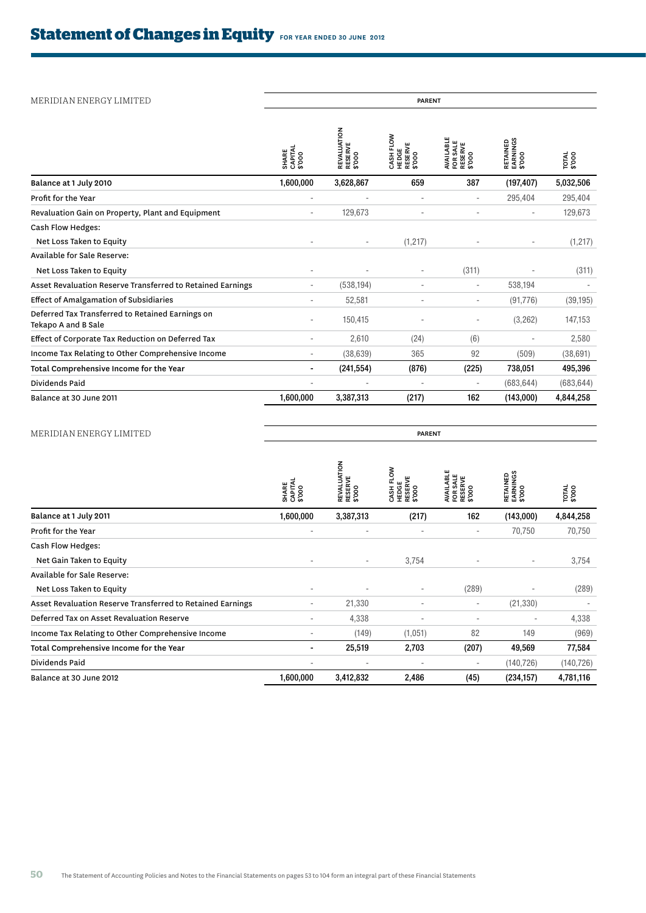## **Statement of Changes in Equity FOR YEAR ENDED 30 JUNE 2012**

| MERIDIAN ENERGY LIMITED                                                 | <b>PARENT</b>              |                                           |                                                  |                                                 |                                         |              |  |  |
|-------------------------------------------------------------------------|----------------------------|-------------------------------------------|--------------------------------------------------|-------------------------------------------------|-----------------------------------------|--------------|--|--|
|                                                                         | SHARE<br>CAPITAL<br>\$'000 | <b>REVALUATION<br/>RESERVE<br/>\$'000</b> | CASH FLOW<br><b>HEDGE<br/>RESERVE<br/>\$'000</b> | ш<br>AVAILABLE<br>FOR SALE<br>RESERVE<br>\$'000 | <b>RETAINED<br/>EARNINGS<br/>\$'000</b> | <b>TOTAL</b> |  |  |
| Balance at 1 July 2010                                                  | 1,600,000                  | 3,628,867                                 | 659                                              | 387                                             | (197, 407)                              | 5,032,506    |  |  |
| Profit for the Year                                                     |                            |                                           |                                                  |                                                 | 295,404                                 | 295,404      |  |  |
| Revaluation Gain on Property, Plant and Equipment                       |                            | 129.673                                   |                                                  |                                                 |                                         | 129.673      |  |  |
| Cash Flow Hedges:                                                       |                            |                                           |                                                  |                                                 |                                         |              |  |  |
| Net Loss Taken to Equity                                                |                            |                                           | (1, 217)                                         |                                                 |                                         | (1, 217)     |  |  |
| Available for Sale Reserve:                                             |                            |                                           |                                                  |                                                 |                                         |              |  |  |
| Net Loss Taken to Equity                                                |                            |                                           |                                                  | (311)                                           |                                         | (311)        |  |  |
| Asset Revaluation Reserve Transferred to Retained Earnings              |                            | (538, 194)                                |                                                  | $\overline{\phantom{a}}$                        | 538,194                                 |              |  |  |
| Effect of Amalgamation of Subsidiaries                                  |                            | 52,581                                    |                                                  |                                                 | (91, 776)                               | (39, 195)    |  |  |
| Deferred Tax Transferred to Retained Earnings on<br>Tekapo A and B Sale |                            | 150,415                                   |                                                  |                                                 | (3, 262)                                | 147.153      |  |  |
| Effect of Corporate Tax Reduction on Deferred Tax                       |                            | 2,610                                     | (24)                                             | (6)                                             |                                         | 2,580        |  |  |
| Income Tax Relating to Other Comprehensive Income                       |                            | (38, 639)                                 | 365                                              | 92                                              | (509)                                   | (38,691)     |  |  |
| Total Comprehensive Income for the Year                                 |                            | (241, 554)                                | (876)                                            | (225)                                           | 738,051                                 | 495,396      |  |  |
| Dividends Paid                                                          |                            |                                           |                                                  |                                                 | (683, 644)                              | (683, 644)   |  |  |
| Balance at 30 June 2011                                                 | 1,600,000                  | 3,387,313                                 | (217)                                            | 162                                             | (143,000)                               | 4,844,258    |  |  |

## MERIDIAN ENERGY LIMITED PARENT

|                                                            | SHARE<br>CAPITAL<br>\$'000 | <b>REVALUATION<br/>RESERVE<br/>\$'000</b> | CASH FLOW<br>ш<br>HEDGE<br>RESERVI<br>\$'000 | AVAILABLE<br>FOR SALE<br>RESERVE<br>\$'000 | <b>RETAINED<br/>EARNINGS<br/>\$'000</b> | <b>TOTAL</b><br>\$'000 |
|------------------------------------------------------------|----------------------------|-------------------------------------------|----------------------------------------------|--------------------------------------------|-----------------------------------------|------------------------|
| Balance at 1 July 2011                                     | 1,600,000                  | 3,387,313                                 | (217)                                        | 162                                        | (143,000)                               | 4,844,258              |
| Profit for the Year                                        | $\overline{\phantom{a}}$   | ٠                                         | $\overline{\phantom{a}}$                     | $\overline{\phantom{a}}$                   | 70,750                                  | 70,750                 |
| Cash Flow Hedges:                                          |                            |                                           |                                              |                                            |                                         |                        |
| Net Gain Taken to Equity                                   | $\overline{\phantom{a}}$   | $\overline{\phantom{a}}$                  | 3,754                                        | $\overline{\phantom{a}}$                   | $\overline{\phantom{a}}$                | 3,754                  |
| Available for Sale Reserve:                                |                            |                                           |                                              |                                            |                                         |                        |
| Net Loss Taken to Equity                                   | $\overline{\phantom{a}}$   | ٠                                         | $\overline{\phantom{a}}$                     | (289)                                      |                                         | (289)                  |
| Asset Revaluation Reserve Transferred to Retained Earnings | $\overline{\phantom{a}}$   | 21,330                                    |                                              |                                            | (21, 330)                               |                        |
| Deferred Tax on Asset Revaluation Reserve                  | $\overline{\phantom{a}}$   | 4,338                                     | ۰                                            | $\overline{\phantom{a}}$                   | ٠                                       | 4,338                  |
| Income Tax Relating to Other Comprehensive Income          | $\overline{\phantom{a}}$   | (149)                                     | (1,051)                                      | 82                                         | 149                                     | (969)                  |
| Total Comprehensive Income for the Year                    | ۰                          | 25,519                                    | 2,703                                        | (207)                                      | 49,569                                  | 77,584                 |
| Dividends Paid                                             |                            | ٠                                         |                                              |                                            | (140, 726)                              | (140, 726)             |
| Balance at 30 June 2012                                    | 1,600,000                  | 3,412,832                                 | 2,486                                        | (45)                                       | (234, 157)                              | 4,781,116              |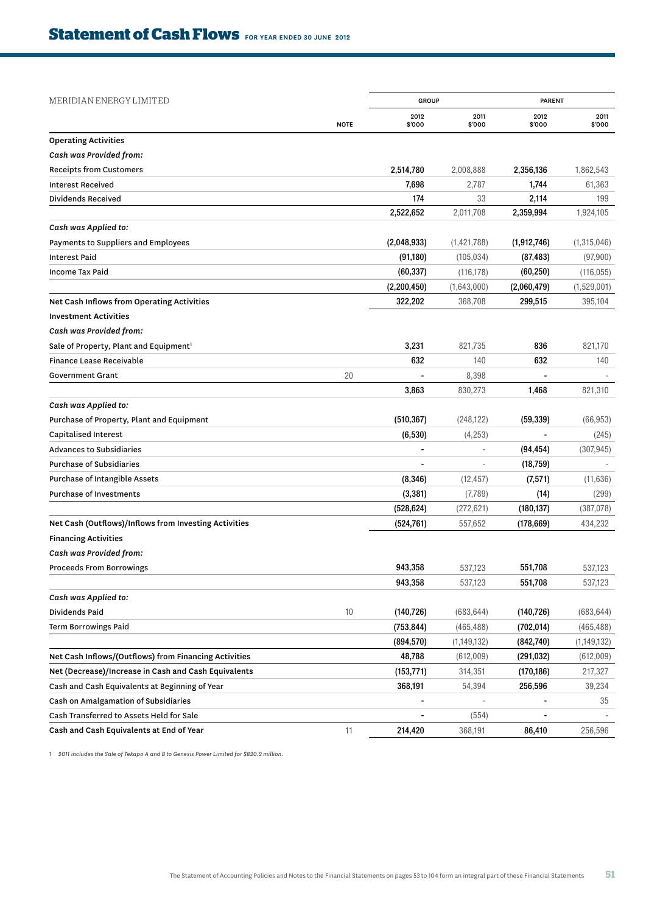## **Statement of Cash Flows** FOR YEAR ENDED 30 JUNE 2012

| MERIDIAN ENERGY LIMITED                               |             | <b>GROUP</b>   |                | <b>PARENT</b>  |                |
|-------------------------------------------------------|-------------|----------------|----------------|----------------|----------------|
|                                                       | <b>NOTE</b> | 2012<br>\$'000 | 2011<br>\$'000 | 2012<br>\$'000 | 2011<br>\$'000 |
| <b>Operating Activities</b>                           |             |                |                |                |                |
| <b>Cash was Provided from:</b>                        |             |                |                |                |                |
| <b>Receipts from Customers</b>                        |             | 2,514,780      | 2,008,888      | 2,356,136      | 1,862,543      |
| Interest Received                                     |             | 7,698          | 2,787          | 1,744          | 61,363         |
| Dividends Received                                    |             | 174            | 33             | 2,114          | 199            |
|                                                       |             | 2,522,652      | 2,011,708      | 2,359,994      | 1,924,105      |
| Cash was Applied to:                                  |             |                |                |                |                |
| Payments to Suppliers and Employees                   |             | (2,048,933)    | (1,421,788)    | (1,912,746)    | (1,315,046)    |
| <b>Interest Paid</b>                                  |             | (91, 180)      | (105, 034)     | (87, 483)      | (97,900)       |
| Income Tax Paid                                       |             | (60, 337)      | (116, 178)     | (60, 250)      | (116, 055)     |
|                                                       |             | (2,200,450)    | (1,643,000)    | (2,060,479)    | (1,529,001)    |
| Net Cash Inflows from Operating Activities            |             | 322,202        | 368,708        | 299,515        | 395,104        |
| <b>Investment Activities</b>                          |             |                |                |                |                |
| Cash was Provided from:                               |             |                |                |                |                |
| Sale of Property, Plant and Equipment <sup>1</sup>    |             | 3,231          | 821,735        | 836            | 821,170        |
| Finance Lease Receivable                              |             | 632            | 140            | 632            | 140            |
| Government Grant                                      | 20          |                | 8,398          |                |                |
|                                                       |             | 3,863          | 830,273        | 1,468          | 821,310        |
| Cash was Applied to:                                  |             |                |                |                |                |
| Purchase of Property, Plant and Equipment             |             | (510, 367)     | (248, 122)     | (59, 339)      | (66, 953)      |
| Capitalised Interest                                  |             | (6, 530)       | (4, 253)       |                | (245)          |
| Advances to Subsidiaries                              |             |                |                | (94, 454)      | (307, 945)     |
| <b>Purchase of Subsidiaries</b>                       |             |                | i.             | (18, 759)      |                |
| Purchase of Intangible Assets                         |             | (8, 346)       | (12, 457)      | (7, 571)       | (11,636)       |
| Purchase of Investments                               |             | (3, 381)       | (7,789)        | (14)           | (299)          |
|                                                       |             | (528, 624)     | (272, 621)     | (180, 137)     | (387,078)      |
| Net Cash (Outflows)/Inflows from Investing Activities |             | (524, 761)     | 557,652        | (178, 669)     | 434,232        |
| <b>Financing Activities</b>                           |             |                |                |                |                |
| Cash was Provided from:                               |             |                |                |                |                |
| Proceeds From Borrowings                              |             | 943,358        | 537,123        | 551,708        | 537,123        |
|                                                       |             | 943,358        | 537,123        | 551,708        | 537,123        |
| Cash was Applied to:                                  |             |                |                |                |                |
| Dividends Paid                                        | $10$        | (140, 726)     | (683, 644)     | (140, 726)     | (683, 644)     |
| Term Borrowings Paid                                  |             | (753, 844)     | (465, 488)     | (702, 014)     | (465, 488)     |
|                                                       |             | (894, 570)     | (1,149,132)    | (842, 740)     | (1,149,132)    |
| Net Cash Inflows/(Outflows) from Financing Activities |             | 48,788         | (612,009)      | (291, 032)     | (612,009)      |
| Net (Decrease)/Increase in Cash and Cash Equivalents  |             | (153, 771)     | 314,351        | (170, 186)     | 217,327        |
| Cash and Cash Equivalents at Beginning of Year        |             | 368,191        | 54,394         | 256,596        | 39,234         |
| Cash on Amalgamation of Subsidiaries                  |             |                |                |                | 35             |
| Cash Transferred to Assets Held for Sale              |             |                | (554)          |                |                |
| Cash and Cash Equivalents at End of Year              | 11          | 214,420        | 368,191        | 86,410         | 256,596        |

*1 2011 includes the Sale of Tekapo A and B to Genesis Power Limited for \$820.2 million.*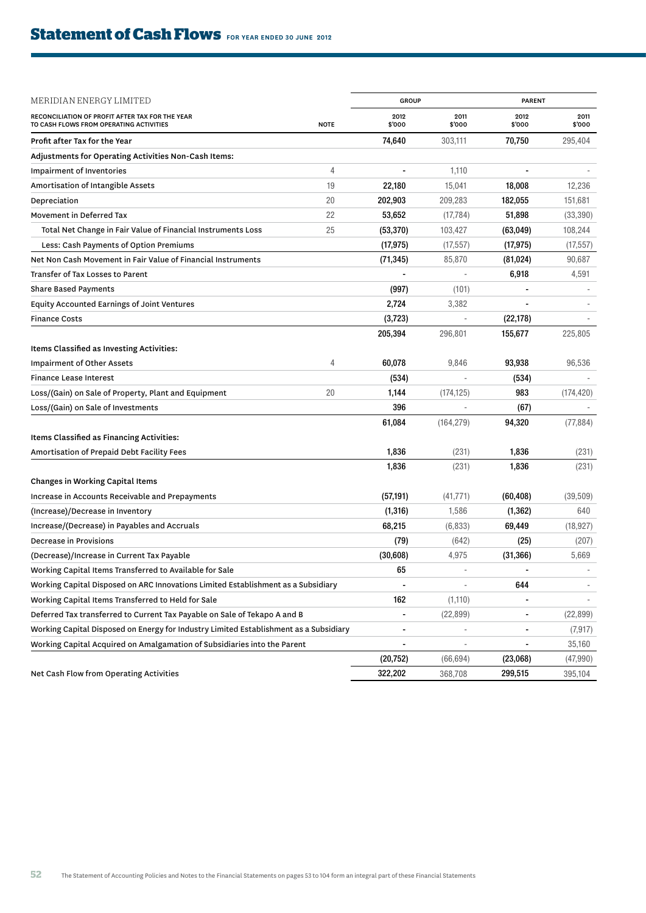## **Statement of Cash Flows** FOR YEAR ENDED 30 JUNE 2012

| MERIDIAN ENERGY LIMITED                                                                    |             | <b>GROUP</b>   |                          | <b>PARENT</b>            |                |
|--------------------------------------------------------------------------------------------|-------------|----------------|--------------------------|--------------------------|----------------|
| RECONCILIATION OF PROFIT AFTER TAX FOR THE YEAR<br>TO CASH FLOWS FROM OPERATING ACTIVITIES | <b>NOTE</b> | 2012<br>\$'000 | 2011<br>\$'000           | 2012<br>\$'000           | 2011<br>\$'000 |
| Profit after Tax for the Year                                                              |             | 74,640         | 303,111                  | 70,750                   | 295,404        |
| <b>Adjustments for Operating Activities Non-Cash Items:</b>                                |             |                |                          |                          |                |
| <b>Impairment of Inventories</b>                                                           | 4           |                | 1,110                    |                          |                |
| Amortisation of Intangible Assets                                                          | 19          | 22,180         | 15,041                   | 18,008                   | 12,236         |
| Depreciation                                                                               | 20          | 202,903        | 209,283                  | 182,055                  | 151,681        |
| Movement in Deferred Tax                                                                   | 22          | 53,652         | (17, 784)                | 51,898                   | (33, 390)      |
| Total Net Change in Fair Value of Financial Instruments Loss                               | 25          | (53, 370)      | 103,427                  | (63, 049)                | 108,244        |
| Less: Cash Payments of Option Premiums                                                     |             | (17, 975)      | (17, 557)                | (17, 975)                | (17, 557)      |
| Net Non Cash Movement in Fair Value of Financial Instruments                               |             | (71, 345)      | 85,870                   | (81, 024)                | 90,687         |
| Transfer of Tax Losses to Parent                                                           |             |                |                          | 6,918                    | 4,591          |
| <b>Share Based Payments</b>                                                                |             | (997)          | (101)                    |                          |                |
| <b>Equity Accounted Earnings of Joint Ventures</b>                                         |             | 2,724          | 3,382                    |                          |                |
| <b>Finance Costs</b>                                                                       |             | (3,723)        |                          | (22, 178)                |                |
|                                                                                            |             | 205,394        | 296,801                  | 155,677                  | 225,805        |
| <b>Items Classified as Investing Activities:</b>                                           |             |                |                          |                          |                |
| Impairment of Other Assets                                                                 | 4           | 60,078         | 9,846                    | 93,938                   | 96,536         |
| <b>Finance Lease Interest</b>                                                              |             | (534)          |                          | (534)                    |                |
| Loss/(Gain) on Sale of Property, Plant and Equipment                                       | 20          | 1,144          | (174, 125)               | 983                      | (174, 420)     |
| Loss/(Gain) on Sale of Investments                                                         |             | 396            |                          | (67)                     |                |
|                                                                                            |             | 61,084         | (164, 279)               | 94,320                   | (77, 884)      |
| Items Classified as Financing Activities:                                                  |             |                |                          |                          |                |
| Amortisation of Prepaid Debt Facility Fees                                                 |             | 1,836          | (231)                    | 1,836                    | (231)          |
|                                                                                            |             | 1,836          | (231)                    | 1,836                    | (231)          |
| Changes in Working Capital Items                                                           |             |                |                          |                          |                |
| Increase in Accounts Receivable and Prepayments                                            |             | (57, 191)      | (41, 771)                | (60, 408)                | (39, 509)      |
| (Increase)/Decrease in Inventory                                                           |             | (1, 316)       | 1,586                    | (1, 362)                 | 640            |
| Increase/(Decrease) in Payables and Accruals                                               |             | 68,215         | (6, 833)                 | 69,449                   | (18, 927)      |
| Decrease in Provisions                                                                     |             | (79)           | (642)                    | (25)                     | (207)          |
| (Decrease)/Increase in Current Tax Payable                                                 |             | (30,608)       | 4,975                    | (31, 366)                | 5,669          |
| Working Capital Items Transferred to Available for Sale                                    |             | 65             | ٠                        |                          |                |
| Working Capital Disposed on ARC Innovations Limited Establishment as a Subsidiary          |             | -              | $\overline{\phantom{a}}$ | 644                      |                |
| Working Capital Items Transferred to Held for Sale                                         |             | 162            | (1, 110)                 |                          |                |
| Deferred Tax transferred to Current Tax Payable on Sale of Tekapo A and B                  |             |                | (22, 899)                | $\overline{\phantom{a}}$ | (22, 899)      |
| Working Capital Disposed on Energy for Industry Limited Establishment as a Subsidiary      |             |                |                          |                          | (7, 917)       |
| Working Capital Acquired on Amalgamation of Subsidiaries into the Parent                   |             |                | $\overline{\phantom{m}}$ | -                        | 35,160         |
|                                                                                            |             | (20, 752)      | (66, 694)                | (23,068)                 | (47,990)       |
| Net Cash Flow from Operating Activities                                                    |             | 322,202        | 368,708                  | 299,515                  | 395,104        |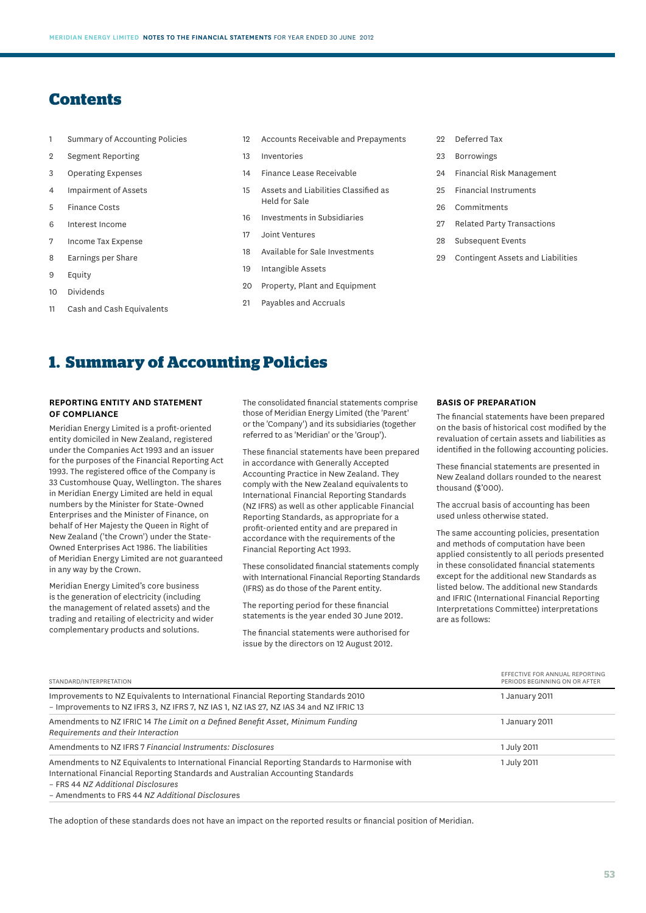## **Contents**

- 1 Summary of Accounting Policies
- 2 Segment Reporting
- 3 Operating Expenses
- 4 Impairment of Assets
- 5 Finance Costs
- 6 Interest Income
- 7 Income Tax Expense
- 8 Earnings per Share
- 9 Equity
- 10 Dividends
- 11 Cash and Cash Equivalents
- 12 Accounts Receivable and Prepayments
- 13 Inventories
- 14 Finance Lease Receivable
- 15 Assets and Liabilities Classified as Held for Sale
- 16 Investments in Subsidiaries
- 17 Joint Ventures
- 18 Available for Sale Investments
- 19 Intangible Assets
- 20 Property, Plant and Equipment
- 21 Payables and Accruals
- 22 Deferred Tax
- 23 Borrowings
- 24 Financial Risk Management
- 25 Financial Instruments
- 26 Commitments
- 27 Related Party Transactions
- 28 Subsequent Events
- 29 Contingent Assets and Liabilities

## **1. Summary of Accounting Policies**

## **Reporting Entity and Statement of Compliance**

Meridian Energy Limited is a profit-oriented entity domiciled in New Zealand, registered under the Companies Act 1993 and an issuer for the purposes of the Financial Reporting Act 1993. The registered office of the Company is 33 Customhouse Quay, Wellington. The shares in Meridian Energy Limited are held in equal numbers by the Minister for State-Owned Enterprises and the Minister of Finance, on behalf of Her Majesty the Queen in Right of New Zealand ('the Crown') under the State-Owned Enterprises Act 1986. The liabilities of Meridian Energy Limited are not guaranteed in any way by the Crown.

Meridian Energy Limited's core business is the generation of electricity (including the management of related assets) and the trading and retailing of electricity and wider complementary products and solutions.

The consolidated financial statements comprise those of Meridian Energy Limited (the 'Parent' or the 'Company') and its subsidiaries (together referred to as 'Meridian' or the 'Group').

These financial statements have been prepared in accordance with Generally Accepted Accounting Practice in New Zealand. They comply with the New Zealand equivalents to International Financial Reporting Standards (NZ IFRS) as well as other applicable Financial Reporting Standards, as appropriate for a profit-oriented entity and are prepared in accordance with the requirements of the Financial Reporting Act 1993.

These consolidated financial statements comply with International Financial Reporting Standards (IFRS) as do those of the Parent entity.

The reporting period for these financial statements is the year ended 30 June 2012.

The financial statements were authorised for issue by the directors on 12 August 2012.

## **Basis of Preparation**

The financial statements have been prepared on the basis of historical cost modified by the revaluation of certain assets and liabilities as identified in the following accounting policies.

These financial statements are presented in New Zealand dollars rounded to the nearest thousand (\$'000).

The accrual basis of accounting has been used unless otherwise stated.

The same accounting policies, presentation and methods of computation have been applied consistently to all periods presented in these consolidated financial statements except for the additional new Standards as listed below. The additional new Standards and IFRIC (International Financial Reporting Interpretations Committee) interpretations are as follows:

| STANDARD/INTERPRETATION                                                                                                                                                                                                | EFFECTIVE FOR ANNUAL REPORTING<br>PERIODS BEGINNING ON OR AFTER |
|------------------------------------------------------------------------------------------------------------------------------------------------------------------------------------------------------------------------|-----------------------------------------------------------------|
| Improvements to NZ Equivalents to International Financial Reporting Standards 2010<br>- Improvements to NZ IFRS 3, NZ IFRS 7, NZ IAS 1, NZ IAS 27, NZ IAS 34 and NZ IFRIC 13                                           | 1 January 2011                                                  |
| Amendments to NZ IFRIC 14 The Limit on a Defined Benefit Asset, Minimum Funding<br>Requirements and their Interaction                                                                                                  | 1 January 2011                                                  |
| Amendments to NZ IFRS 7 Financial Instruments: Disclosures                                                                                                                                                             | 1 July 2011                                                     |
| Amendments to NZ Equivalents to International Financial Reporting Standards to Harmonise with<br>International Financial Reporting Standards and Australian Accounting Standards<br>- FRS 44 NZ Additional Disclosures | 1 July 2011                                                     |

– Amendments to FRS 44 *NZ Additional Disclosure*s

The adoption of these standards does not have an impact on the reported results or financial position of Meridian.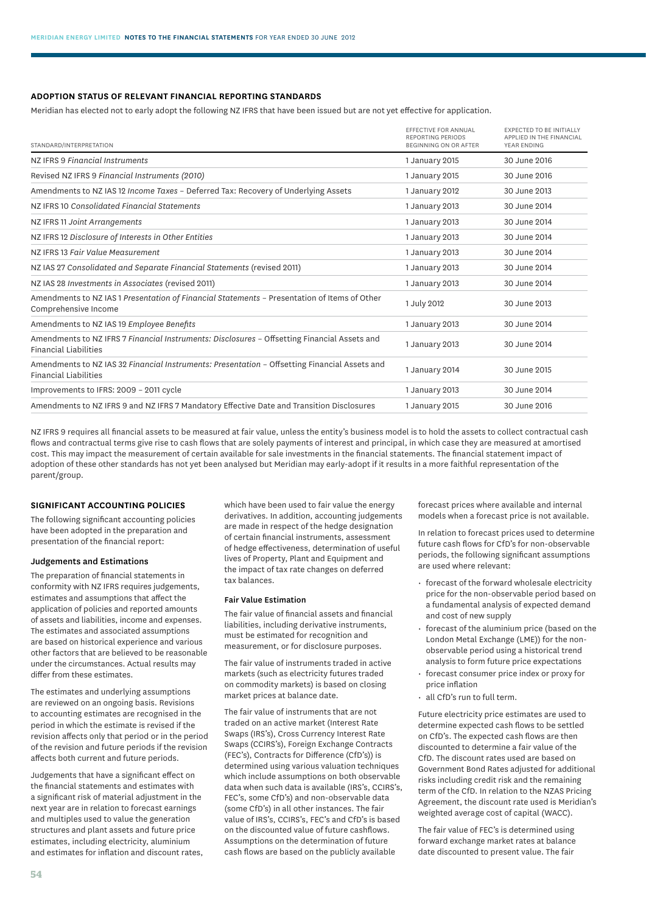## **Adoption status of relevant financial reporting standards**

Meridian has elected not to early adopt the following NZ IFRS that have been issued but are not yet effective for application.

| STANDARD/INTERPRETATION                                                                                                       | EFFECTIVE FOR ANNUAL<br><b>REPORTING PERIODS</b><br>BEGINNING ON OR AFTER | <b>EXPECTED TO BE INITIALLY</b><br>APPLIED IN THE FINANCIAL<br>YEAR ENDING |
|-------------------------------------------------------------------------------------------------------------------------------|---------------------------------------------------------------------------|----------------------------------------------------------------------------|
| NZ IFRS 9 Financial Instruments                                                                                               | 1 January 2015                                                            | 30 June 2016                                                               |
| Revised NZ IFRS 9 Financial Instruments (2010)                                                                                | 1 January 2015                                                            | 30 June 2016                                                               |
| Amendments to NZ IAS 12 Income Taxes - Deferred Tax: Recovery of Underlying Assets                                            | 1 January 2012                                                            | 30 June 2013                                                               |
| NZ IFRS 10 Consolidated Financial Statements                                                                                  | 1 January 2013                                                            | 30 June 2014                                                               |
| NZ IFRS 11 Joint Arrangements                                                                                                 | 1 January 2013                                                            | 30 June 2014                                                               |
| NZ IFRS 12 Disclosure of Interests in Other Entities                                                                          | 1 January 2013                                                            | 30 June 2014                                                               |
| NZ IFRS 13 Fair Value Measurement                                                                                             | 1 January 2013                                                            | 30 June 2014                                                               |
| NZ IAS 27 Consolidated and Separate Financial Statements (revised 2011)                                                       | 1 January 2013                                                            | 30 June 2014                                                               |
| NZ IAS 28 Investments in Associates (revised 2011)                                                                            | 1 January 2013                                                            | 30 June 2014                                                               |
| Amendments to NZ IAS 1 Presentation of Financial Statements - Presentation of Items of Other<br>Comprehensive Income          | 1 July 2012                                                               | 30 June 2013                                                               |
| Amendments to NZ IAS 19 Employee Benefits                                                                                     | 1 January 2013                                                            | 30 June 2014                                                               |
| Amendments to NZ IFRS 7 Financial Instruments: Disclosures - Offsetting Financial Assets and<br><b>Financial Liabilities</b>  | 1 January 2013                                                            | 30 June 2014                                                               |
| Amendments to NZ IAS 32 Financial Instruments: Presentation - Offsetting Financial Assets and<br><b>Financial Liabilities</b> | 1 January 2014                                                            | 30 June 2015                                                               |
| Improvements to IFRS: 2009 - 2011 cycle                                                                                       | 1 January 2013                                                            | 30 June 2014                                                               |
| Amendments to NZ IFRS 9 and NZ IFRS 7 Mandatory Effective Date and Transition Disclosures                                     | 1 January 2015                                                            | 30 June 2016                                                               |

NZ IFRS 9 requires all financial assets to be measured at fair value, unless the entity's business model is to hold the assets to collect contractual cash flows and contractual terms give rise to cash flows that are solely payments of interest and principal, in which case they are measured at amortised cost. This may impact the measurement of certain available for sale investments in the financial statements. The financial statement impact of adoption of these other standards has not yet been analysed but Meridian may early-adopt if it results in a more faithful representation of the parent/group.

## **Significant Accounting Policies**

The following significant accounting policies have been adopted in the preparation and presentation of the financial report:

#### Judgements and Estimations

The preparation of financial statements in conformity with NZ IFRS requires judgements, estimates and assumptions that affect the application of policies and reported amounts of assets and liabilities, income and expenses. The estimates and associated assumptions are based on historical experience and various other factors that are believed to be reasonable under the circumstances. Actual results may differ from these estimates.

The estimates and underlying assumptions are reviewed on an ongoing basis. Revisions to accounting estimates are recognised in the period in which the estimate is revised if the revision affects only that period or in the period of the revision and future periods if the revision affects both current and future periods.

Judgements that have a significant effect on the financial statements and estimates with a significant risk of material adjustment in the next year are in relation to forecast earnings and multiples used to value the generation structures and plant assets and future price estimates, including electricity, aluminium and estimates for inflation and discount rates, which have been used to fair value the energy derivatives. In addition, accounting judgements are made in respect of the hedge designation of certain financial instruments, assessment of hedge effectiveness, determination of useful lives of Property, Plant and Equipment and the impact of tax rate changes on deferred tax balances.

## Fair Value Estimation

The fair value of financial assets and financial liabilities, including derivative instruments, must be estimated for recognition and measurement, or for disclosure purposes.

The fair value of instruments traded in active markets (such as electricity futures traded on commodity markets) is based on closing market prices at balance date.

The fair value of instruments that are not traded on an active market (Interest Rate Swaps (IRS's), Cross Currency Interest Rate Swaps (CCIRS's), Foreign Exchange Contracts (FEC's), Contracts for Difference (CfD's)) is determined using various valuation techniques which include assumptions on both observable data when such data is available (IRS's, CCIRS's, FEC's, some CfD's) and non-observable data (some CfD's) in all other instances. The fair value of IRS's, CCIRS's, FEC's and CfD's is based on the discounted value of future cashflows. Assumptions on the determination of future cash flows are based on the publicly available

forecast prices where available and internal models when a forecast price is not available.

In relation to forecast prices used to determine future cash flows for CfD's for non-observable periods, the following significant assumptions are used where relevant:

- forecast of the forward wholesale electricity price for the non-observable period based on a fundamental analysis of expected demand and cost of new supply
- • forecast of the aluminium price (based on the London Metal Exchange (LME)) for the nonobservable period using a historical trend analysis to form future price expectations
- • forecast consumer price index or proxy for price inflation
- $\cdot$  all CfD's run to full term.

Future electricity price estimates are used to determine expected cash flows to be settled on CfD's. The expected cash flows are then discounted to determine a fair value of the CfD. The discount rates used are based on Government Bond Rates adjusted for additional risks including credit risk and the remaining term of the CfD. In relation to the NZAS Pricing Agreement, the discount rate used is Meridian's weighted average cost of capital (WACC).

The fair value of FEC's is determined using forward exchange market rates at balance date discounted to present value. The fair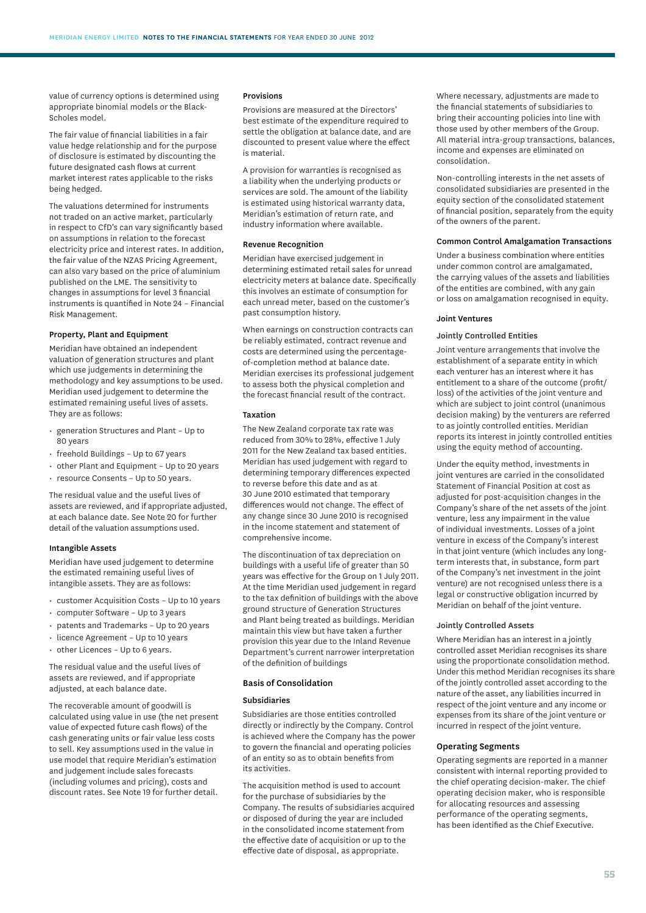value of currency options is determined using appropriate binomial models or the Black-Scholes model.

The fair value of financial liabilities in a fair value hedge relationship and for the purpose of disclosure is estimated by discounting the future designated cash flows at current market interest rates applicable to the risks being hedged.

The valuations determined for instruments not traded on an active market, particularly in respect to CfD's can vary significantly based on assumptions in relation to the forecast electricity price and interest rates. In addition, the fair value of the NZAS Pricing Agreement, can also vary based on the price of aluminium published on the LME. The sensitivity to changes in assumptions for level 3 financial instruments is quantified in Note 24 – Financial Risk Management.

## Property, Plant and Equipment

Meridian have obtained an independent valuation of generation structures and plant which use judgements in determining the methodology and key assumptions to be used. Meridian used judgement to determine the estimated remaining useful lives of assets. They are as follows:

- • generation Structures and Plant Up to 80 years
- • freehold Buildings Up to 67 years
- • other Plant and Equipment Up to 20 years
- $\cdot$  resource Consents Up to 50 years.

The residual value and the useful lives of assets are reviewed, and if appropriate adjusted, at each balance date. See Note 20 for further detail of the valuation assumptions used.

## Intangible Assets

Meridian have used judgement to determine the estimated remaining useful lives of intangible assets. They are as follows:

- • customer Acquisition Costs Up to 10 years
- • computer Software Up to 3 years
- $\cdot$  patents and Trademarks Up to 20 years
- • licence Agreement Up to 10 years
- $\cdot$  other Licences Up to 6 years.

The residual value and the useful lives of assets are reviewed, and if appropriate adjusted, at each balance date.

The recoverable amount of goodwill is calculated using value in use (the net present value of expected future cash flows) of the cash generating units or fair value less costs to sell. Key assumptions used in the value in use model that require Meridian's estimation and judgement include sales forecasts (including volumes and pricing), costs and discount rates. See Note 19 for further detail.

#### Provisions

Provisions are measured at the Directors' best estimate of the expenditure required to settle the obligation at balance date, and are discounted to present value where the effect is material.

A provision for warranties is recognised as a liability when the underlying products or services are sold. The amount of the liability is estimated using historical warranty data, Meridian's estimation of return rate, and industry information where available.

#### Revenue Recognition

Meridian have exercised judgement in determining estimated retail sales for unread electricity meters at balance date. Specifically this involves an estimate of consumption for each unread meter, based on the customer's past consumption history.

When earnings on construction contracts can be reliably estimated, contract revenue and costs are determined using the percentageof-completion method at balance date. Meridian exercises its professional judgement to assess both the physical completion and the forecast financial result of the contract.

#### Taxation

The New Zealand corporate tax rate was reduced from 30% to 28%, effective 1 July 2011 for the New Zealand tax based entities. Meridian has used judgement with regard to determining temporary differences expected to reverse before this date and as at 30 June 2010 estimated that temporary differences would not change. The effect of any change since 30 June 2010 is recognised in the income statement and statement of comprehensive income.

The discontinuation of tax depreciation on buildings with a useful life of greater than 50 years was effective for the Group on 1 July 2011. At the time Meridian used judgement in regard to the tax definition of buildings with the above ground structure of Generation Structures and Plant being treated as buildings. Meridian maintain this view but have taken a further provision this year due to the Inland Revenue Department's current narrower interpretation of the definition of buildings

#### Basis of Consolidation

#### Subsidiaries

Subsidiaries are those entities controlled directly or indirectly by the Company. Control is achieved where the Company has the power to govern the financial and operating policies of an entity so as to obtain benefits from its activities.

The acquisition method is used to account for the purchase of subsidiaries by the Company. The results of subsidiaries acquired or disposed of during the year are included in the consolidated income statement from the effective date of acquisition or up to the effective date of disposal, as appropriate.

Where necessary, adjustments are made to the financial statements of subsidiaries to bring their accounting policies into line with those used by other members of the Group. All material intra-group transactions, balances, income and expenses are eliminated on consolidation.

Non-controlling interests in the net assets of consolidated subsidiaries are presented in the equity section of the consolidated statement of financial position, separately from the equity of the owners of the parent.

## Common Control Amalgamation Transactions

Under a business combination where entities under common control are amalgamated, the carrying values of the assets and liabilities of the entities are combined, with any gain or loss on amalgamation recognised in equity.

## Joint Ventures

### Jointly Controlled Entities

Joint venture arrangements that involve the establishment of a separate entity in which each venturer has an interest where it has entitlement to a share of the outcome (profit/ loss) of the activities of the joint venture and which are subject to joint control (unanimous decision making) by the venturers are referred to as jointly controlled entities. Meridian reports its interest in jointly controlled entities using the equity method of accounting.

Under the equity method, investments in joint ventures are carried in the consolidated Statement of Financial Position at cost as adjusted for post-acquisition changes in the Company's share of the net assets of the joint venture, less any impairment in the value of individual investments. Losses of a joint venture in excess of the Company's interest in that joint venture (which includes any longterm interests that, in substance, form part of the Company's net investment in the joint venture) are not recognised unless there is a legal or constructive obligation incurred by Meridian on behalf of the joint venture.

#### Jointly Controlled Assets

Where Meridian has an interest in a jointly controlled asset Meridian recognises its share using the proportionate consolidation method. Under this method Meridian recognises its share of the jointly controlled asset according to the nature of the asset, any liabilities incurred in respect of the joint venture and any income or expenses from its share of the joint venture or incurred in respect of the joint venture.

#### Operating Segments

Operating segments are reported in a manner consistent with internal reporting provided to the chief operating decision-maker. The chief operating decision maker, who is responsible for allocating resources and assessing performance of the operating segments, has been identified as the Chief Executive.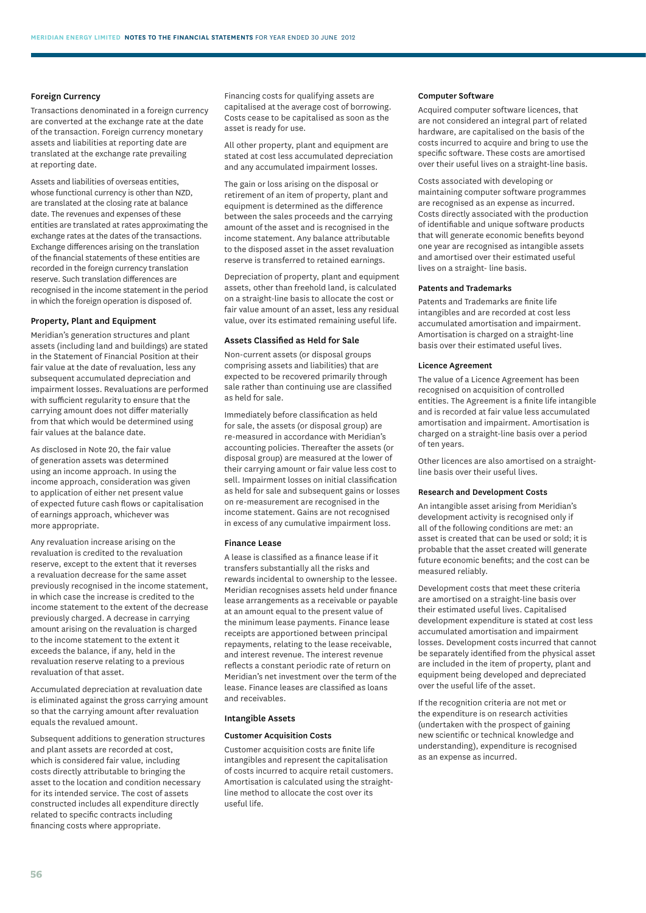### Foreign Currency

Transactions denominated in a foreign currency are converted at the exchange rate at the date of the transaction. Foreign currency monetary assets and liabilities at reporting date are translated at the exchange rate prevailing at reporting date.

Assets and liabilities of overseas entities, whose functional currency is other than NZD, are translated at the closing rate at balance date. The revenues and expenses of these entities are translated at rates approximating the exchange rates at the dates of the transactions. Exchange differences arising on the translation of the financial statements of these entities are recorded in the foreign currency translation reserve. Such translation differences are recognised in the income statement in the period in which the foreign operation is disposed of.

#### Property, Plant and Equipment

Meridian's generation structures and plant assets (including land and buildings) are stated in the Statement of Financial Position at their fair value at the date of revaluation, less any subsequent accumulated depreciation and impairment losses. Revaluations are performed with sufficient regularity to ensure that the carrying amount does not differ materially from that which would be determined using fair values at the balance date.

As disclosed in Note 20, the fair value of generation assets was determined using an income approach. In using the income approach, consideration was given to application of either net present value of expected future cash flows or capitalisation of earnings approach, whichever was more appropriate.

Any revaluation increase arising on the revaluation is credited to the revaluation reserve, except to the extent that it reverses a revaluation decrease for the same asset previously recognised in the income statement, in which case the increase is credited to the income statement to the extent of the decrease previously charged. A decrease in carrying amount arising on the revaluation is charged to the income statement to the extent it exceeds the balance, if any, held in the revaluation reserve relating to a previous revaluation of that asset.

Accumulated depreciation at revaluation date is eliminated against the gross carrying amount so that the carrying amount after revaluation equals the revalued amount.

Subsequent additions to generation structures and plant assets are recorded at cost, which is considered fair value, including costs directly attributable to bringing the asset to the location and condition necessary for its intended service. The cost of assets constructed includes all expenditure directly related to specific contracts including financing costs where appropriate.

Financing costs for qualifying assets are capitalised at the average cost of borrowing. Costs cease to be capitalised as soon as the asset is ready for use.

All other property, plant and equipment are stated at cost less accumulated depreciation and any accumulated impairment losses.

The gain or loss arising on the disposal or retirement of an item of property, plant and equipment is determined as the difference between the sales proceeds and the carrying amount of the asset and is recognised in the income statement. Any balance attributable to the disposed asset in the asset revaluation reserve is transferred to retained earnings.

Depreciation of property, plant and equipment assets, other than freehold land, is calculated on a straight-line basis to allocate the cost or fair value amount of an asset, less any residual value, over its estimated remaining useful life.

## Assets Classified as Held for Sale

Non-current assets (or disposal groups comprising assets and liabilities) that are expected to be recovered primarily through sale rather than continuing use are classified as held for sale.

Immediately before classification as held for sale, the assets (or disposal group) are re-measured in accordance with Meridian's accounting policies. Thereafter the assets (or disposal group) are measured at the lower of their carrying amount or fair value less cost to sell. Impairment losses on initial classification as held for sale and subsequent gains or losses on re-measurement are recognised in the income statement. Gains are not recognised in excess of any cumulative impairment loss.

## Finance Lease

A lease is classified as a finance lease if it transfers substantially all the risks and rewards incidental to ownership to the lessee. Meridian recognises assets held under finance lease arrangements as a receivable or payable at an amount equal to the present value of the minimum lease payments. Finance lease receipts are apportioned between principal repayments, relating to the lease receivable, and interest revenue. The interest revenue reflects a constant periodic rate of return on Meridian's net investment over the term of the lease. Finance leases are classified as loans and receivables.

## Intangible Assets

#### Customer Acquisition Costs

Customer acquisition costs are finite life intangibles and represent the capitalisation of costs incurred to acquire retail customers. Amortisation is calculated using the straightline method to allocate the cost over its useful life.

#### Computer Software

Acquired computer software licences, that are not considered an integral part of related hardware, are capitalised on the basis of the costs incurred to acquire and bring to use the specific software. These costs are amortised over their useful lives on a straight-line basis.

Costs associated with developing or maintaining computer software programmes are recognised as an expense as incurred. Costs directly associated with the production of identifiable and unique software products that will generate economic benefits beyond one year are recognised as intangible assets and amortised over their estimated useful lives on a straight- line basis.

#### Patents and Trademarks

Patents and Trademarks are finite life intangibles and are recorded at cost less accumulated amortisation and impairment. Amortisation is charged on a straight-line basis over their estimated useful lives.

## Licence Agreement

The value of a Licence Agreement has been recognised on acquisition of controlled entities. The Agreement is a finite life intangible and is recorded at fair value less accumulated amortisation and impairment. Amortisation is charged on a straight-line basis over a period of ten years.

Other licences are also amortised on a straightline basis over their useful lives.

### Research and Development Costs

An intangible asset arising from Meridian's development activity is recognised only if all of the following conditions are met: an asset is created that can be used or sold; it is probable that the asset created will generate future economic benefits; and the cost can be measured reliably.

Development costs that meet these criteria are amortised on a straight-line basis over their estimated useful lives. Capitalised development expenditure is stated at cost less accumulated amortisation and impairment losses. Development costs incurred that cannot be separately identified from the physical asset are included in the item of property, plant and equipment being developed and depreciated over the useful life of the asset.

If the recognition criteria are not met or the expenditure is on research activities (undertaken with the prospect of gaining new scientific or technical knowledge and understanding), expenditure is recognised as an expense as incurred.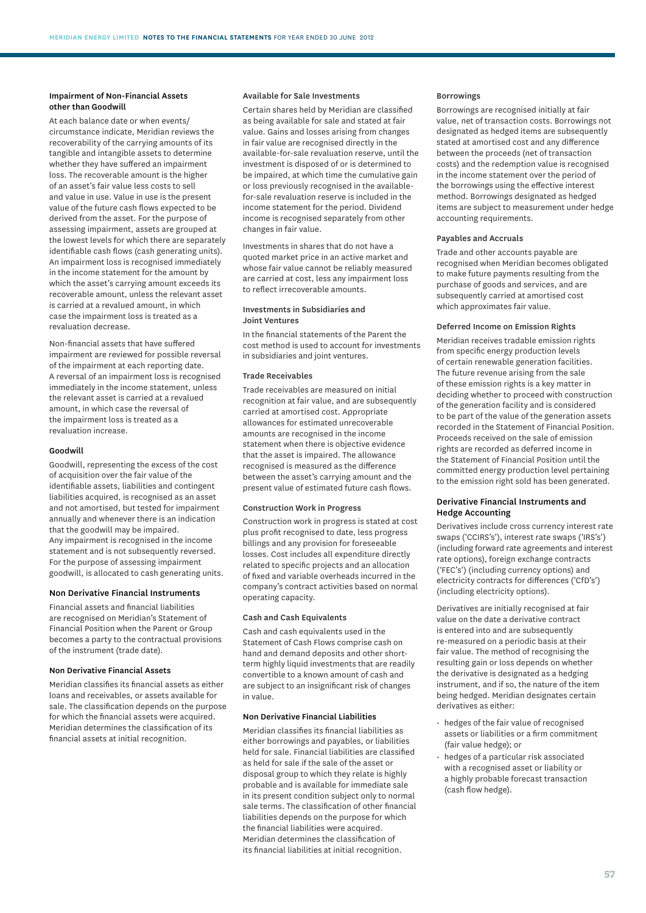## Impairment of Non-Financial Assets other than Goodwill

At each balance date or when events/ circumstance indicate, Meridian reviews the recoverability of the carrying amounts of its tangible and intangible assets to determine whether they have suffered an impairment loss. The recoverable amount is the higher of an asset's fair value less costs to sell and value in use. Value in use is the present value of the future cash flows expected to be derived from the asset. For the purpose of assessing impairment, assets are grouped at the lowest levels for which there are separately identifiable cash flows (cash generating units). An impairment loss is recognised immediately in the income statement for the amount by which the asset's carrying amount exceeds its recoverable amount, unless the relevant asset is carried at a revalued amount, in which case the impairment loss is treated as a revaluation decrease.

Non-financial assets that have suffered impairment are reviewed for possible reversal of the impairment at each reporting date. A reversal of an impairment loss is recognised immediately in the income statement, unless the relevant asset is carried at a revalued amount, in which case the reversal of the impairment loss is treated as a revaluation increase.

## Goodwill

Goodwill, representing the excess of the cost of acquisition over the fair value of the identifiable assets, liabilities and contingent liabilities acquired, is recognised as an asset and not amortised, but tested for impairment annually and whenever there is an indication that the goodwill may be impaired. Any impairment is recognised in the income statement and is not subsequently reversed. For the purpose of assessing impairment goodwill, is allocated to cash generating units.

### Non Derivative Financial Instruments

Financial assets and financial liabilities are recognised on Meridian's Statement of Financial Position when the Parent or Group becomes a party to the contractual provisions of the instrument (trade date).

## Non Derivative Financial Assets

Meridian classifies its financial assets as either loans and receivables, or assets available for sale. The classification depends on the purpose for which the financial assets were acquired. Meridian determines the classification of its financial assets at initial recognition.

#### Available for Sale Investments

Certain shares held by Meridian are classified as being available for sale and stated at fair value. Gains and losses arising from changes in fair value are recognised directly in the available-for-sale revaluation reserve, until the investment is disposed of or is determined to be impaired, at which time the cumulative gain or loss previously recognised in the availablefor-sale revaluation reserve is included in the income statement for the period. Dividend income is recognised separately from other changes in fair value.

Investments in shares that do not have a quoted market price in an active market and whose fair value cannot be reliably measured are carried at cost, less any impairment loss to reflect irrecoverable amounts.

### Investments in Subsidiaries and Joint Ventures

In the financial statements of the Parent the cost method is used to account for investments in subsidiaries and joint ventures.

### Trade Receivables

Trade receivables are measured on initial recognition at fair value, and are subsequently carried at amortised cost. Appropriate allowances for estimated unrecoverable amounts are recognised in the income statement when there is objective evidence that the asset is impaired. The allowance recognised is measured as the difference between the asset's carrying amount and the present value of estimated future cash flows.

## Construction Work in Progress

Construction work in progress is stated at cost plus profit recognised to date, less progress billings and any provision for foreseeable losses. Cost includes all expenditure directly related to specific projects and an allocation of fixed and variable overheads incurred in the company's contract activities based on normal operating capacity.

## Cash and Cash Equivalents

Cash and cash equivalents used in the Statement of Cash Flows comprise cash on hand and demand deposits and other shortterm highly liquid investments that are readily convertible to a known amount of cash and are subject to an insignificant risk of changes in value.

## Non Derivative Financial Liabilities

Meridian classifies its financial liabilities as either borrowings and payables, or liabilities held for sale. Financial liabilities are classified as held for sale if the sale of the asset or disposal group to which they relate is highly probable and is available for immediate sale in its present condition subject only to normal sale terms. The classification of other financial liabilities depends on the purpose for which the financial liabilities were acquired. Meridian determines the classification of its financial liabilities at initial recognition.

#### Borrowings

Borrowings are recognised initially at fair value, net of transaction costs. Borrowings not designated as hedged items are subsequently stated at amortised cost and any difference between the proceeds (net of transaction costs) and the redemption value is recognised in the income statement over the period of the borrowings using the effective interest method. Borrowings designated as hedged items are subject to measurement under hedge accounting requirements.

## Payables and Accruals

Trade and other accounts payable are recognised when Meridian becomes obligated to make future payments resulting from the purchase of goods and services, and are subsequently carried at amortised cost which approximates fair value.

## Deferred Income on Emission Rights

Meridian receives tradable emission rights from specific energy production levels of certain renewable generation facilities. The future revenue arising from the sale of these emission rights is a key matter in deciding whether to proceed with construction of the generation facility and is considered to be part of the value of the generation assets recorded in the Statement of Financial Position. Proceeds received on the sale of emission rights are recorded as deferred income in the Statement of Financial Position until the committed energy production level pertaining to the emission right sold has been generated.

## Derivative Financial Instruments and Hedge Accounting

Derivatives include cross currency interest rate swaps ('CCIRS's'), interest rate swaps ('IRS's') (including forward rate agreements and interest rate options), foreign exchange contracts ('FEC's') (including currency options) and electricity contracts for differences ('CfD's') (including electricity options).

Derivatives are initially recognised at fair value on the date a derivative contract is entered into and are subsequently re-measured on a periodic basis at their fair value. The method of recognising the resulting gain or loss depends on whether the derivative is designated as a hedging instrument, and if so, the nature of the item being hedged. Meridian designates certain derivatives as either:

- • hedges of the fair value of recognised assets or liabilities or a firm commitment (fair value hedge); or
- hedges of a particular risk associated with a recognised asset or liability or a highly probable forecast transaction (cash flow hedge).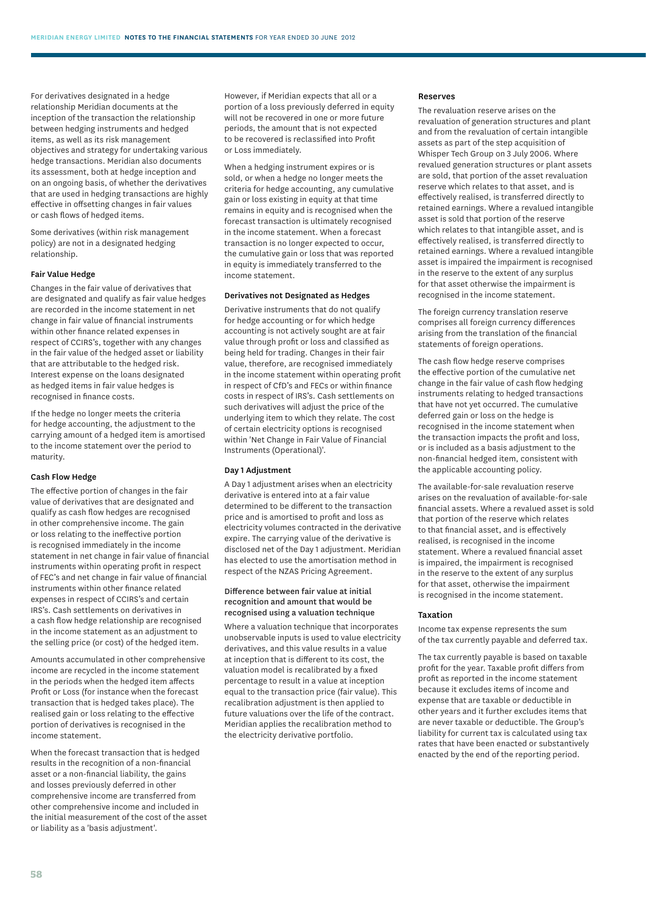For derivatives designated in a hedge relationship Meridian documents at the inception of the transaction the relationship between hedging instruments and hedged items, as well as its risk management objectives and strategy for undertaking various hedge transactions. Meridian also documents its assessment, both at hedge inception and on an ongoing basis, of whether the derivatives that are used in hedging transactions are highly effective in offsetting changes in fair values or cash flows of hedged items.

Some derivatives (within risk management policy) are not in a designated hedging relationship.

#### Fair Value Hedge

Changes in the fair value of derivatives that are designated and qualify as fair value hedges are recorded in the income statement in net change in fair value of financial instruments within other finance related expenses in respect of CCIRS's, together with any changes in the fair value of the hedged asset or liability that are attributable to the hedged risk. Interest expense on the loans designated as hedged items in fair value hedges is recognised in finance costs.

If the hedge no longer meets the criteria for hedge accounting, the adjustment to the carrying amount of a hedged item is amortised to the income statement over the period to maturity.

#### Cash Flow Hedge

The effective portion of changes in the fair value of derivatives that are designated and qualify as cash flow hedges are recognised in other comprehensive income. The gain or loss relating to the ineffective portion is recognised immediately in the income statement in net change in fair value of financial instruments within operating profit in respect of FEC's and net change in fair value of financial instruments within other finance related expenses in respect of CCIRS's and certain IRS's. Cash settlements on derivatives in a cash flow hedge relationship are recognised in the income statement as an adjustment to the selling price (or cost) of the hedged item.

Amounts accumulated in other comprehensive income are recycled in the income statement in the periods when the hedged item affects Profit or Loss (for instance when the forecast transaction that is hedged takes place). The realised gain or loss relating to the effective portion of derivatives is recognised in the income statement.

When the forecast transaction that is hedged results in the recognition of a non-financial asset or a non-financial liability, the gains and losses previously deferred in other comprehensive income are transferred from other comprehensive income and included in the initial measurement of the cost of the asset or liability as a 'basis adjustment'.

However, if Meridian expects that all or a portion of a loss previously deferred in equity will not be recovered in one or more future periods, the amount that is not expected to be recovered is reclassified into Profit or Loss immediately.

When a hedging instrument expires or is sold, or when a hedge no longer meets the criteria for hedge accounting, any cumulative gain or loss existing in equity at that time remains in equity and is recognised when the forecast transaction is ultimately recognised in the income statement. When a forecast transaction is no longer expected to occur, the cumulative gain or loss that was reported in equity is immediately transferred to the income statement.

## Derivatives not Designated as Hedges

Derivative instruments that do not qualify for hedge accounting or for which hedge accounting is not actively sought are at fair value through profit or loss and classified as being held for trading. Changes in their fair value, therefore, are recognised immediately in the income statement within operating profit in respect of CfD's and FECs or within finance costs in respect of IRS's. Cash settlements on such derivatives will adjust the price of the underlying item to which they relate. The cost of certain electricity options is recognised within 'Net Change in Fair Value of Financial Instruments (Operational)'.

## Day 1 Adjustment

A Day 1 adjustment arises when an electricity derivative is entered into at a fair value determined to be different to the transaction price and is amortised to profit and loss as electricity volumes contracted in the derivative expire. The carrying value of the derivative is disclosed net of the Day 1 adjustment. Meridian has elected to use the amortisation method in respect of the NZAS Pricing Agreement.

## Difference between fair value at initial recognition and amount that would be recognised using a valuation technique

Where a valuation technique that incorporates unobservable inputs is used to value electricity derivatives, and this value results in a value at inception that is different to its cost, the valuation model is recalibrated by a fixed percentage to result in a value at inception equal to the transaction price (fair value). This recalibration adjustment is then applied to future valuations over the life of the contract. Meridian applies the recalibration method to the electricity derivative portfolio.

#### Reserves

The revaluation reserve arises on the revaluation of generation structures and plant and from the revaluation of certain intangible assets as part of the step acquisition of Whisper Tech Group on 3 July 2006. Where revalued generation structures or plant assets are sold, that portion of the asset revaluation reserve which relates to that asset, and is effectively realised, is transferred directly to retained earnings. Where a revalued intangible asset is sold that portion of the reserve which relates to that intangible asset, and is effectively realised, is transferred directly to retained earnings. Where a revalued intangible asset is impaired the impairment is recognised in the reserve to the extent of any surplus for that asset otherwise the impairment is recognised in the income statement.

The foreign currency translation reserve comprises all foreign currency differences arising from the translation of the financial statements of foreign operations.

The cash flow hedge reserve comprises the effective portion of the cumulative net change in the fair value of cash flow hedging instruments relating to hedged transactions that have not yet occurred. The cumulative deferred gain or loss on the hedge is recognised in the income statement when the transaction impacts the profit and loss, or is included as a basis adjustment to the non-financial hedged item, consistent with the applicable accounting policy.

The available-for-sale revaluation reserve arises on the revaluation of available-for-sale financial assets. Where a revalued asset is sold that portion of the reserve which relates to that financial asset, and is effectively realised, is recognised in the income statement. Where a revalued financial asset is impaired, the impairment is recognised in the reserve to the extent of any surplus for that asset, otherwise the impairment is recognised in the income statement.

#### Taxation

Income tax expense represents the sum of the tax currently payable and deferred tax.

The tax currently payable is based on taxable profit for the year. Taxable profit differs from profit as reported in the income statement because it excludes items of income and expense that are taxable or deductible in other years and it further excludes items that are never taxable or deductible. The Group's liability for current tax is calculated using tax rates that have been enacted or substantively enacted by the end of the reporting period.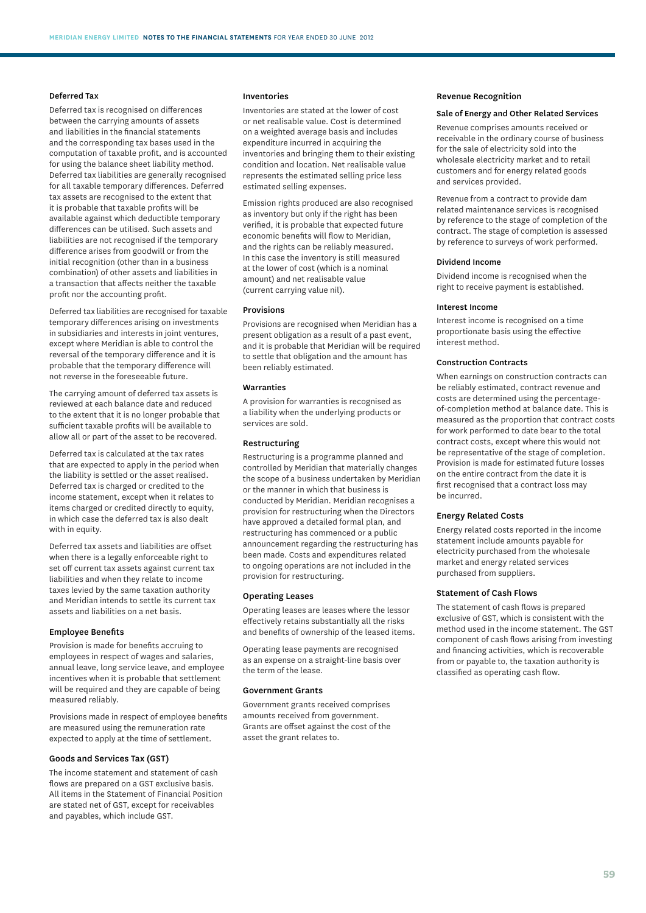#### Deferred Tax

Deferred tax is recognised on differences between the carrying amounts of assets and liabilities in the financial statements and the corresponding tax bases used in the computation of taxable profit, and is accounted for using the balance sheet liability method. Deferred tax liabilities are generally recognised for all taxable temporary differences. Deferred tax assets are recognised to the extent that it is probable that taxable profits will be available against which deductible temporary differences can be utilised. Such assets and liabilities are not recognised if the temporary difference arises from goodwill or from the initial recognition (other than in a business combination) of other assets and liabilities in a transaction that affects neither the taxable profit nor the accounting profit.

Deferred tax liabilities are recognised for taxable temporary differences arising on investments in subsidiaries and interests in joint ventures, except where Meridian is able to control the reversal of the temporary difference and it is probable that the temporary difference will not reverse in the foreseeable future.

The carrying amount of deferred tax assets is reviewed at each balance date and reduced to the extent that it is no longer probable that sufficient taxable profits will be available to allow all or part of the asset to be recovered.

Deferred tax is calculated at the tax rates that are expected to apply in the period when the liability is settled or the asset realised. Deferred tax is charged or credited to the income statement, except when it relates to items charged or credited directly to equity, in which case the deferred tax is also dealt with in equity.

Deferred tax assets and liabilities are offset when there is a legally enforceable right to set off current tax assets against current tax liabilities and when they relate to income taxes levied by the same taxation authority and Meridian intends to settle its current tax assets and liabilities on a net basis.

#### Employee Benefits

Provision is made for benefits accruing to employees in respect of wages and salaries, annual leave, long service leave, and employee incentives when it is probable that settlement will be required and they are capable of being measured reliably.

Provisions made in respect of employee benefits are measured using the remuneration rate expected to apply at the time of settlement.

### Goods and Services Tax (GST)

The income statement and statement of cash flows are prepared on a GST exclusive basis. All items in the Statement of Financial Position are stated net of GST, except for receivables and payables, which include GST.

### Inventories

Inventories are stated at the lower of cost or net realisable value. Cost is determined on a weighted average basis and includes expenditure incurred in acquiring the inventories and bringing them to their existing condition and location. Net realisable value represents the estimated selling price less estimated selling expenses.

Emission rights produced are also recognised as inventory but only if the right has been verified, it is probable that expected future economic benefits will flow to Meridian, and the rights can be reliably measured. In this case the inventory is still measured at the lower of cost (which is a nominal amount) and net realisable value (current carrying value nil).

## Provisions

Provisions are recognised when Meridian has a present obligation as a result of a past event, and it is probable that Meridian will be required to settle that obligation and the amount has been reliably estimated.

## Warranties

A provision for warranties is recognised as a liability when the underlying products or services are sold.

## Restructuring

Restructuring is a programme planned and controlled by Meridian that materially changes the scope of a business undertaken by Meridian or the manner in which that business is conducted by Meridian. Meridian recognises a provision for restructuring when the Directors have approved a detailed formal plan, and restructuring has commenced or a public announcement regarding the restructuring has been made. Costs and expenditures related to ongoing operations are not included in the provision for restructuring.

#### Operating Leases

Operating leases are leases where the lessor effectively retains substantially all the risks and benefits of ownership of the leased items.

Operating lease payments are recognised as an expense on a straight-line basis over the term of the lease.

#### Government Grants

Government grants received comprises amounts received from government. Grants are offset against the cost of the asset the grant relates to.

## Revenue Recognition

## Sale of Energy and Other Related Services

Revenue comprises amounts received or receivable in the ordinary course of business for the sale of electricity sold into the wholesale electricity market and to retail customers and for energy related goods and services provided.

Revenue from a contract to provide dam related maintenance services is recognised by reference to the stage of completion of the contract. The stage of completion is assessed by reference to surveys of work performed.

## Dividend Income

Dividend income is recognised when the right to receive payment is established.

## Interest Income

Interest income is recognised on a time proportionate basis using the effective interest method.

## Construction Contracts

When earnings on construction contracts can be reliably estimated, contract revenue and costs are determined using the percentageof-completion method at balance date. This is measured as the proportion that contract costs for work performed to date bear to the total contract costs, except where this would not be representative of the stage of completion. Provision is made for estimated future losses on the entire contract from the date it is first recognised that a contract loss may be incurred.

## Energy Related Costs

Energy related costs reported in the income statement include amounts payable for electricity purchased from the wholesale market and energy related services purchased from suppliers.

### Statement of Cash Flows

The statement of cash flows is prepared exclusive of GST, which is consistent with the method used in the income statement. The GST component of cash flows arising from investing and financing activities, which is recoverable from or payable to, the taxation authority is classified as operating cash flow.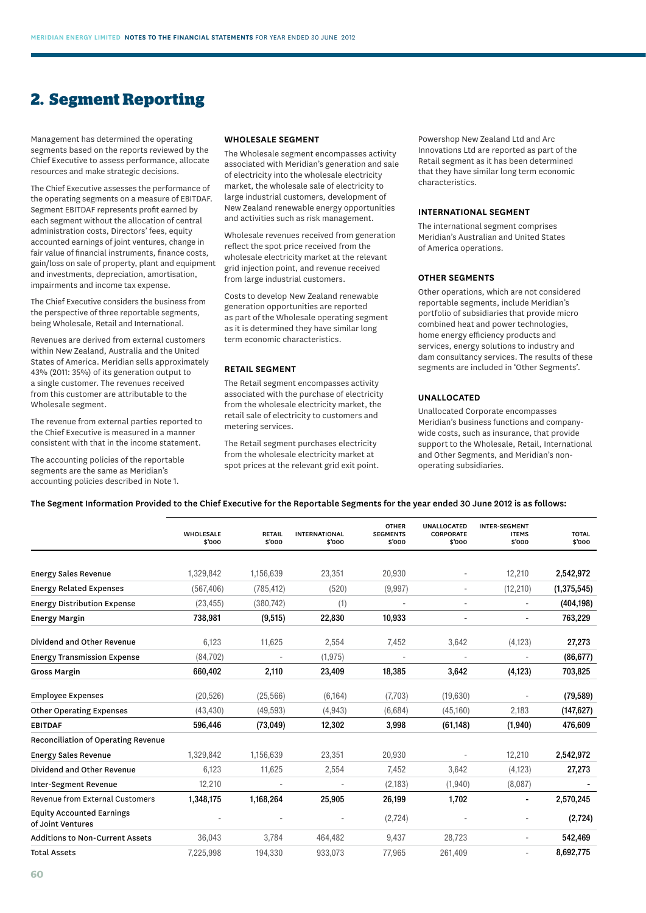## **2. Segment Reporting**

Management has determined the operating segments based on the reports reviewed by the Chief Executive to assess performance, allocate resources and make strategic decisions.

The Chief Executive assesses the performance of the operating segments on a measure of EBITDAF. Segment EBITDAF represents profit earned by each segment without the allocation of central administration costs, Directors' fees, equity accounted earnings of joint ventures, change in fair value of financial instruments, finance costs, gain/loss on sale of property, plant and equipment and investments, depreciation, amortisation, impairments and income tax expense.

The Chief Executive considers the business from the perspective of three reportable segments, being Wholesale, Retail and International.

Revenues are derived from external customers within New Zealand, Australia and the United States of America. Meridian sells approximately 43% (2011: 35%) of its generation output to a single customer. The revenues received from this customer are attributable to the Wholesale segment.

The revenue from external parties reported to the Chief Executive is measured in a manner consistent with that in the income statement.

The accounting policies of the reportable segments are the same as Meridian's accounting policies described in Note 1.

### **Wholesale Segment**

The Wholesale segment encompasses activity associated with Meridian's generation and sale of electricity into the wholesale electricity market, the wholesale sale of electricity to large industrial customers, development of New Zealand renewable energy opportunities and activities such as risk management.

Wholesale revenues received from generation reflect the spot price received from the wholesale electricity market at the relevant grid injection point, and revenue received from large industrial customers.

Costs to develop New Zealand renewable generation opportunities are reported as part of the Wholesale operating segment as it is determined they have similar long term economic characteristics.

#### **Retail Segment**

The Retail segment encompasses activity associated with the purchase of electricity from the wholesale electricity market, the retail sale of electricity to customers and metering services.

The Retail segment purchases electricity from the wholesale electricity market at spot prices at the relevant grid exit point. Powershop New Zealand Ltd and Arc Innovations Ltd are reported as part of the Retail segment as it has been determined that they have similar long term economic characteristics.

### **International Segment**

The international segment comprises Meridian's Australian and United States of America operations.

## **Other Segments**

Other operations, which are not considered reportable segments, include Meridian's portfolio of subsidiaries that provide micro combined heat and power technologies, home energy efficiency products and services, energy solutions to industry and dam consultancy services. The results of these segments are included in 'Other Segments'.

## **Unallocated**

Unallocated Corporate encompasses Meridian's business functions and companywide costs, such as insurance, that provide support to the Wholesale, Retail, International and Other Segments, and Meridian's nonoperating subsidiaries.

## The Segment Information Provided to the Chief Executive for the Reportable Segments for the year ended 30 June 2012 is as follows:

|                                                       | <b>WHOLESALE</b><br>\$'000 | <b>RETAIL</b><br>\$'000  | <b>INTERNATIONAL</b><br>\$'000 | <b>OTHER</b><br><b>SEGMENTS</b><br>\$'000 | <b>UNALLOCATED</b><br><b>CORPORATE</b><br>\$'000 | <b>INTER-SEGMENT</b><br><b>ITEMS</b><br>\$'000 | <b>TOTAL</b><br>\$'000 |
|-------------------------------------------------------|----------------------------|--------------------------|--------------------------------|-------------------------------------------|--------------------------------------------------|------------------------------------------------|------------------------|
|                                                       |                            |                          |                                |                                           |                                                  |                                                |                        |
| <b>Energy Sales Revenue</b>                           | 1,329,842                  | 1,156,639                | 23,351                         | 20,930                                    |                                                  | 12,210                                         | 2,542,972              |
| <b>Energy Related Expenses</b>                        | (567, 406)                 | (785, 412)               | (520)                          | (9,997)                                   |                                                  | (12, 210)                                      | (1, 375, 545)          |
| <b>Energy Distribution Expense</b>                    | (23, 455)                  | (380, 742)               | (1)                            | $\overline{\phantom{a}}$                  | $\overline{\phantom{a}}$                         |                                                | (404, 198)             |
| Energy Margin                                         | 738,981                    | (9, 515)                 | 22,830                         | 10,933                                    | ۰                                                |                                                | 763,229                |
| Dividend and Other Revenue                            | 6,123                      | 11,625                   | 2,554                          | 7,452                                     | 3,642                                            | (4, 123)                                       | 27,273                 |
| Energy Transmission Expense                           | (84, 702)                  | $\overline{\phantom{a}}$ | (1, 975)                       | $\overline{\phantom{a}}$                  | $\overline{\phantom{a}}$                         | $\overline{a}$                                 | (86, 677)              |
| <b>Gross Margin</b>                                   | 660,402                    | 2,110                    | 23,409                         | 18,385                                    | 3,642                                            | (4, 123)                                       | 703,825                |
| <b>Employee Expenses</b>                              | (20, 526)                  | (25, 566)                | (6, 164)                       | (7,703)                                   | (19,630)                                         |                                                | (79, 589)              |
| <b>Other Operating Expenses</b>                       | (43, 430)                  | (49, 593)                | (4, 943)                       | (6,684)                                   | (45,160)                                         | 2,183                                          | (147, 627)             |
| <b>EBITDAF</b>                                        | 596,446                    | (73, 049)                | 12,302                         | 3,998                                     | (61, 148)                                        | (1,940)                                        | 476,609                |
| Reconciliation of Operating Revenue                   |                            |                          |                                |                                           |                                                  |                                                |                        |
| <b>Energy Sales Revenue</b>                           | 1,329,842                  | 1,156,639                | 23,351                         | 20,930                                    |                                                  | 12,210                                         | 2,542,972              |
| Dividend and Other Revenue                            | 6,123                      | 11,625                   | 2,554                          | 7,452                                     | 3,642                                            | (4, 123)                                       | 27,273                 |
| <b>Inter-Segment Revenue</b>                          | 12,210                     | ÷,                       |                                | (2,183)                                   | (1,940)                                          | (8,087)                                        |                        |
| Revenue from External Customers                       | 1,348,175                  | 1,168,264                | 25,905                         | 26,199                                    | 1,702                                            | ٠                                              | 2,570,245              |
| <b>Equity Accounted Earnings</b><br>of Joint Ventures |                            |                          |                                | (2,724)                                   |                                                  |                                                | (2,724)                |
| <b>Additions to Non-Current Assets</b>                | 36,043                     | 3,784                    | 464,482                        | 9,437                                     | 28,723                                           | $\overline{a}$                                 | 542,469                |
| <b>Total Assets</b>                                   | 7,225,998                  | 194,330                  | 933,073                        | 77,965                                    | 261,409                                          |                                                | 8,692,775              |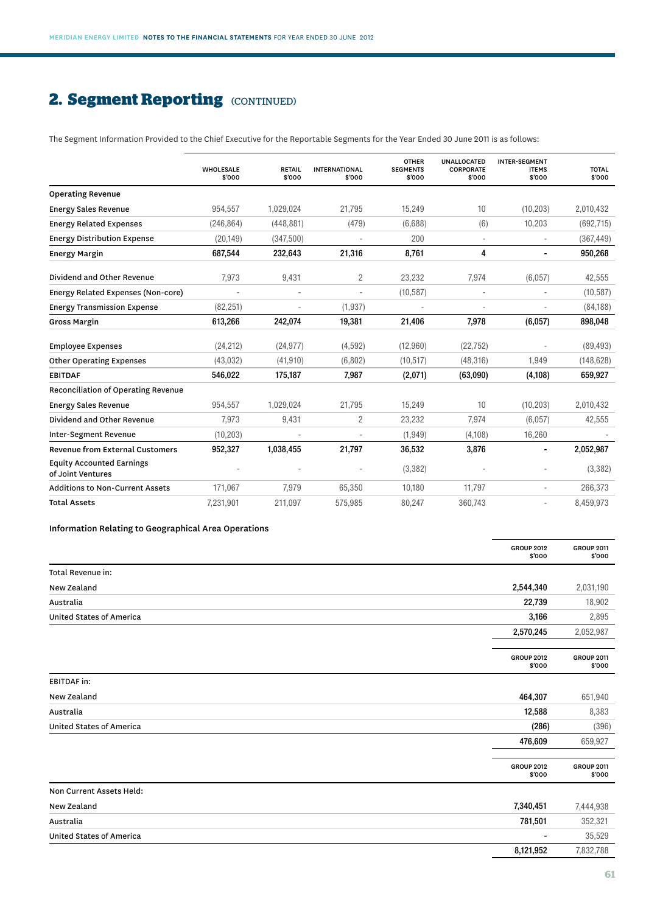## **2. Segment Reporting (CONTINUED)**

The Segment Information Provided to the Chief Executive for the Reportable Segments for the Year Ended 30 June 2011 is as follows:

|                                                       | <b>WHOLESALE</b><br>\$'000 | <b>RETAIL</b><br>\$'000  | <b>INTERNATIONAL</b><br>\$'000 | <b>OTHER</b><br><b>SEGMENTS</b><br>\$'000 | <b>UNALLOCATED</b><br><b>CORPORATE</b><br>\$'000 | <b>INTER-SEGMENT</b><br><b>ITEMS</b><br>\$'000 | <b>TOTAL</b><br>\$'000 |
|-------------------------------------------------------|----------------------------|--------------------------|--------------------------------|-------------------------------------------|--------------------------------------------------|------------------------------------------------|------------------------|
| <b>Operating Revenue</b>                              |                            |                          |                                |                                           |                                                  |                                                |                        |
| <b>Energy Sales Revenue</b>                           | 954,557                    | 1,029,024                | 21,795                         | 15,249                                    | 10                                               | (10, 203)                                      | 2,010,432              |
| <b>Energy Related Expenses</b>                        | (246, 864)                 | (448, 881)               | (479)                          | (6,688)                                   | (6)                                              | 10,203                                         | (692, 715)             |
| <b>Energy Distribution Expense</b>                    | (20, 149)                  | (347,500)                |                                | 200                                       |                                                  |                                                | (367, 449)             |
| <b>Energy Margin</b>                                  | 687,544                    | 232,643                  | 21,316                         | 8,761                                     | 4                                                |                                                | 950,268                |
| Dividend and Other Revenue                            | 7,973                      | 9,431                    | $\overline{c}$                 | 23,232                                    | 7,974                                            | (6,057)                                        | 42,555                 |
| Energy Related Expenses (Non-core)                    |                            | $\overline{\phantom{a}}$ |                                | (10, 587)                                 |                                                  |                                                | (10, 587)              |
| <b>Energy Transmission Expense</b>                    | (82, 251)                  | $\overline{\phantom{m}}$ | (1,937)                        |                                           | $\overline{\phantom{a}}$                         |                                                | (84, 188)              |
| <b>Gross Margin</b>                                   | 613,266                    | 242,074                  | 19,381                         | 21,406                                    | 7,978                                            | (6,057)                                        | 898,048                |
| <b>Employee Expenses</b>                              | (24, 212)                  | (24, 977)                | (4,592)                        | (12,960)                                  | (22, 752)                                        |                                                | (89, 493)              |
| <b>Other Operating Expenses</b>                       | (43, 032)                  | (41, 910)                | (6,802)                        | (10, 517)                                 | (48, 316)                                        | 1,949                                          | (148, 628)             |
| <b>EBITDAF</b>                                        | 546,022                    | 175,187                  | 7.987                          | (2,071)                                   | (63,090)                                         | (4, 108)                                       | 659,927                |
| Reconciliation of Operating Revenue                   |                            |                          |                                |                                           |                                                  |                                                |                        |
| <b>Energy Sales Revenue</b>                           | 954.557                    | 1.029.024                | 21.795                         | 15.249                                    | 10                                               | (10, 203)                                      | 2,010,432              |
| Dividend and Other Revenue                            | 7,973                      | 9,431                    | $\overline{2}$                 | 23,232                                    | 7,974                                            | (6,057)                                        | 42,555                 |
| <b>Inter-Segment Revenue</b>                          | (10, 203)                  |                          |                                | (1,949)                                   | (4,108)                                          | 16,260                                         |                        |
| <b>Revenue from External Customers</b>                | 952,327                    | 1,038,455                | 21,797                         | 36,532                                    | 3,876                                            |                                                | 2,052,987              |
| <b>Equity Accounted Earnings</b><br>of Joint Ventures |                            |                          |                                | (3, 382)                                  |                                                  |                                                | (3, 382)               |
| <b>Additions to Non-Current Assets</b>                | 171.067                    | 7.979                    | 65.350                         | 10,180                                    | 11.797                                           | L.                                             | 266,373                |
| <b>Total Assets</b>                                   | 7,231,901                  | 211,097                  | 575,985                        | 80,247                                    | 360,743                                          |                                                | 8,459,973              |

Information Relating to Geographical Area Operations

|                                 | <b>GROUP 2012</b><br>\$'000 | <b>GROUP 2011</b><br>\$'000 |
|---------------------------------|-----------------------------|-----------------------------|
| Total Revenue in:               |                             |                             |
| New Zealand                     | 2,544,340                   | 2,031,190                   |
| Australia                       | 22,739                      | 18,902                      |
| <b>United States of America</b> | 3,166                       | 2,895                       |
|                                 | 2,570,245                   | 2,052,987                   |
|                                 |                             |                             |
|                                 | <b>GROUP 2012</b><br>\$'000 | <b>GROUP 2011</b><br>\$'000 |
| <b>EBITDAF</b> in:              |                             |                             |
| New Zealand                     | 464,307                     | 651,940                     |
| Australia                       | 12,588                      | 8,383                       |
| <b>United States of America</b> | (286)                       | (396)                       |
|                                 | 476,609                     | 659,927                     |
|                                 |                             |                             |
|                                 | <b>GROUP 2012</b><br>\$'000 | <b>GROUP 2011</b><br>\$'000 |
| Non Current Assets Held:        |                             |                             |
| New Zealand                     | 7,340,451                   | 7,444,938                   |
| Australia                       | 781,501                     | 352,321                     |
| <b>United States of America</b> | ٠                           | 35,529                      |
|                                 | 8,121,952                   | 7,832,788                   |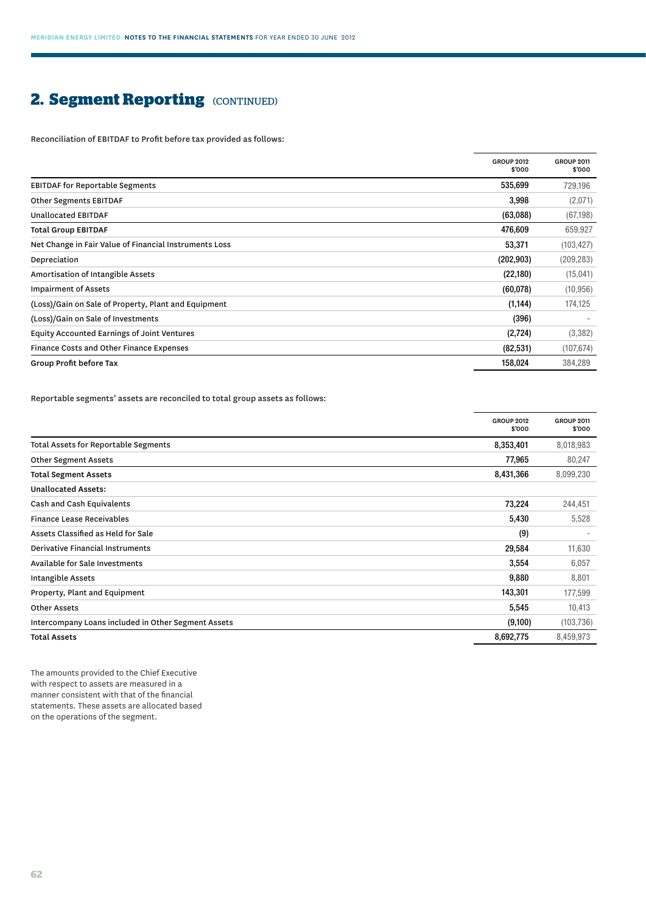## **2. Segment Reporting (CONTINUED)**

Reconciliation of EBITDAF to Profit before tax provided as follows:

|                                                        | <b>GROUP 2012</b><br>\$'000 | <b>GROUP 2011</b><br>\$'000 |
|--------------------------------------------------------|-----------------------------|-----------------------------|
| <b>EBITDAF for Reportable Segments</b>                 | 535,699                     | 729,196                     |
| Other Segments EBITDAF                                 | 3,998                       | (2,071)                     |
| Unallocated EBITDAF                                    | (63,088)                    | (67, 198)                   |
| <b>Total Group EBITDAF</b>                             | 476,609                     | 659,927                     |
| Net Change in Fair Value of Financial Instruments Loss | 53,371                      | (103, 427)                  |
| Depreciation                                           | (202, 903)                  | (209, 283)                  |
| Amortisation of Intangible Assets                      | (22, 180)                   | (15, 041)                   |
| <b>Impairment of Assets</b>                            | (60,078)                    | (10, 956)                   |
| (Loss)/Gain on Sale of Property, Plant and Equipment   | (1, 144)                    | 174,125                     |
| (Loss)/Gain on Sale of Investments                     | (396)                       |                             |
| Equity Accounted Earnings of Joint Ventures            | (2,724)                     | (3,382)                     |
| Finance Costs and Other Finance Expenses               | (82, 531)                   | (107, 674)                  |
| Group Profit before Tax                                | 158,024                     | 384,289                     |

Reportable segments' assets are reconciled to total group assets as follows:

|                                                     | <b>GROUP 2012</b><br>\$'000 | <b>GROUP 2011</b><br>\$'000 |
|-----------------------------------------------------|-----------------------------|-----------------------------|
| <b>Total Assets for Reportable Segments</b>         | 8,353,401                   | 8,018,983                   |
| <b>Other Segment Assets</b>                         | 77,965                      | 80,247                      |
| <b>Total Segment Assets</b>                         | 8,431,366                   | 8,099,230                   |
| <b>Unallocated Assets:</b>                          |                             |                             |
| Cash and Cash Equivalents                           | 73,224                      | 244,451                     |
| Finance Lease Receivables                           | 5,430                       | 5,528                       |
| Assets Classified as Held for Sale                  | (9)                         |                             |
| Derivative Financial Instruments                    | 29,584                      | 11,630                      |
| Available for Sale Investments                      | 3,554                       | 6,057                       |
| Intangible Assets                                   | 9,880                       | 8,801                       |
| Property, Plant and Equipment                       | 143,301                     | 177,599                     |
| <b>Other Assets</b>                                 | 5,545                       | 10,413                      |
| Intercompany Loans included in Other Segment Assets | (9,100)                     | (103, 736)                  |
| <b>Total Assets</b>                                 | 8,692,775                   | 8,459,973                   |

The amounts provided to the Chief Executive with respect to assets are measured in a manner consistent with that of the financial statements. These assets are allocated based on the operations of the segment.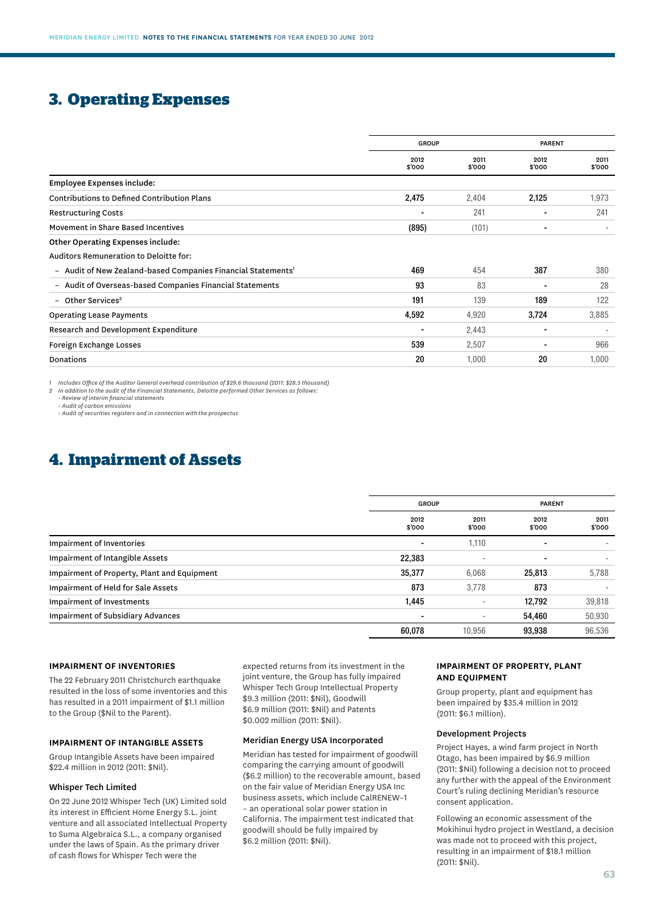## **3. Operating Expenses**

|                                                                          | <b>GROUP</b>   |                |                | <b>PARENT</b>  |  |
|--------------------------------------------------------------------------|----------------|----------------|----------------|----------------|--|
|                                                                          | 2012<br>\$'000 | 2011<br>\$'000 | 2012<br>\$'000 | 2011<br>\$'000 |  |
| <b>Employee Expenses include:</b>                                        |                |                |                |                |  |
| <b>Contributions to Defined Contribution Plans</b>                       | 2,475          | 2,404          | 2,125          | 1,973          |  |
| <b>Restructuring Costs</b>                                               | ۰              | 241            |                | 241            |  |
| Movement in Share Based Incentives                                       | (895)          | (101)          |                |                |  |
| Other Operating Expenses include:                                        |                |                |                |                |  |
| Auditors Remuneration to Deloitte for:                                   |                |                |                |                |  |
| - Audit of New Zealand-based Companies Financial Statements <sup>1</sup> | 469            | 454            | 387            | 380            |  |
| - Audit of Overseas-based Companies Financial Statements                 | 93             | 83             |                | 28             |  |
| - Other Services <sup>2</sup>                                            | 191            | 139            | 189            | 122            |  |
| <b>Operating Lease Payments</b>                                          | 4,592          | 4,920          | 3,724          | 3,885          |  |
| Research and Development Expenditure                                     | ۰              | 2,443          |                |                |  |
| Foreign Exchange Losses                                                  | 539            | 2,507          |                | 966            |  |
| Donations                                                                | 20             | 1,000          | 20             | 1,000          |  |
|                                                                          |                |                |                |                |  |

*1 Includes Office of the Auditor General overhead contribution of \$29.6 thousand (2011: \$28.5 thousand)*

*2 In addition to the audit of the Financial Statements, Deloitte performed Other Services as follows:*

 *• Review of interim financial statements • Audit of carbon emissions*

 *• Audit of securities registers and in connection with the prospectus*

## **4. Impairment of Assets**

|                                             | <b>GROUP</b>   |                          | <b>PARENT</b>  |                |
|---------------------------------------------|----------------|--------------------------|----------------|----------------|
|                                             | 2012<br>\$'000 | 2011<br>\$'000           | 2012<br>\$'000 | 2011<br>\$'000 |
| Impairment of Inventories                   |                | 1,110                    |                |                |
| <b>Impairment of Intangible Assets</b>      | 22,383         | $\overline{\phantom{a}}$ |                |                |
| Impairment of Property, Plant and Equipment | 35,377         | 6,068                    | 25,813         | 5,788          |
| Impairment of Held for Sale Assets          | 873            | 3,778                    | 873            |                |
| Impairment of Investments                   | 1,445          | $\overline{\phantom{a}}$ | 12,792         | 39,818         |
| <b>Impairment of Subsidiary Advances</b>    | ۰              | $\overline{\phantom{a}}$ | 54,460         | 50,930         |
|                                             | 60,078         | 10.956                   | 93,938         | 96,536         |

#### **Impairment of Inventories**

The 22 February 2011 Christchurch earthquake resulted in the loss of some inventories and this has resulted in a 2011 impairment of \$1.1 million to the Group (\$Nil to the Parent).

## **Impairment of Intangible Assets**

Group Intangible Assets have been impaired \$22.4 million in 2012 (2011: \$Nil).

## Whisper Tech Limited

On 22 June 2012 Whisper Tech (UK) Limited sold its interest in Efficient Home Energy S.L. joint venture and all associated Intellectual Property to Suma Algebraica S.L., a company organised under the laws of Spain. As the primary driver of cash flows for Whisper Tech were the

expected returns from its investment in the joint venture, the Group has fully impaired Whisper Tech Group Intellectual Property \$9.3 million (2011: \$Nil), Goodwill \$6.9 million (2011: \$Nil) and Patents \$0.002 million (2011: \$Nil).

## Meridian Energy USA Incorporated

Meridian has tested for impairment of goodwill comparing the carrying amount of goodwill (\$6.2 million) to the recoverable amount, based on the fair value of Meridian Energy USA Inc business assets, which include CalRENEW–1 – an operational solar power station in California. The impairment test indicated that goodwill should be fully impaired by \$6.2 million (2011: \$Nil).

## **Impairment of Property, Plant and Equipment**

Group property, plant and equipment has been impaired by \$35.4 million in 2012 (2011: \$6.1 million).

## Development Projects

Project Hayes, a wind farm project in North Otago, has been impaired by \$6.9 million (2011: \$Nil) following a decision not to proceed any further with the appeal of the Environment Court's ruling declining Meridian's resource consent application.

Following an economic assessment of the Mokihinui hydro project in Westland, a decision was made not to proceed with this project, resulting in an impairment of \$18.1 million (2011: \$Nil).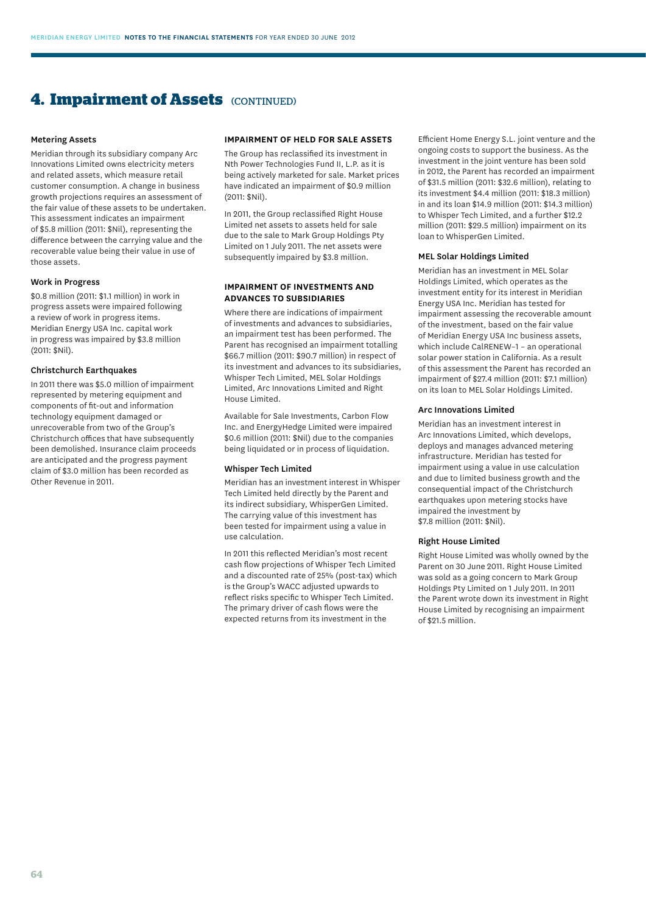## **4. Impairment of Assets (CONTINUED)**

## Metering Assets

Meridian through its subsidiary company Arc Innovations Limited owns electricity meters and related assets, which measure retail customer consumption. A change in business growth projections requires an assessment of the fair value of these assets to be undertaken. This assessment indicates an impairment of \$5.8 million (2011: \$Nil), representing the difference between the carrying value and the recoverable value being their value in use of those assets.

## Work in Progress

\$0.8 million (2011: \$1.1 million) in work in progress assets were impaired following a review of work in progress items. Meridian Energy USA Inc. capital work in progress was impaired by \$3.8 million (2011: \$Nil).

#### Christchurch Earthquakes

In 2011 there was \$5.0 million of impairment represented by metering equipment and components of fit-out and information technology equipment damaged or unrecoverable from two of the Group's Christchurch offices that have subsequently been demolished. Insurance claim proceeds are anticipated and the progress payment claim of \$3.0 million has been recorded as Other Revenue in 2011.

#### **Impairment of Held for Sale Assets**

The Group has reclassified its investment in Nth Power Technologies Fund II, L.P. as it is being actively marketed for sale. Market prices have indicated an impairment of \$0.9 million (2011: \$Nil).

In 2011, the Group reclassified Right House Limited net assets to assets held for sale due to the sale to Mark Group Holdings Pty Limited on 1 July 2011. The net assets were subsequently impaired by \$3.8 million.

## **Impairment of Investments and Advances to Subsidiaries**

Where there are indications of impairment of investments and advances to subsidiaries, an impairment test has been performed. The Parent has recognised an impairment totalling \$66.7 million (2011: \$90.7 million) in respect of its investment and advances to its subsidiaries, Whisper Tech Limited, MEL Solar Holdings Limited, Arc Innovations Limited and Right House Limited.

Available for Sale Investments, Carbon Flow Inc. and EnergyHedge Limited were impaired \$0.6 million (2011: \$Nil) due to the companies being liquidated or in process of liquidation.

## Whisper Tech Limited

Meridian has an investment interest in Whisper Tech Limited held directly by the Parent and its indirect subsidiary, WhisperGen Limited. The carrying value of this investment has been tested for impairment using a value in use calculation.

In 2011 this reflected Meridian's most recent cash flow projections of Whisper Tech Limited and a discounted rate of 25% (post-tax) which is the Group's WACC adjusted upwards to reflect risks specific to Whisper Tech Limited. The primary driver of cash flows were the expected returns from its investment in the

Efficient Home Energy S.L. joint venture and the ongoing costs to support the business. As the investment in the joint venture has been sold in 2012, the Parent has recorded an impairment of \$31.5 million (2011: \$32.6 million), relating to its investment \$4.4 million (2011: \$18.3 million) in and its loan \$14.9 million (2011: \$14.3 million) to Whisper Tech Limited, and a further \$12.2 million (2011: \$29.5 million) impairment on its loan to WhisperGen Limited.

## MEL Solar Holdings Limited

Meridian has an investment in MEL Solar Holdings Limited, which operates as the investment entity for its interest in Meridian Energy USA Inc. Meridian has tested for impairment assessing the recoverable amount of the investment, based on the fair value of Meridian Energy USA Inc business assets, which include CalRENEW–1 – an operational solar power station in California. As a result of this assessment the Parent has recorded an impairment of \$27.4 million (2011: \$7.1 million) on its loan to MEL Solar Holdings Limited.

## Arc Innovations Limited

Meridian has an investment interest in Arc Innovations Limited, which develops, deploys and manages advanced metering infrastructure. Meridian has tested for impairment using a value in use calculation and due to limited business growth and the consequential impact of the Christchurch earthquakes upon metering stocks have impaired the investment by \$7.8 million (2011: \$Nil).

### Right House Limited

Right House Limited was wholly owned by the Parent on 30 June 2011. Right House Limited was sold as a going concern to Mark Group Holdings Pty Limited on 1 July 2011. In 2011 the Parent wrote down its investment in Right House Limited by recognising an impairment of \$21.5 million.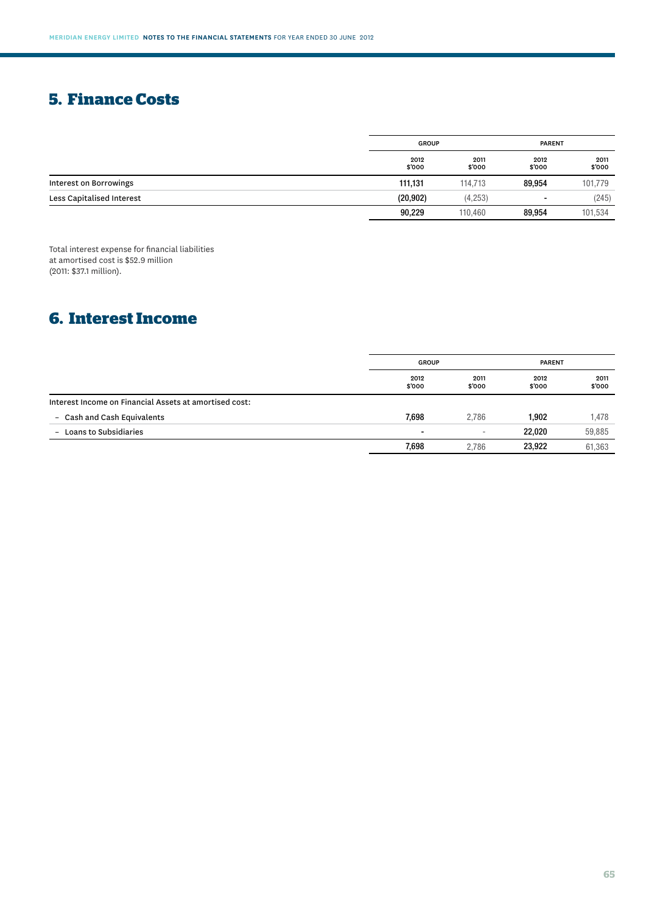## **5. Finance Costs**

|                        |                | <b>GROUP</b>   |                | <b>PARENT</b>  |
|------------------------|----------------|----------------|----------------|----------------|
|                        | 2012<br>\$'000 | 2011<br>\$'000 | 2012<br>\$'000 | 2011<br>\$'000 |
| Interest on Borrowings | 111,131        | 114.713        | 89,954         | 101,779        |
|                        | (20, 902)      | (4, 253)       |                | (245)          |
|                        | 90,229         | 110.460        | 89,954         | 101.534        |

Total interest expense for financial liabilities at amortised cost is \$52.9 million (2011: \$37.1 million).

## **6. Interest Income**

|                                                        | <b>GROUP</b>   |                          | <b>PARENT</b>  |                |
|--------------------------------------------------------|----------------|--------------------------|----------------|----------------|
|                                                        | 2012<br>\$'000 | 2011<br>\$'000           | 2012<br>\$'000 | 2011<br>\$'000 |
| Interest Income on Financial Assets at amortised cost: |                |                          |                |                |
| - Cash and Cash Equivalents                            | 7,698          | 2.786                    | 1,902          | 1,478          |
| - Loans to Subsidiaries                                | ۰              | $\overline{\phantom{a}}$ | 22.020         | 59,885         |
|                                                        | 7,698          | 2.786                    | 23.922         | 61.363         |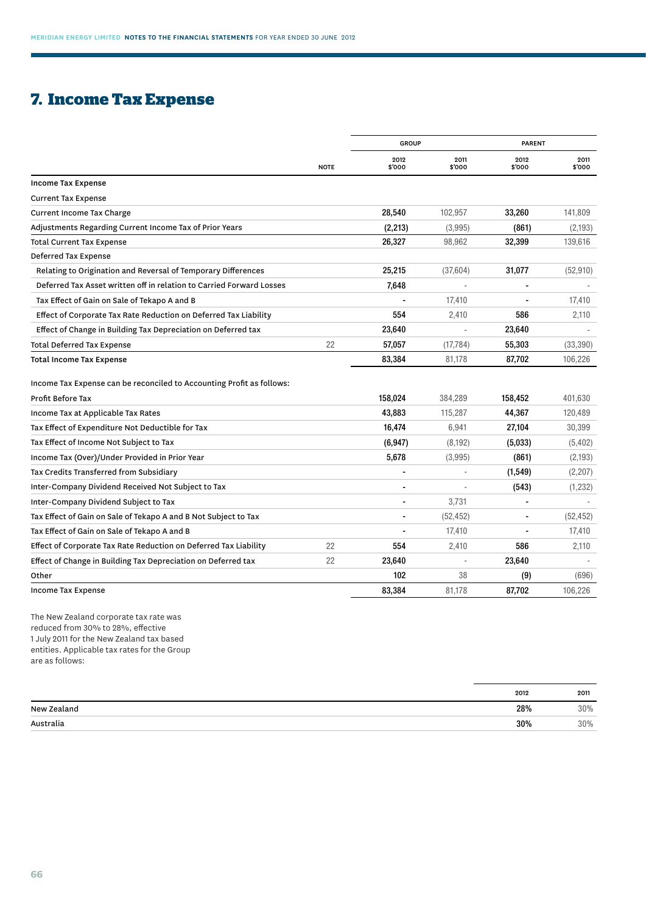## **7. Income Tax Expense**

|                                                                       |             | <b>GROUP</b>   |                | <b>PARENT</b>  |                |
|-----------------------------------------------------------------------|-------------|----------------|----------------|----------------|----------------|
|                                                                       | <b>NOTE</b> | 2012<br>\$'000 | 2011<br>\$'000 | 2012<br>\$'000 | 2011<br>\$'000 |
| <b>Income Tax Expense</b>                                             |             |                |                |                |                |
| <b>Current Tax Expense</b>                                            |             |                |                |                |                |
| Current Income Tax Charge                                             |             | 28,540         | 102,957        | 33,260         | 141,809        |
| Adjustments Regarding Current Income Tax of Prior Years               |             | (2, 213)       | (3,995)        | (861)          | (2, 193)       |
| <b>Total Current Tax Expense</b>                                      |             | 26,327         | 98,962         | 32,399         | 139,616        |
| Deferred Tax Expense                                                  |             |                |                |                |                |
| Relating to Origination and Reversal of Temporary Differences         |             | 25,215         | (37,604)       | 31,077         | (52, 910)      |
| Deferred Tax Asset written off in relation to Carried Forward Losses  |             | 7,648          |                |                |                |
| Tax Effect of Gain on Sale of Tekapo A and B                          |             |                | 17,410         |                | 17,410         |
| Effect of Corporate Tax Rate Reduction on Deferred Tax Liability      |             | 554            | 2,410          | 586            | 2,110          |
| Effect of Change in Building Tax Depreciation on Deferred tax         |             | 23,640         |                | 23,640         |                |
| <b>Total Deferred Tax Expense</b>                                     | 22          | 57,057         | (17, 784)      | 55,303         | (33, 390)      |
| <b>Total Income Tax Expense</b>                                       |             | 83,384         | 81,178         | 87,702         | 106,226        |
| Income Tax Expense can be reconciled to Accounting Profit as follows: |             |                |                |                |                |
| <b>Profit Before Tax</b>                                              |             | 158,024        | 384,289        | 158,452        | 401,630        |
| Income Tax at Applicable Tax Rates                                    |             | 43,883         | 115,287        | 44,367         | 120,489        |
| Tax Effect of Expenditure Not Deductible for Tax                      |             | 16.474         | 6,941          | 27,104         | 30,399         |
| Tax Effect of Income Not Subject to Tax                               |             | (6, 947)       | (8, 192)       | (5,033)        | (5, 402)       |
| Income Tax (Over)/Under Provided in Prior Year                        |             | 5,678          | (3,995)        | (861)          | (2, 193)       |
| Tax Credits Transferred from Subsidiary                               |             |                |                | (1, 549)       | (2, 207)       |
| Inter-Company Dividend Received Not Subject to Tax                    |             |                |                | (543)          | (1, 232)       |
| Inter-Company Dividend Subject to Tax                                 |             |                | 3,731          |                |                |
| Tax Effect of Gain on Sale of Tekapo A and B Not Subject to Tax       |             |                | (52, 452)      |                | (52, 452)      |
| Tax Effect of Gain on Sale of Tekapo A and B                          |             |                | 17,410         |                | 17,410         |
| Effect of Corporate Tax Rate Reduction on Deferred Tax Liability      | 22          | 554            | 2,410          | 586            | 2.110          |
| Effect of Change in Building Tax Depreciation on Deferred tax         | 22          | 23,640         |                | 23,640         |                |
| Other                                                                 |             | 102            | 38             | (9)            | (696)          |
| Income Tax Expense                                                    |             | 83,384         | 81.178         | 87,702         | 106,226        |
|                                                                       |             |                |                |                |                |

The New Zealand corporate tax rate was reduced from 30% to 28%, effective 1 July 2011 for the New Zealand tax based entities. Applicable tax rates for the Group are as follows:

|             | 2012 | 2011 |
|-------------|------|------|
| New Zealand | 28%  | 30%  |
| Auctroli    | 30%  | 30%  |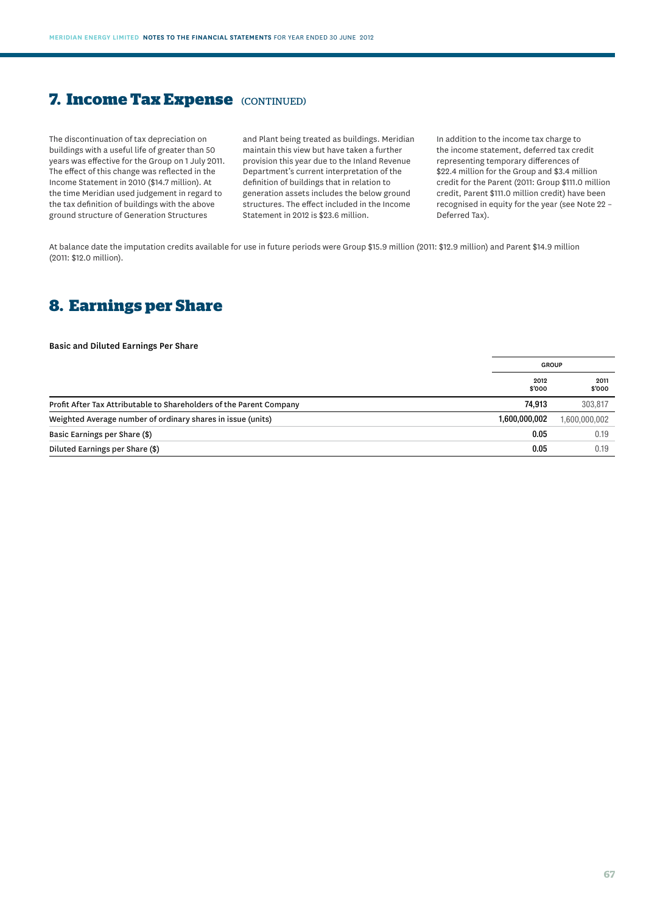## **7. Income Tax Expense** (CONTINUED)

The discontinuation of tax depreciation on buildings with a useful life of greater than 50 years was effective for the Group on 1 July 2011. The effect of this change was reflected in the Income Statement in 2010 (\$14.7 million). At the time Meridian used judgement in regard to the tax definition of buildings with the above ground structure of Generation Structures

and Plant being treated as buildings. Meridian maintain this view but have taken a further provision this year due to the Inland Revenue Department's current interpretation of the definition of buildings that in relation to generation assets includes the below ground structures. The effect included in the Income Statement in 2012 is \$23.6 million.

In addition to the income tax charge to the income statement, deferred tax credit representing temporary differences of \$22.4 million for the Group and \$3.4 million credit for the Parent (2011: Group \$111.0 million credit, Parent \$111.0 million credit) have been recognised in equity for the year (see Note 22 – Deferred Tax).

At balance date the imputation credits available for use in future periods were Group \$15.9 million (2011: \$12.9 million) and Parent \$14.9 million (2011: \$12.0 million).

## **8. Earnings per Share**

Basic and Diluted Earnings Per Share

|                                                                     | <b>GROUP</b>   |                |
|---------------------------------------------------------------------|----------------|----------------|
|                                                                     | 2012<br>\$'000 | 2011<br>\$'000 |
| Profit After Tax Attributable to Shareholders of the Parent Company | 74.913         | 303.817        |
| Weighted Average number of ordinary shares in issue (units)         | 1,600,000,002  | 1,600,000,002  |
| Basic Earnings per Share (\$)                                       | 0.05           | 0.19           |
| Diluted Earnings per Share (\$)                                     | 0.05           | 0.19           |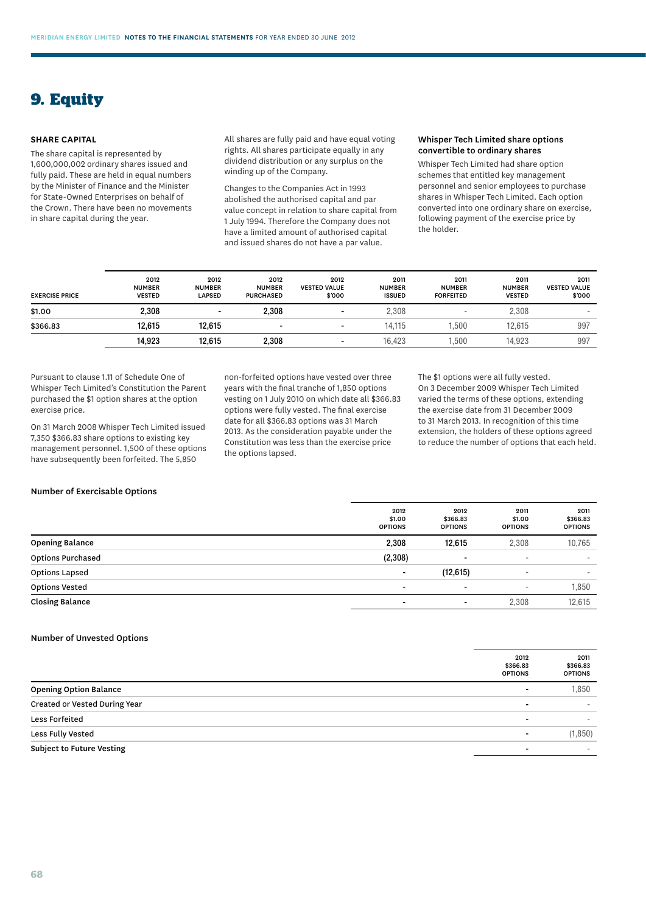## **9. Equity**

## **Share Capital**

The share capital is represented by 1,600,000,002 ordinary shares issued and fully paid. These are held in equal numbers by the Minister of Finance and the Minister for State-Owned Enterprises on behalf of the Crown. There have been no movements in share capital during the year.

All shares are fully paid and have equal voting rights. All shares participate equally in any dividend distribution or any surplus on the winding up of the Company.

Changes to the Companies Act in 1993 abolished the authorised capital and par value concept in relation to share capital from 1 July 1994. Therefore the Company does not have a limited amount of authorised capital and issued shares do not have a par value.

## Whisper Tech Limited share options convertible to ordinary shares

Whisper Tech Limited had share option schemes that entitled key management personnel and senior employees to purchase shares in Whisper Tech Limited. Each option converted into one ordinary share on exercise, following payment of the exercise price by the holder.

| <b>EXERCISE PRICE</b> | 2012<br><b>NUMBER</b><br><b>VESTED</b> | 2012<br><b>NUMBER</b><br><b>LAPSED</b> | 2012<br><b>NUMBER</b><br><b>PURCHASED</b> | 2012<br><b>VESTED VALUE</b><br>\$'000 | 2011<br><b>NUMBER</b><br><b>ISSUED</b> | 2011<br><b>NUMBER</b><br><b>FORFEITED</b> | 2011<br><b>NUMBER</b><br><b>VESTED</b> | 2011<br><b>VESTED VALUE</b><br>\$'000 |
|-----------------------|----------------------------------------|----------------------------------------|-------------------------------------------|---------------------------------------|----------------------------------------|-------------------------------------------|----------------------------------------|---------------------------------------|
| \$1.00                | 2,308                                  | -                                      | 2,308                                     | -                                     | 2,308                                  | -                                         | 2,308                                  |                                       |
| \$366.83              | 12.615                                 | 12.615                                 | $\overline{\phantom{a}}$                  | $\overline{\phantom{a}}$              | 14.115                                 | .500                                      | 12.615                                 | 997                                   |
|                       | 14.923                                 | 12.615                                 | 2,308                                     | -                                     | 16.423                                 | 1.500                                     | 14.923                                 | 997                                   |

Pursuant to clause 1.11 of Schedule One of Whisper Tech Limited's Constitution the Parent purchased the \$1 option shares at the option exercise price.

On 31 March 2008 Whisper Tech Limited issued 7,350 \$366.83 share options to existing key management personnel. 1,500 of these options have subsequently been forfeited. The 5,850

non-forfeited options have vested over three years with the final tranche of 1,850 options vesting on 1 July 2010 on which date all \$366.83 options were fully vested. The final exercise date for all \$366.83 options was 31 March 2013. As the consideration payable under the Constitution was less than the exercise price the options lapsed.

The \$1 options were all fully vested. On 3 December 2009 Whisper Tech Limited varied the terms of these options, extending the exercise date from 31 December 2009 to 31 March 2013. In recognition of this time extension, the holders of these options agreed to reduce the number of options that each held.

## Number of Exercisable Options

|                          | 2012<br>\$1.00<br><b>OPTIONS</b> | 2012<br>\$366.83<br><b>OPTIONS</b> | 2011<br>\$1.00<br><b>OPTIONS</b> | 2011<br>\$366.83<br><b>OPTIONS</b> |
|--------------------------|----------------------------------|------------------------------------|----------------------------------|------------------------------------|
| <b>Opening Balance</b>   | 2,308                            | 12,615                             | 2,308                            | 10,765                             |
| <b>Options Purchased</b> | (2,308)                          | ۰                                  | $\overline{\phantom{a}}$         | $\sim$                             |
| <b>Options Lapsed</b>    | $\overline{\phantom{a}}$         | (12,615)                           | $\overline{\phantom{a}}$         | $\overline{\phantom{a}}$           |
| <b>Options Vested</b>    | $\overline{\phantom{a}}$         | ۰                                  | $\overline{\phantom{a}}$         | 1,850                              |
| <b>Closing Balance</b>   | $\overline{\phantom{a}}$         | ۰                                  | 2,308                            | 12,615                             |

### Number of Unvested Options

|                                  | 2012<br>\$366.83<br><b>OPTIONS</b> | 2011<br>\$366.83<br><b>OPTIONS</b> |
|----------------------------------|------------------------------------|------------------------------------|
| <b>Opening Option Balance</b>    |                                    | 1,850                              |
| Created or Vested During Year    | -                                  |                                    |
| <b>Less Forfeited</b>            |                                    |                                    |
| Less Fully Vested                | ۰                                  | (1, 850)                           |
| <b>Subject to Future Vesting</b> |                                    |                                    |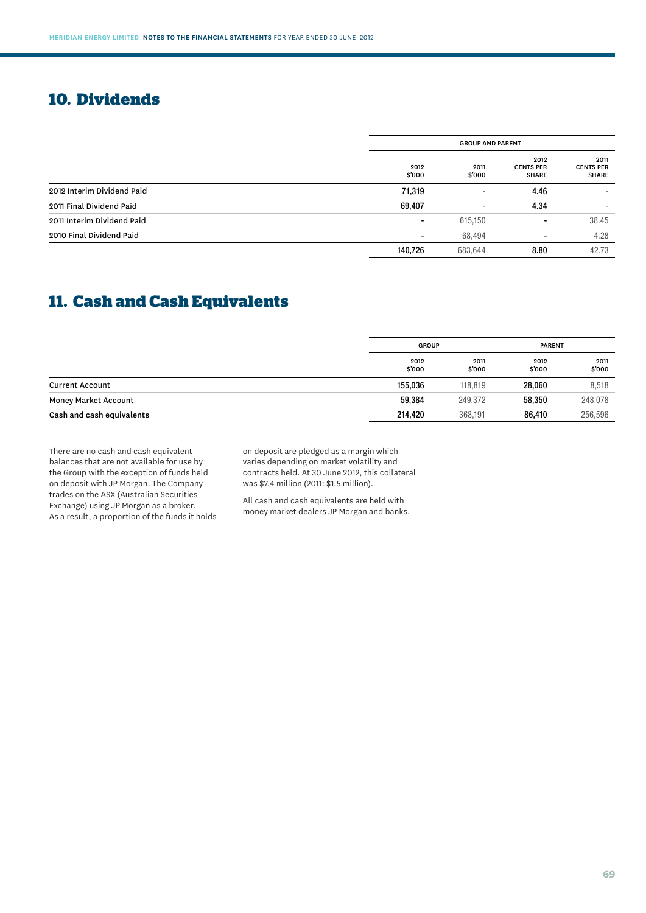## **10. Dividends**

|                            | <b>GROUP AND PARENT</b> |                          |                                          |                                          |
|----------------------------|-------------------------|--------------------------|------------------------------------------|------------------------------------------|
|                            | 2012<br>\$'000          | 2011<br>\$'000           | 2012<br><b>CENTS PER</b><br><b>SHARE</b> | 2011<br><b>CENTS PER</b><br><b>SHARE</b> |
| 2012 Interim Dividend Paid | 71,319                  | $\overline{\phantom{a}}$ | 4.46                                     | $\overline{\phantom{a}}$                 |
| 2011 Final Dividend Paid   | 69,407                  | $\overline{\phantom{a}}$ | 4.34                                     | $\overline{\phantom{a}}$                 |
| 2011 Interim Dividend Paid | ٠                       | 615,150                  | ۰                                        | 38.45                                    |
| 2010 Final Dividend Paid   | ۰                       | 68,494                   | ۰                                        | 4.28                                     |
|                            | 140,726                 | 683.644                  | 8.80                                     | 42.73                                    |

## **11. Cash and Cash Equivalents**

| <b>GROUP</b>   |                | <b>PARENT</b>  |                |
|----------------|----------------|----------------|----------------|
| 2012<br>\$'000 | 2011<br>\$'000 | 2012<br>\$'000 | 2011<br>\$'000 |
| 155,036        | 118,819        | 28,060         | 8,518          |
| 59.384         | 249.372        | 58.350         | 248,078        |
| 214.420        | 368.191        | 86,410         | 256,596        |

There are no cash and cash equivalent balances that are not available for use by the Group with the exception of funds held on deposit with JP Morgan. The Company trades on the ASX (Australian Securities Exchange) using JP Morgan as a broker. As a result, a proportion of the funds it holds on deposit are pledged as a margin which varies depending on market volatility and contracts held. At 30 June 2012, this collateral was \$7.4 million (2011: \$1.5 million).

All cash and cash equivalents are held with money market dealers JP Morgan and banks.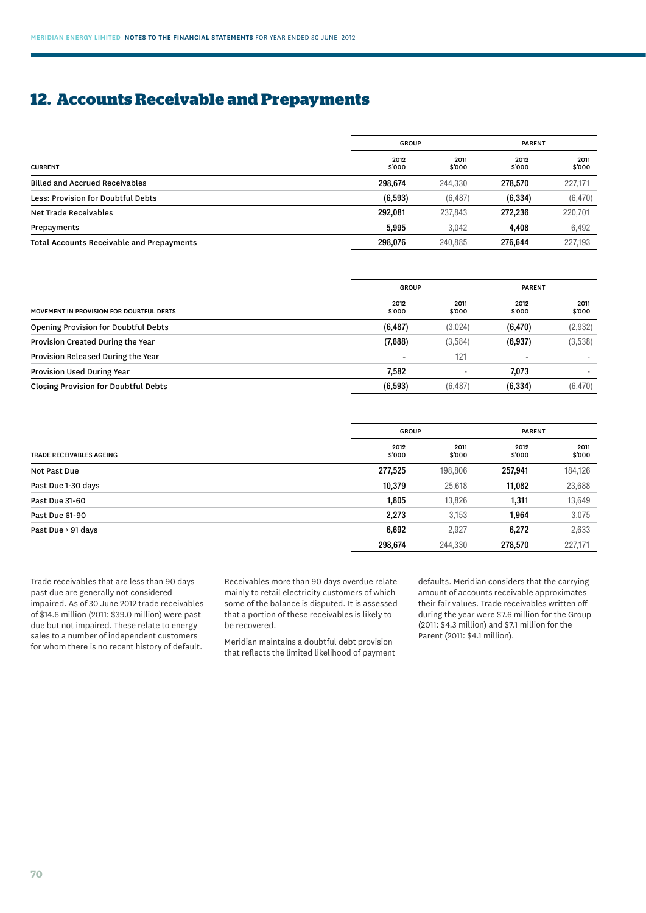## **12. Accounts Receivable and Prepayments**

|                                           | <b>GROUP</b>   |                | <b>PARENT</b>  |                |  |
|-------------------------------------------|----------------|----------------|----------------|----------------|--|
| <b>CURRENT</b>                            | 2012<br>\$'000 | 2011<br>\$'000 | 2012<br>\$'000 | 2011<br>\$'000 |  |
| <b>Billed and Accrued Receivables</b>     | 298.674        | 244.330        | 278.570        | 227,171        |  |
| <b>Less: Provision for Doubtful Debts</b> | (6, 593)       | (6, 487)       | (6, 334)       | (6, 470)       |  |
| Net Trade Receivables                     | 292.081        | 237.843        | 272.236        | 220,701        |  |
| Prepayments                               | 5.995          | 3.042          | 4,408          | 6,492          |  |
| Total Accounts Receivable and Prepayments | 298.076        | 240.885        | 276.644        | 227,193        |  |

|                                             | <b>GROUP</b>   |                          | <b>PARENT</b>  |                |
|---------------------------------------------|----------------|--------------------------|----------------|----------------|
| MOVEMENT IN PROVISION FOR DOUBTFUL DEBTS    | 2012<br>\$'000 | 2011<br>\$'000           | 2012<br>\$'000 | 2011<br>\$'000 |
| Opening Provision for Doubtful Debts        | (6, 487)       | (3,024)                  | (6, 470)       | (2,932)        |
| Provision Created During the Year           | (7,688)        | (3,584)                  | (6, 937)       | (3,538)        |
| Provision Released During the Year          |                | 121                      |                |                |
| Provision Used During Year                  | 7,582          | $\overline{\phantom{a}}$ | 7,073          |                |
| <b>Closing Provision for Doubtful Debts</b> | (6, 593)       | (6, 487)                 | (6, 334)       | (6, 470)       |

|                                 | <b>GROUP</b>   |                | <b>PARENT</b>  |                |
|---------------------------------|----------------|----------------|----------------|----------------|
| <b>TRADE RECEIVABLES AGEING</b> | 2012<br>\$'000 | 2011<br>\$'000 | 2012<br>\$'000 | 2011<br>\$'000 |
| Not Past Due                    | 277,525        | 198,806        | 257,941        | 184,126        |
| Past Due 1-30 days              | 10,379         | 25,618         | 11,082         | 23,688         |
| Past Due 31-60                  | 1,805          | 13,826         | 1,311          | 13,649         |
| Past Due 61-90                  | 2,273          | 3,153          | 1,964          | 3,075          |
| Past Due > 91 days              | 6,692          | 2,927          | 6,272          | 2,633          |
|                                 | 298,674        | 244,330        | 278,570        | 227,171        |

Trade receivables that are less than 90 days past due are generally not considered impaired. As of 30 June 2012 trade receivables of \$14.6 million (2011: \$39.0 million) were past due but not impaired. These relate to energy sales to a number of independent customers for whom there is no recent history of default.

Receivables more than 90 days overdue relate mainly to retail electricity customers of which some of the balance is disputed. It is assessed that a portion of these receivables is likely to be recovered.

Meridian maintains a doubtful debt provision that reflects the limited likelihood of payment defaults. Meridian considers that the carrying amount of accounts receivable approximates their fair values. Trade receivables written off during the year were \$7.6 million for the Group (2011: \$4.3 million) and \$7.1 million for the Parent (2011: \$4.1 million).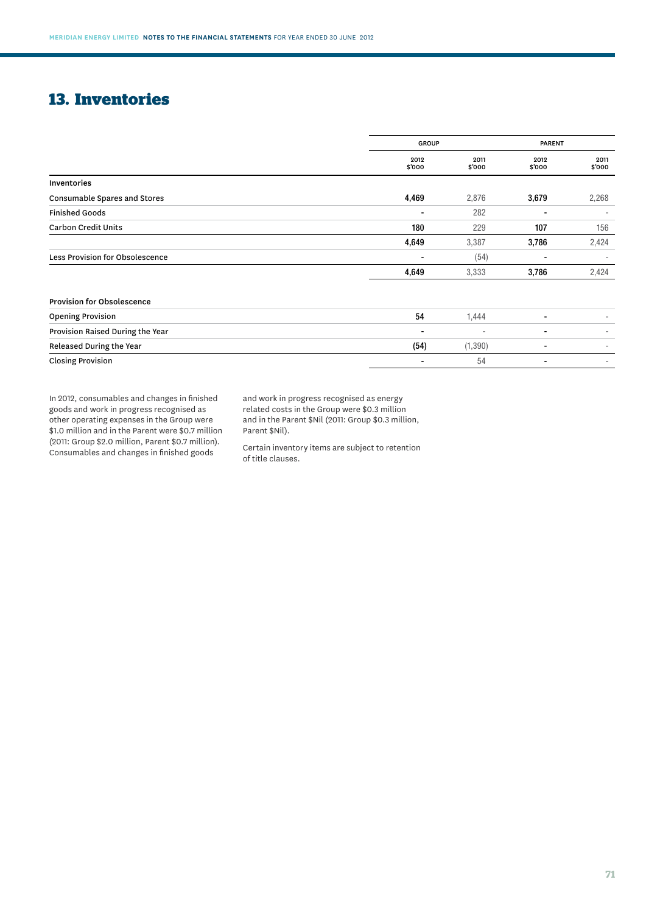## **13. Inventories**

| <b>GROUP</b>   |                | <b>PARENT</b>  |                          |
|----------------|----------------|----------------|--------------------------|
| 2012<br>\$'000 | 2011<br>\$'000 | 2012<br>\$'000 | 2011<br>\$'000           |
|                |                |                |                          |
| 4,469          | 2,876          | 3,679          | 2,268                    |
| ٠              | 282            | ٠              | $\overline{\phantom{a}}$ |
| 180            | 229            | 107            | 156                      |
| 4,649          | 3,387          | 3,786          | 2,424                    |
| ٠              | (54)           | $\blacksquare$ |                          |
| 4,649          | 3,333          | 3,786          | 2,424                    |
|                |                |                |                          |
| 54             | 1,444          | ۰              | $\overline{\phantom{a}}$ |
|                |                |                |                          |

|                                  | - - | .      |  |
|----------------------------------|-----|--------|--|
| Provision Raised During the Year |     |        |  |
| Released During the Year         | 154 | 1.390) |  |
| <b>Closing Provision</b>         |     |        |  |

In 2012, consumables and changes in finished goods and work in progress recognised as other operating expenses in the Group were \$1.0 million and in the Parent were \$0.7 million (2011: Group \$2.0 million, Parent \$0.7 million). Consumables and changes in finished goods

and work in progress recognised as energy related costs in the Group were \$0.3 million and in the Parent \$Nil (2011: Group \$0.3 million, Parent \$Nil).

Certain inventory items are subject to retention of title clauses.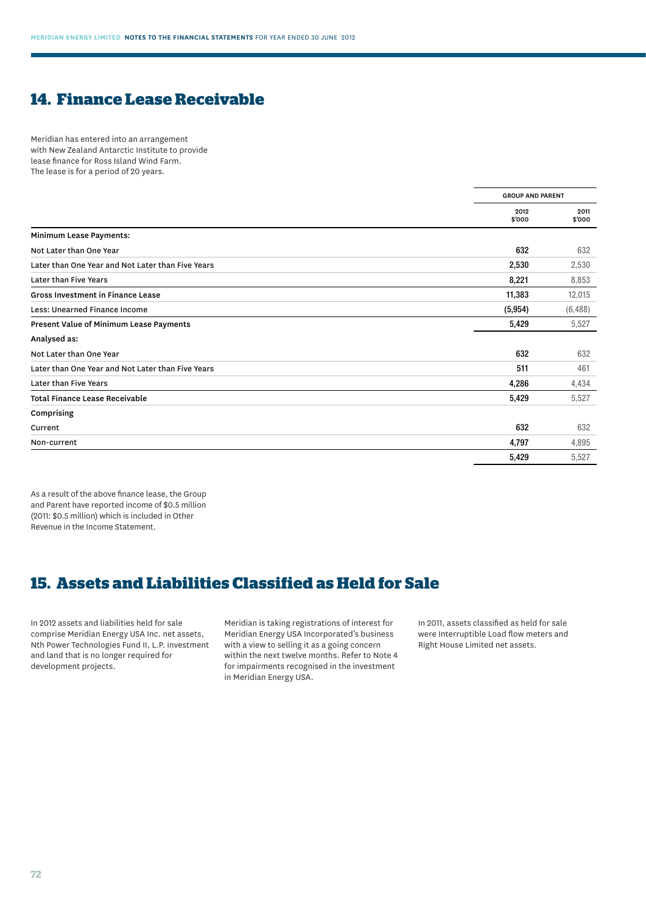## **14. Finance Lease Receivable**

Meridian has entered into an arrangement with New Zealand Antarctic Institute to provide lease finance for Ross Island Wind Farm. The lease is for a period of 20 years.

|                                                   | <b>GROUP AND PARENT</b> |                |
|---------------------------------------------------|-------------------------|----------------|
|                                                   | 2012<br>\$'000          | 2011<br>\$'000 |
| Minimum Lease Payments:                           |                         |                |
| Not Later than One Year                           | 632                     | 632            |
| Later than One Year and Not Later than Five Years | 2,530                   | 2,530          |
| Later than Five Years                             | 8,221                   | 8,853          |
| <b>Gross Investment in Finance Lease</b>          | 11,383                  | 12,015         |
| Less: Unearned Finance Income                     | (5, 954)                | (6, 488)       |
| Present Value of Minimum Lease Payments           | 5,429                   | 5,527          |
| Analysed as:                                      |                         |                |
| Not Later than One Year                           | 632                     | 632            |
| Later than One Year and Not Later than Five Years | 511                     | 461            |
| Later than Five Years                             | 4,286                   | 4,434          |
| <b>Total Finance Lease Receivable</b>             | 5,429                   | 5,527          |
| Comprising                                        |                         |                |
| Current                                           | 632                     | 632            |
| Non-current                                       | 4,797                   | 4,895          |
|                                                   | 5,429                   | 5,527          |

As a result of the above finance lease, the Group and Parent have reported income of \$0.5 million (2011: \$0.5 million) which is included in Other Revenue in the Income Statement.

## **15. Assets and Liabilities Classified as Held for Sale**

In 2012 assets and liabilities held for sale comprise Meridian Energy USA Inc. net assets, Nth Power Technologies Fund II, L.P. investment and land that is no longer required for development projects.

Meridian is taking registrations of interest for Meridian Energy USA Incorporated's business with a view to selling it as a going concern within the next twelve months. Refer to Note 4 for impairments recognised in the investment in Meridian Energy USA.

In 2011, assets classified as held for sale were Interruptible Load flow meters and Right House Limited net assets.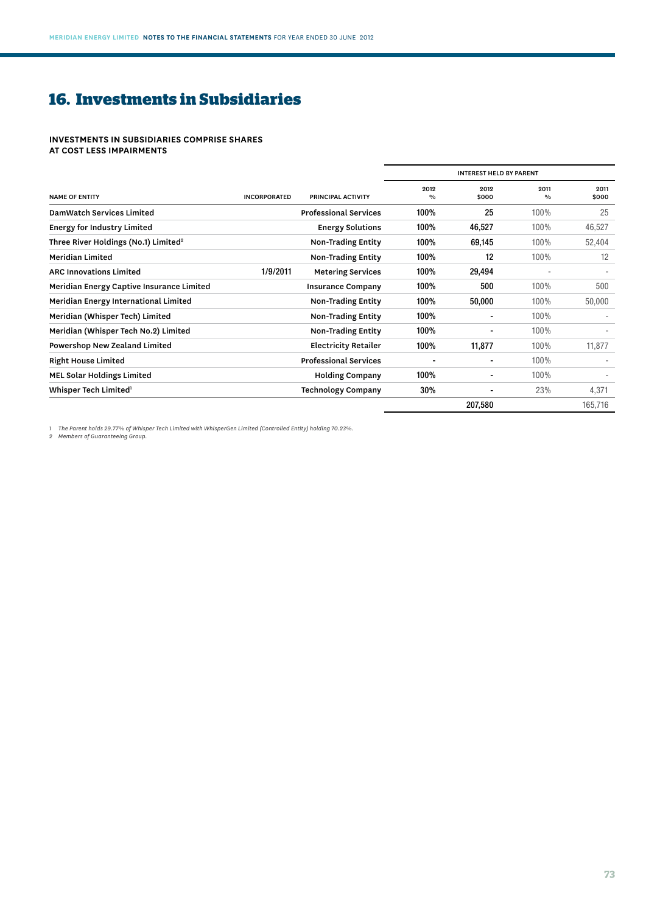## **16. Investments in Subsidiaries**

## **Investments in subsidiaries comprise shares at cost less impairments**

|                                                  |                     |                              | <b>INTEREST HELD BY PARENT</b> |               |                       |               |
|--------------------------------------------------|---------------------|------------------------------|--------------------------------|---------------|-----------------------|---------------|
| <b>NAME OF ENTITY</b>                            | <b>INCORPORATED</b> | PRINCIPAL ACTIVITY           | 2012<br>$\frac{0}{0}$          | 2012<br>\$000 | 2011<br>$\frac{0}{0}$ | 2011<br>\$000 |
| DamWatch Services Limited                        |                     | <b>Professional Services</b> | 100%                           | 25            | 100%                  | 25            |
| <b>Energy for Industry Limited</b>               |                     | <b>Energy Solutions</b>      | 100%                           | 46,527        | 100%                  | 46,527        |
| Three River Holdings (No.1) Limited <sup>2</sup> |                     | <b>Non-Trading Entity</b>    | 100%                           | 69,145        | 100%                  | 52,404        |
| <b>Meridian Limited</b>                          |                     | <b>Non-Trading Entity</b>    | 100%                           | 12            | 100%                  | 12            |
| <b>ARC Innovations Limited</b>                   | 1/9/2011            | <b>Metering Services</b>     | 100%                           | 29,494        |                       |               |
| Meridian Energy Captive Insurance Limited        |                     | <b>Insurance Company</b>     | 100%                           | 500           | 100%                  | 500           |
| Meridian Energy International Limited            |                     | <b>Non-Trading Entity</b>    | 100%                           | 50,000        | 100%                  | 50,000        |
| Meridian (Whisper Tech) Limited                  |                     | <b>Non-Trading Entity</b>    | 100%                           |               | 100%                  |               |
| Meridian (Whisper Tech No.2) Limited             |                     | <b>Non-Trading Entity</b>    | 100%                           |               | 100%                  |               |
| Powershop New Zealand Limited                    |                     | <b>Electricity Retailer</b>  | 100%                           | 11,877        | 100%                  | 11,877        |
| <b>Right House Limited</b>                       |                     | <b>Professional Services</b> |                                |               | 100%                  |               |
| MEL Solar Holdings Limited                       |                     | <b>Holding Company</b>       | 100%                           |               | 100%                  |               |
| Whisper Tech Limited <sup>1</sup>                |                     | <b>Technology Company</b>    | 30%                            |               | 23%                   | 4,371         |
|                                                  |                     |                              |                                | 207,580       |                       | 165,716       |

*1 The Parent holds 29.77% of Whisper Tech Limited with WhisperGen Limited (Controlled Entity) holding 70.23%. 2 Members of Guaranteeing Group.*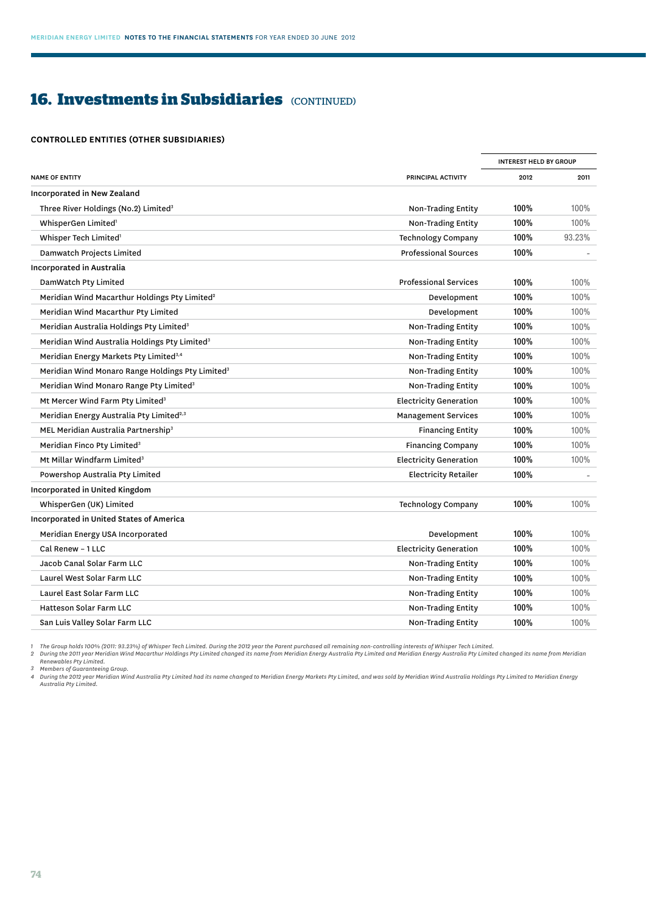## **16. Investments in Subsidiaries** (CONTINUED)

## **Controlled Entities (Other Subsidiaries)**

|                                                              |                               | <b>INTEREST HELD BY GROUP</b> |        |
|--------------------------------------------------------------|-------------------------------|-------------------------------|--------|
| <b>NAME OF ENTITY</b>                                        | PRINCIPAL ACTIVITY            | 2012                          | 2011   |
| Incorporated in New Zealand                                  |                               |                               |        |
| Three River Holdings (No.2) Limited <sup>3</sup>             | Non-Trading Entity            | 100%                          | 100%   |
| WhisperGen Limited <sup>1</sup>                              | Non-Trading Entity            | 100%                          | 100%   |
| Whisper Tech Limited <sup>1</sup>                            | <b>Technology Company</b>     | 100%                          | 93.23% |
| Damwatch Projects Limited                                    | <b>Professional Sources</b>   | 100%                          |        |
| <b>Incorporated in Australia</b>                             |                               |                               |        |
| DamWatch Pty Limited                                         | <b>Professional Services</b>  | 100%                          | 100%   |
| Meridian Wind Macarthur Holdings Pty Limited <sup>2</sup>    | Development                   | 100%                          | 100%   |
| Meridian Wind Macarthur Pty Limited                          | Development                   | 100%                          | 100%   |
| Meridian Australia Holdings Pty Limited <sup>3</sup>         | Non-Trading Entity            | 100%                          | 100%   |
| Meridian Wind Australia Holdings Pty Limited <sup>3</sup>    | Non-Trading Entity            | 100%                          | 100%   |
| Meridian Energy Markets Pty Limited <sup>3,4</sup>           | Non-Trading Entity            | 100%                          | 100%   |
| Meridian Wind Monaro Range Holdings Pty Limited <sup>3</sup> | Non-Trading Entity            | 100%                          | 100%   |
| Meridian Wind Monaro Range Pty Limited <sup>3</sup>          | Non-Trading Entity            | 100%                          | 100%   |
| Mt Mercer Wind Farm Pty Limited <sup>3</sup>                 | <b>Electricity Generation</b> | 100%                          | 100%   |
| Meridian Energy Australia Pty Limited <sup>2,3</sup>         | <b>Management Services</b>    | 100%                          | 100%   |
| MEL Meridian Australia Partnership <sup>3</sup>              | <b>Financing Entity</b>       | 100%                          | 100%   |
| Meridian Finco Pty Limited <sup>3</sup>                      | <b>Financing Company</b>      | 100%                          | 100%   |
| Mt Millar Windfarm Limited <sup>3</sup>                      | <b>Electricity Generation</b> | 100%                          | 100%   |
| Powershop Australia Pty Limited                              | <b>Electricity Retailer</b>   | 100%                          |        |
| Incorporated in United Kingdom                               |                               |                               |        |
| WhisperGen (UK) Limited                                      | <b>Technology Company</b>     | 100%                          | 100%   |
| Incorporated in United States of America                     |                               |                               |        |
| Meridian Energy USA Incorporated                             | Development                   | 100%                          | 100%   |
| Cal Renew - 1 LLC                                            | <b>Electricity Generation</b> | 100%                          | 100%   |
| Jacob Canal Solar Farm LLC                                   | Non-Trading Entity            | 100%                          | 100%   |
| Laurel West Solar Farm LLC                                   | Non-Trading Entity            | 100%                          | 100%   |
| Laurel East Solar Farm LLC                                   | Non-Trading Entity            | 100%                          | 100%   |
| Hatteson Solar Farm LLC                                      | Non-Trading Entity            | 100%                          | 100%   |
| San Luis Valley Solar Farm LLC                               | Non-Trading Entity            | 100%                          | 100%   |

*1 The Group holds 100% (2011: 93.23%) of Whisper Tech Limited. During the 2012 year the Parent purchased all remaining non-controlling interests of Whisper Tech Limited.*

2 During the 2011 year Meridian Wind Macarthur Holdings Pty Limited changed its name from Meridian Energy Australia Pty Limited nergy Australia Pty Limited changed its name from Meridian<br>3 Members of Guaranteeing Group.<br>4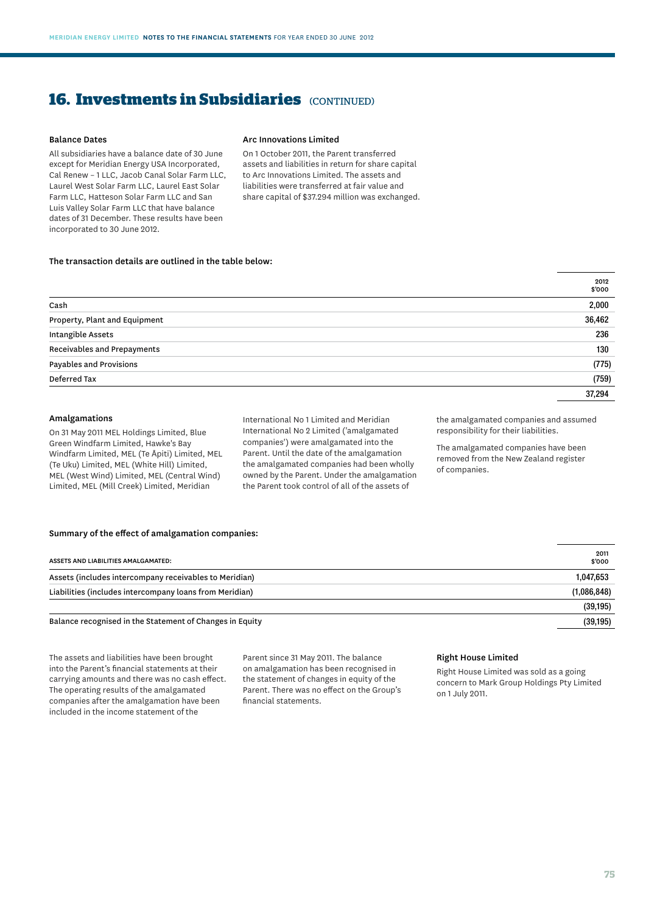## **16. Investments in Subsidiaries** (CONTINUED)

#### Balance Dates

All subsidiaries have a balance date of 30 June except for Meridian Energy USA Incorporated, Cal Renew – 1 LLC, Jacob Canal Solar Farm LLC, Laurel West Solar Farm LLC, Laurel East Solar Farm LLC, Hatteson Solar Farm LLC and San Luis Valley Solar Farm LLC that have balance dates of 31 December. These results have been incorporated to 30 June 2012.

## Arc Innovations Limited

On 1 October 2011, the Parent transferred assets and liabilities in return for share capital to Arc Innovations Limited. The assets and liabilities were transferred at fair value and share capital of \$37.294 million was exchanged.

## The transaction details are outlined in the table below:

|                               | 2012<br>\$'000 |
|-------------------------------|----------------|
| Cash                          | 2,000          |
| Property, Plant and Equipment | 36,462         |
| Intangible Assets             | 236            |
| Receivables and Prepayments   | 130            |
| Payables and Provisions       | (775)          |
| Deferred Tax                  | (759)          |
|                               | 37,294         |

## Amalgamations

On 31 May 2011 MEL Holdings Limited, Blue Green Windfarm Limited, Hawke's Bay Windfarm Limited, MEL (Te Āpiti) Limited, MEL (Te Uku) Limited, MEL (White Hill) Limited, MEL (West Wind) Limited, MEL (Central Wind) Limited, MEL (Mill Creek) Limited, Meridian

International No 1 Limited and Meridian International No 2 Limited ('amalgamated companies') were amalgamated into the Parent. Until the date of the amalgamation the amalgamated companies had been wholly owned by the Parent. Under the amalgamation the Parent took control of all of the assets of

the amalgamated companies and assumed responsibility for their liabilities.

The amalgamated companies have been removed from the New Zealand register of companies.

### Summary of the effect of amalgamation companies:

| <b>ASSETS AND LIABILITIES AMALGAMATED:</b>               | 2011<br>\$'000 |
|----------------------------------------------------------|----------------|
| Assets (includes intercompany receivables to Meridian)   | 1,047,653      |
| Liabilities (includes intercompany loans from Meridian)  | (1,086,848)    |
|                                                          | (39, 195)      |
| Balance recognised in the Statement of Changes in Equity | (39, 195)      |

The assets and liabilities have been brought into the Parent's financial statements at their carrying amounts and there was no cash effect. The operating results of the amalgamated companies after the amalgamation have been included in the income statement of the

Parent since 31 May 2011. The balance on amalgamation has been recognised in the statement of changes in equity of the Parent. There was no effect on the Group's financial statements.

## Right House Limited

Right House Limited was sold as a going concern to Mark Group Holdings Pty Limited on 1 July 2011.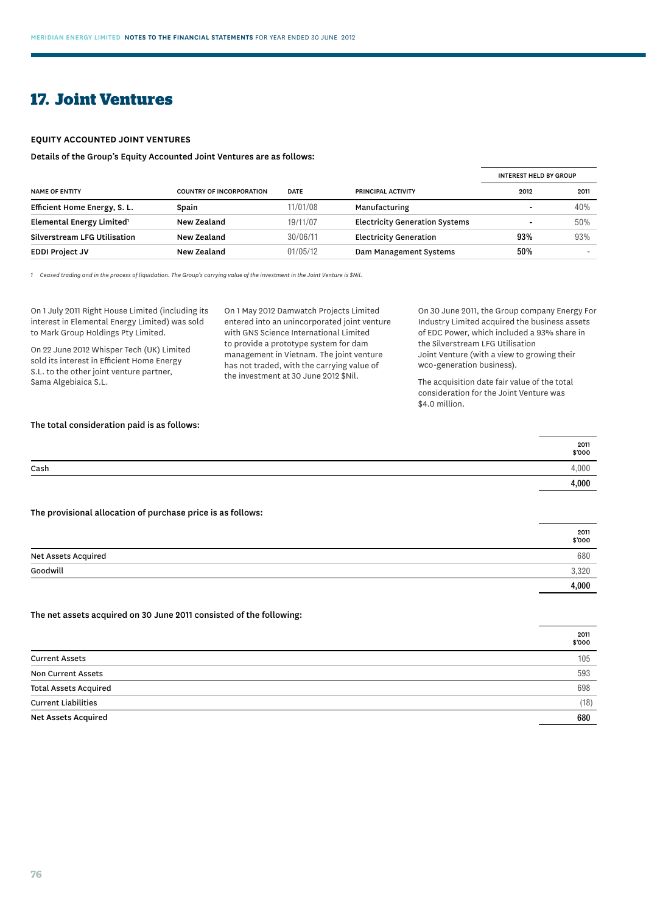## **17. Joint Ventures**

## **Equity Accounted Joint Ventures**

## Details of the Group's Equity Accounted Joint Ventures are as follows:

|                                       |                                 |             |                                | <b>INTEREST HELD BY GROUP</b> |      |
|---------------------------------------|---------------------------------|-------------|--------------------------------|-------------------------------|------|
| <b>NAME OF ENTITY</b>                 | <b>COUNTRY OF INCORPORATION</b> | <b>DATE</b> | PRINCIPAL ACTIVITY             | 2012                          | 2011 |
| Efficient Home Energy, S. L.          | Spain                           | 11/01/08    | Manufacturing                  |                               | 40%  |
| Elemental Energy Limited <sup>1</sup> | New Zealand                     | 19/11/07    | Electricity Generation Systems |                               | 50%  |
| Silverstream LFG Utilisation          | New Zealand                     | 30/06/11    | <b>Electricity Generation</b>  | 93%                           | 93%  |
| <b>EDDI Project JV</b>                | New Zealand                     | 01/05/12    | Dam Management Systems         | 50%                           |      |

*1 Ceased trading and in the process of liquidation. The Group's carrying value of the investment in the Joint Venture is \$Nil.*

On 1 July 2011 Right House Limited (including its interest in Elemental Energy Limited) was sold to Mark Group Holdings Pty Limited.

On 22 June 2012 Whisper Tech (UK) Limited sold its interest in Efficient Home Energy S.L. to the other joint venture partner, Sama Algebiaica S.L.

On 1 May 2012 Damwatch Projects Limited entered into an unincorporated joint venture with GNS Science International Limited to provide a prototype system for dam management in Vietnam. The joint venture has not traded, with the carrying value of the investment at 30 June 2012 \$Nil.

On 30 June 2011, the Group company Energy For Industry Limited acquired the business assets of EDC Power, which included a 93% share in the Silverstream LFG Utilisation Joint Venture (with a view to growing their wco-generation business).

The acquisition date fair value of the total consideration for the Joint Venture was \$4.0 million.

## The total consideration paid is as follows:

|      | 2011<br>000°\$ |
|------|----------------|
| Cash | 000,           |
|      | 4,000          |

The provisional allocation of purchase price is as follows:

|                     | 2011<br>\$'000 |
|---------------------|----------------|
| Net Assets Acquired | 680            |
| Goodwill            | 3,320          |
|                     | 4,000          |

## The net assets acquired on 30 June 2011 consisted of the following:

|                              | 2011<br>\$'000 |
|------------------------------|----------------|
| <b>Current Assets</b>        | 105            |
| <b>Non Current Assets</b>    | 593            |
| <b>Total Assets Acquired</b> | 698            |
| <b>Current Liabilities</b>   | (18)           |
| <b>Net Assets Acquired</b>   | 680            |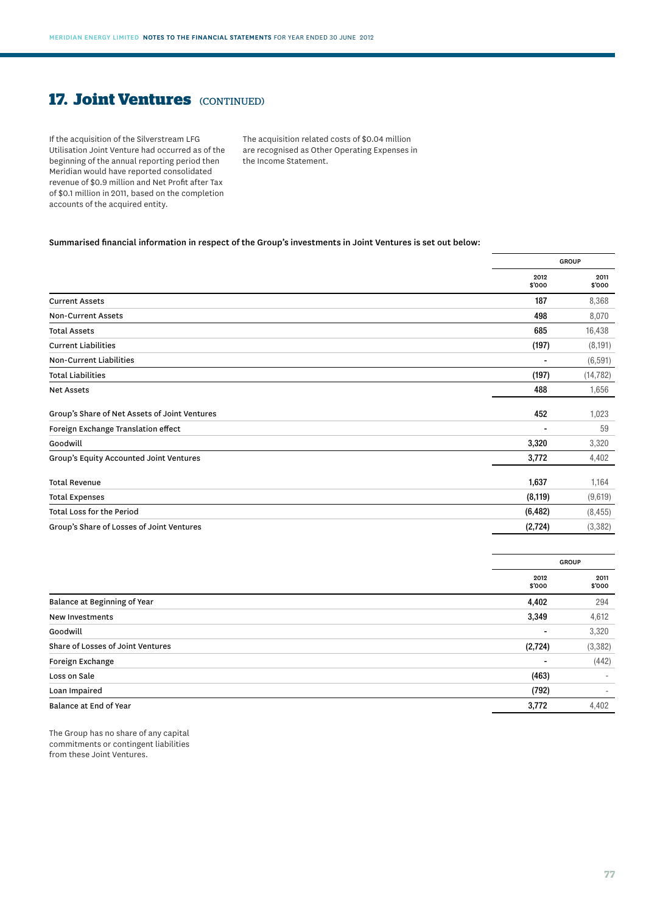## **17. Joint Ventures** (CONTINUED)

If the acquisition of the Silverstream LFG Utilisation Joint Venture had occurred as of the beginning of the annual reporting period then Meridian would have reported consolidated revenue of \$0.9 million and Net Profit after Tax of \$0.1 million in 2011, based on the completion accounts of the acquired entity.

The acquisition related costs of \$0.04 million are recognised as Other Operating Expenses in the Income Statement.

## Summarised financial information in respect of the Group's investments in Joint Ventures is set out below:

|                                               |                | <b>GROUP</b>   |  |
|-----------------------------------------------|----------------|----------------|--|
|                                               | 2012<br>\$'000 | 2011<br>\$'000 |  |
| <b>Current Assets</b>                         | 187            | 8,368          |  |
| <b>Non-Current Assets</b>                     | 498            | 8,070          |  |
| <b>Total Assets</b>                           | 685            | 16,438         |  |
| <b>Current Liabilities</b>                    | (197)          | (8, 191)       |  |
| Non-Current Liabilities                       |                | (6, 591)       |  |
| <b>Total Liabilities</b>                      | (197)          | (14, 782)      |  |
| <b>Net Assets</b>                             | 488            | 1,656          |  |
| Group's Share of Net Assets of Joint Ventures | 452            | 1,023          |  |
| Foreign Exchange Translation effect           |                | 59             |  |
| Goodwill                                      | 3,320          | 3,320          |  |
| Group's Equity Accounted Joint Ventures       | 3,772          | 4,402          |  |
| <b>Total Revenue</b>                          | 1,637          | 1,164          |  |
| <b>Total Expenses</b>                         | (8, 119)       | (9,619)        |  |
| Total Loss for the Period                     | (6, 482)       | (8, 455)       |  |
| Group's Share of Losses of Joint Ventures     | (2,724)        | (3, 382)       |  |
|                                               |                |                |  |

|                                   | <b>GROUP</b>             |                |
|-----------------------------------|--------------------------|----------------|
|                                   | 2012<br>\$'000           | 2011<br>\$'000 |
| Balance at Beginning of Year      | 4,402                    | 294            |
| <b>New Investments</b>            | 3,349                    | 4,612          |
| Goodwill                          |                          | 3,320          |
| Share of Losses of Joint Ventures | (2,724)                  | (3, 382)       |
| Foreign Exchange                  | $\overline{\phantom{0}}$ | (442)          |
| Loss on Sale                      | (463)                    | $\sim$         |
| Loan Impaired                     | (792)                    | $\sim$         |
| Balance at End of Year            | 3,772                    | 4,402          |

The Group has no share of any capital commitments or contingent liabilities from these Joint Ventures.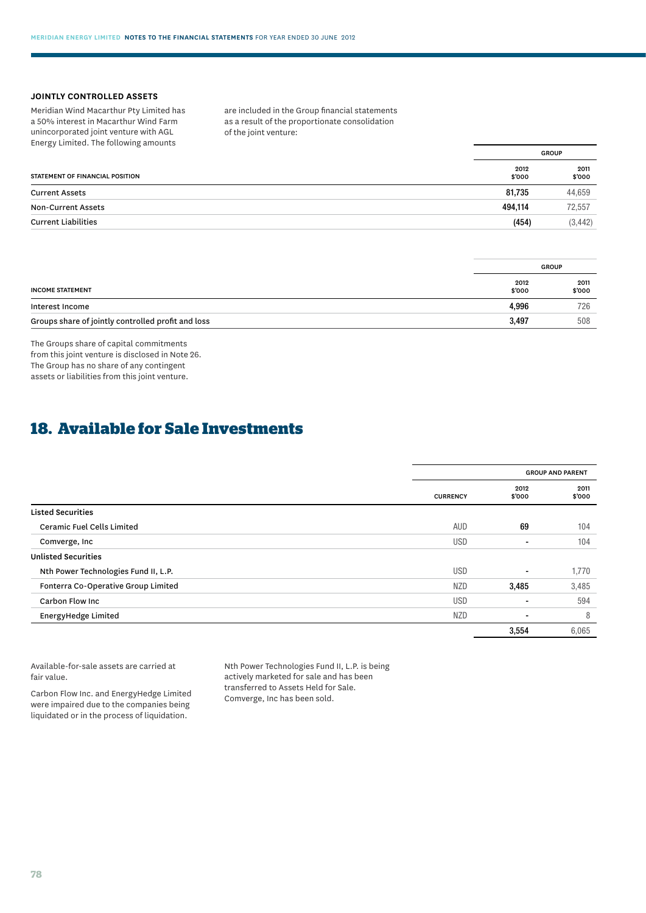## **JointLy Controlled Assets**

Meridian Wind Macarthur Pty Limited has a 50% interest in Macarthur Wind Farm unincorporated joint venture with AGL Energy Limited. The following amounts

are included in the Group financial statements as a result of the proportionate consolidation of the joint venture:

| ັ<br>ັ                          |  |                | <b>GROUP</b>   |  |
|---------------------------------|--|----------------|----------------|--|
| STATEMENT OF FINANCIAL POSITION |  | 2012<br>\$'000 | 2011<br>\$'000 |  |
| <b>Current Assets</b>           |  | 81,735         | 44.659         |  |
| <b>Non-Current Assets</b>       |  | 494,114        | 72.557         |  |
| <b>Current Liabilities</b>      |  | (454)          | (3, 442)       |  |
|                                 |  |                |                |  |

|                                                    | <b>GROUP</b>   |                |
|----------------------------------------------------|----------------|----------------|
| <b>INCOME STATEMENT</b>                            | 2012<br>\$'000 | 2011<br>\$'000 |
| Interest Income                                    | 4.996          | 726            |
| Groups share of jointly controlled profit and loss | 3,497          | 508            |

The Groups share of capital commitments from this joint venture is disclosed in Note 26. The Group has no share of any contingent assets or liabilities from this joint venture.

## **18. Available for Sale Investments**

|                                      |                 | <b>GROUP AND PARENT</b>  |                |
|--------------------------------------|-----------------|--------------------------|----------------|
|                                      | <b>CURRENCY</b> | 2012<br>\$'000           | 2011<br>\$'000 |
| <b>Listed Securities</b>             |                 |                          |                |
| Ceramic Fuel Cells Limited           | AUD             | 69                       | 104            |
| Comverge, Inc                        | <b>USD</b>      | $\overline{\phantom{a}}$ | 104            |
| <b>Unlisted Securities</b>           |                 |                          |                |
| Nth Power Technologies Fund II, L.P. | <b>USD</b>      | $\overline{\phantom{0}}$ | 1,770          |
| Fonterra Co-Operative Group Limited  | NZD             | 3,485                    | 3,485          |
| Carbon Flow Inc                      | <b>USD</b>      | $\overline{\phantom{0}}$ | 594            |
| EnergyHedge Limited                  | <b>NZD</b>      | $\overline{\phantom{0}}$ | 8              |
|                                      |                 | 3,554                    | 6,065          |

Available-for-sale assets are carried at fair value.

Carbon Flow Inc. and EnergyHedge Limited were impaired due to the companies being liquidated or in the process of liquidation.

Nth Power Technologies Fund II, L.P. is being actively marketed for sale and has been transferred to Assets Held for Sale. Comverge, Inc has been sold.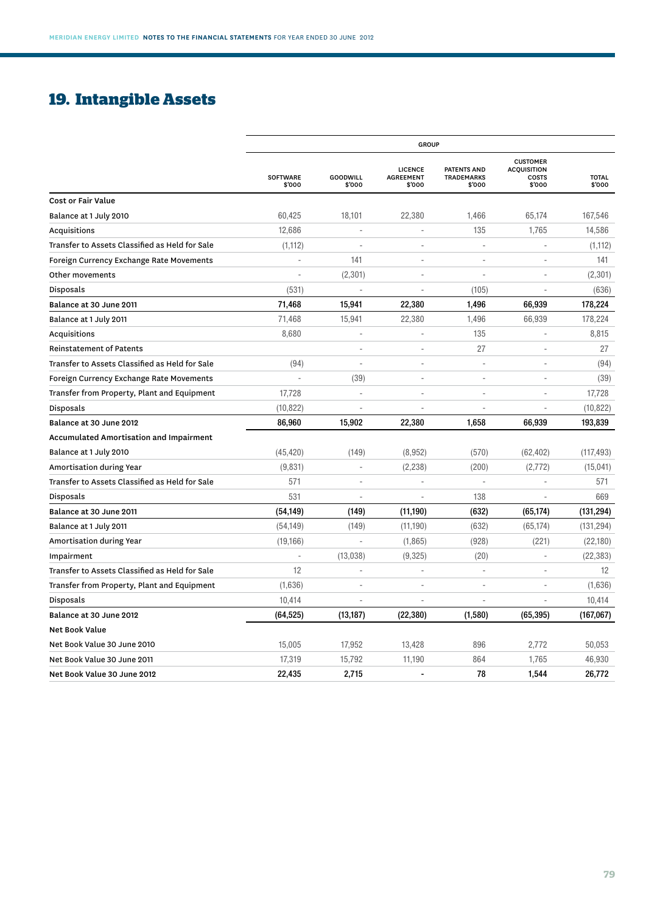## **19. Intangible Assets**

|                                                | <b>GROUP</b>              |                          |                                              |                                                   |                                                                 |                        |  |  |  |
|------------------------------------------------|---------------------------|--------------------------|----------------------------------------------|---------------------------------------------------|-----------------------------------------------------------------|------------------------|--|--|--|
|                                                | <b>SOFTWARE</b><br>\$'000 | GOODWILL<br>\$'000       | <b>LICENCE</b><br><b>AGREEMENT</b><br>\$'000 | <b>PATENTS AND</b><br><b>TRADEMARKS</b><br>\$'000 | <b>CUSTOMER</b><br><b>ACQUISITION</b><br><b>COSTS</b><br>\$'000 | <b>TOTAL</b><br>\$'000 |  |  |  |
| <b>Cost or Fair Value</b>                      |                           |                          |                                              |                                                   |                                                                 |                        |  |  |  |
| Balance at 1 July 2010                         | 60,425                    | 18,101                   | 22,380                                       | 1,466                                             | 65,174                                                          | 167,546                |  |  |  |
| Acquisitions                                   | 12,686                    |                          |                                              | 135                                               | 1,765                                                           | 14,586                 |  |  |  |
| Transfer to Assets Classified as Held for Sale | (1, 112)                  | ÷                        | L.                                           | $\overline{a}$                                    |                                                                 | (1, 112)               |  |  |  |
| Foreign Currency Exchange Rate Movements       | ÷,                        | 141                      | Ĭ.                                           | $\overline{a}$                                    | $\overline{\phantom{a}}$                                        | 141                    |  |  |  |
| Other movements                                | $\overline{a}$            | (2, 301)                 | ÷,                                           | $\overline{a}$                                    | $\sim$                                                          | (2,301)                |  |  |  |
| Disposals                                      | (531)                     |                          | ÷,                                           | (105)                                             |                                                                 | (636)                  |  |  |  |
| Balance at 30 June 2011                        | 71,468                    | 15,941                   | 22,380                                       | 1,496                                             | 66,939                                                          | 178,224                |  |  |  |
| Balance at 1 July 2011                         | 71,468                    | 15,941                   | 22,380                                       | 1,496                                             | 66,939                                                          | 178,224                |  |  |  |
| Acquisitions                                   | 8,680                     | ÷,                       |                                              | 135                                               |                                                                 | 8,815                  |  |  |  |
| <b>Reinstatement of Patents</b>                |                           | $\overline{\phantom{a}}$ | ÷,                                           | 27                                                |                                                                 | 27                     |  |  |  |
| Transfer to Assets Classified as Held for Sale | (94)                      | $\overline{a}$           | ÷                                            | $\overline{a}$                                    |                                                                 | (94)                   |  |  |  |
| Foreign Currency Exchange Rate Movements       | $\overline{a}$            | (39)                     | L.                                           | $\overline{a}$                                    |                                                                 | (39)                   |  |  |  |
| Transfer from Property, Plant and Equipment    | 17,728                    | ÷,                       | L.                                           | $\overline{a}$                                    |                                                                 | 17,728                 |  |  |  |
| Disposals                                      | (10, 822)                 | ÷.                       | L.                                           | $\overline{a}$                                    |                                                                 | (10, 822)              |  |  |  |
| Balance at 30 June 2012                        | 86,960                    | 15.902                   | 22,380                                       | 1.658                                             | 66,939                                                          | 193,839                |  |  |  |
| <b>Accumulated Amortisation and Impairment</b> |                           |                          |                                              |                                                   |                                                                 |                        |  |  |  |
| Balance at 1 July 2010                         | (45, 420)                 | (149)                    | (8,952)                                      | (570)                                             | (62, 402)                                                       | (117, 493)             |  |  |  |
| Amortisation during Year                       | (9,831)                   |                          | (2, 238)                                     | (200)                                             | (2,772)                                                         | (15, 041)              |  |  |  |
| Transfer to Assets Classified as Held for Sale | 571                       |                          |                                              | $\overline{a}$                                    |                                                                 | 571                    |  |  |  |
| <b>Disposals</b>                               | 531                       |                          |                                              | 138                                               |                                                                 | 669                    |  |  |  |
| Balance at 30 June 2011                        | (54, 149)                 | (149)                    | (11, 190)                                    | (632)                                             | (65, 174)                                                       | (131, 294)             |  |  |  |
| Balance at 1 July 2011                         | (54, 149)                 | (149)                    | (11, 190)                                    | (632)                                             | (65, 174)                                                       | (131, 294)             |  |  |  |
| Amortisation during Year                       | (19, 166)                 |                          | (1,865)                                      | (928)                                             | (221)                                                           | (22,180)               |  |  |  |
| Impairment                                     | $\overline{a}$            | (13, 038)                | (9, 325)                                     | (20)                                              |                                                                 | (22, 383)              |  |  |  |
| Transfer to Assets Classified as Held for Sale | 12                        |                          |                                              | $\overline{a}$                                    | $\overline{\phantom{a}}$                                        | 12                     |  |  |  |
| Transfer from Property, Plant and Equipment    | (1,636)                   | $\frac{1}{2}$            | ÷                                            | $\frac{1}{2}$                                     |                                                                 | (1,636)                |  |  |  |
| Disposals                                      | 10,414                    |                          |                                              | $\overline{a}$                                    |                                                                 | 10,414                 |  |  |  |
| Balance at 30 June 2012                        | (64, 525)                 | (13, 187)                | (22, 380)                                    | (1,580)                                           | (65, 395)                                                       | (167,067)              |  |  |  |
| <b>Net Book Value</b>                          |                           |                          |                                              |                                                   |                                                                 |                        |  |  |  |
| Net Book Value 30 June 2010                    | 15,005                    | 17,952                   | 13,428                                       | 896                                               | 2,772                                                           | 50,053                 |  |  |  |
| Net Book Value 30 June 2011                    | 17,319                    | 15,792                   | 11,190                                       | 864                                               | 1,765                                                           | 46,930                 |  |  |  |
| Net Book Value 30 June 2012                    | 22,435                    | 2,715                    | L.                                           | 78                                                | 1,544                                                           | 26,772                 |  |  |  |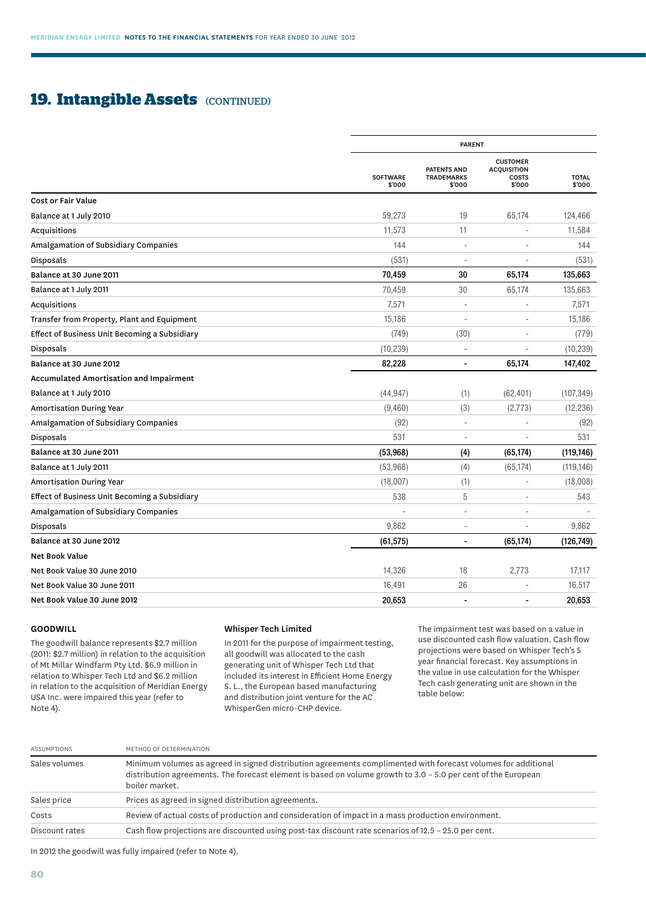## **19. Intangible Assets (CONTINUED)**

| <b>CUSTOMER</b><br><b>ACQUISITION</b><br><b>PATENTS AND</b><br><b>SOFTWARE</b><br><b>TRADEMARKS</b><br><b>COSTS</b><br>\$'000<br>\$'000<br>\$'000<br><b>Cost or Fair Value</b><br>59.273<br>19<br>65.174<br>Balance at 1 July 2010<br>11,573<br>11<br>Acquisitions<br>144<br>Amalgamation of Subsidiary Companies<br>Ĭ.<br>Disposals<br>(531)<br>70,459<br>30<br>65,174<br>Balance at 30 June 2011<br>30<br>70,459<br>65,174<br>Balance at 1 July 2011<br>Acquisitions<br>7,571<br>÷,<br>15,186<br>Transfer from Property, Plant and Equipment<br>Effect of Business Unit Becoming a Subsidiary<br>(749)<br>(30)<br>(10, 239)<br>Disposals<br>82,228<br>65,174<br>Balance at 30 June 2012<br>ä,<br><b>Accumulated Amortisation and Impairment</b><br>(44, 947)<br>(1)<br>(62.401)<br>Balance at 1 July 2010<br>(3)<br>(2,773)<br>Amortisation During Year<br>(9,460)<br>Amalgamation of Subsidiary Companies<br>(92)<br>Ĭ.<br>531<br>Disposals<br>L,<br>(53,968)<br>(4)<br>(65, 174)<br>Balance at 30 June 2011<br>(53,968)<br>(4)<br>(65, 174)<br>Balance at 1 July 2011<br>(18,007)<br>(1)<br>Amortisation During Year<br>5<br>Effect of Business Unit Becoming a Subsidiary<br>538<br>Amalgamation of Subsidiary Companies<br>Ĭ.<br>9,862<br><b>Disposals</b><br>(61, 575)<br>(65, 174)<br>Balance at 30 June 2012<br><b>Net Book Value</b><br>14,326<br>18<br>2,773<br>Net Book Value 30 June 2010<br>26<br>16,491<br>Net Book Value 30 June 2011<br>20,653<br>Net Book Value 30 June 2012<br>ä, |  | <b>PARENT</b> |  |                        |  |  |  |
|------------------------------------------------------------------------------------------------------------------------------------------------------------------------------------------------------------------------------------------------------------------------------------------------------------------------------------------------------------------------------------------------------------------------------------------------------------------------------------------------------------------------------------------------------------------------------------------------------------------------------------------------------------------------------------------------------------------------------------------------------------------------------------------------------------------------------------------------------------------------------------------------------------------------------------------------------------------------------------------------------------------------------------------------------------------------------------------------------------------------------------------------------------------------------------------------------------------------------------------------------------------------------------------------------------------------------------------------------------------------------------------------------------------------------------------------------------------------------------------------------|--|---------------|--|------------------------|--|--|--|
|                                                                                                                                                                                                                                                                                                                                                                                                                                                                                                                                                                                                                                                                                                                                                                                                                                                                                                                                                                                                                                                                                                                                                                                                                                                                                                                                                                                                                                                                                                      |  |               |  | <b>TOTAL</b><br>\$'000 |  |  |  |
|                                                                                                                                                                                                                                                                                                                                                                                                                                                                                                                                                                                                                                                                                                                                                                                                                                                                                                                                                                                                                                                                                                                                                                                                                                                                                                                                                                                                                                                                                                      |  |               |  |                        |  |  |  |
|                                                                                                                                                                                                                                                                                                                                                                                                                                                                                                                                                                                                                                                                                                                                                                                                                                                                                                                                                                                                                                                                                                                                                                                                                                                                                                                                                                                                                                                                                                      |  |               |  | 124,466                |  |  |  |
|                                                                                                                                                                                                                                                                                                                                                                                                                                                                                                                                                                                                                                                                                                                                                                                                                                                                                                                                                                                                                                                                                                                                                                                                                                                                                                                                                                                                                                                                                                      |  |               |  | 11,584                 |  |  |  |
|                                                                                                                                                                                                                                                                                                                                                                                                                                                                                                                                                                                                                                                                                                                                                                                                                                                                                                                                                                                                                                                                                                                                                                                                                                                                                                                                                                                                                                                                                                      |  |               |  | 144                    |  |  |  |
|                                                                                                                                                                                                                                                                                                                                                                                                                                                                                                                                                                                                                                                                                                                                                                                                                                                                                                                                                                                                                                                                                                                                                                                                                                                                                                                                                                                                                                                                                                      |  |               |  | (531)                  |  |  |  |
|                                                                                                                                                                                                                                                                                                                                                                                                                                                                                                                                                                                                                                                                                                                                                                                                                                                                                                                                                                                                                                                                                                                                                                                                                                                                                                                                                                                                                                                                                                      |  |               |  | 135,663                |  |  |  |
|                                                                                                                                                                                                                                                                                                                                                                                                                                                                                                                                                                                                                                                                                                                                                                                                                                                                                                                                                                                                                                                                                                                                                                                                                                                                                                                                                                                                                                                                                                      |  |               |  | 135,663                |  |  |  |
|                                                                                                                                                                                                                                                                                                                                                                                                                                                                                                                                                                                                                                                                                                                                                                                                                                                                                                                                                                                                                                                                                                                                                                                                                                                                                                                                                                                                                                                                                                      |  |               |  | 7,571                  |  |  |  |
|                                                                                                                                                                                                                                                                                                                                                                                                                                                                                                                                                                                                                                                                                                                                                                                                                                                                                                                                                                                                                                                                                                                                                                                                                                                                                                                                                                                                                                                                                                      |  |               |  | 15,186                 |  |  |  |
|                                                                                                                                                                                                                                                                                                                                                                                                                                                                                                                                                                                                                                                                                                                                                                                                                                                                                                                                                                                                                                                                                                                                                                                                                                                                                                                                                                                                                                                                                                      |  |               |  | (779)                  |  |  |  |
|                                                                                                                                                                                                                                                                                                                                                                                                                                                                                                                                                                                                                                                                                                                                                                                                                                                                                                                                                                                                                                                                                                                                                                                                                                                                                                                                                                                                                                                                                                      |  |               |  | (10, 239)              |  |  |  |
|                                                                                                                                                                                                                                                                                                                                                                                                                                                                                                                                                                                                                                                                                                                                                                                                                                                                                                                                                                                                                                                                                                                                                                                                                                                                                                                                                                                                                                                                                                      |  |               |  | 147,402                |  |  |  |
|                                                                                                                                                                                                                                                                                                                                                                                                                                                                                                                                                                                                                                                                                                                                                                                                                                                                                                                                                                                                                                                                                                                                                                                                                                                                                                                                                                                                                                                                                                      |  |               |  |                        |  |  |  |
|                                                                                                                                                                                                                                                                                                                                                                                                                                                                                                                                                                                                                                                                                                                                                                                                                                                                                                                                                                                                                                                                                                                                                                                                                                                                                                                                                                                                                                                                                                      |  |               |  | (107, 349)             |  |  |  |
|                                                                                                                                                                                                                                                                                                                                                                                                                                                                                                                                                                                                                                                                                                                                                                                                                                                                                                                                                                                                                                                                                                                                                                                                                                                                                                                                                                                                                                                                                                      |  |               |  | (12, 236)              |  |  |  |
|                                                                                                                                                                                                                                                                                                                                                                                                                                                                                                                                                                                                                                                                                                                                                                                                                                                                                                                                                                                                                                                                                                                                                                                                                                                                                                                                                                                                                                                                                                      |  |               |  | (92)                   |  |  |  |
|                                                                                                                                                                                                                                                                                                                                                                                                                                                                                                                                                                                                                                                                                                                                                                                                                                                                                                                                                                                                                                                                                                                                                                                                                                                                                                                                                                                                                                                                                                      |  |               |  | 531                    |  |  |  |
|                                                                                                                                                                                                                                                                                                                                                                                                                                                                                                                                                                                                                                                                                                                                                                                                                                                                                                                                                                                                                                                                                                                                                                                                                                                                                                                                                                                                                                                                                                      |  |               |  | (119, 146)             |  |  |  |
|                                                                                                                                                                                                                                                                                                                                                                                                                                                                                                                                                                                                                                                                                                                                                                                                                                                                                                                                                                                                                                                                                                                                                                                                                                                                                                                                                                                                                                                                                                      |  |               |  | (119, 146)             |  |  |  |
|                                                                                                                                                                                                                                                                                                                                                                                                                                                                                                                                                                                                                                                                                                                                                                                                                                                                                                                                                                                                                                                                                                                                                                                                                                                                                                                                                                                                                                                                                                      |  |               |  | (18,008)               |  |  |  |
|                                                                                                                                                                                                                                                                                                                                                                                                                                                                                                                                                                                                                                                                                                                                                                                                                                                                                                                                                                                                                                                                                                                                                                                                                                                                                                                                                                                                                                                                                                      |  |               |  | 543                    |  |  |  |
|                                                                                                                                                                                                                                                                                                                                                                                                                                                                                                                                                                                                                                                                                                                                                                                                                                                                                                                                                                                                                                                                                                                                                                                                                                                                                                                                                                                                                                                                                                      |  |               |  |                        |  |  |  |
|                                                                                                                                                                                                                                                                                                                                                                                                                                                                                                                                                                                                                                                                                                                                                                                                                                                                                                                                                                                                                                                                                                                                                                                                                                                                                                                                                                                                                                                                                                      |  |               |  | 9,862                  |  |  |  |
|                                                                                                                                                                                                                                                                                                                                                                                                                                                                                                                                                                                                                                                                                                                                                                                                                                                                                                                                                                                                                                                                                                                                                                                                                                                                                                                                                                                                                                                                                                      |  |               |  | (126, 749)             |  |  |  |
|                                                                                                                                                                                                                                                                                                                                                                                                                                                                                                                                                                                                                                                                                                                                                                                                                                                                                                                                                                                                                                                                                                                                                                                                                                                                                                                                                                                                                                                                                                      |  |               |  |                        |  |  |  |
|                                                                                                                                                                                                                                                                                                                                                                                                                                                                                                                                                                                                                                                                                                                                                                                                                                                                                                                                                                                                                                                                                                                                                                                                                                                                                                                                                                                                                                                                                                      |  |               |  | 17,117                 |  |  |  |
|                                                                                                                                                                                                                                                                                                                                                                                                                                                                                                                                                                                                                                                                                                                                                                                                                                                                                                                                                                                                                                                                                                                                                                                                                                                                                                                                                                                                                                                                                                      |  |               |  | 16,517                 |  |  |  |
|                                                                                                                                                                                                                                                                                                                                                                                                                                                                                                                                                                                                                                                                                                                                                                                                                                                                                                                                                                                                                                                                                                                                                                                                                                                                                                                                                                                                                                                                                                      |  |               |  | 20,653                 |  |  |  |

## **Goodwill**

The goodwill balance represents \$2.7 million (2011: \$2.7 million) in relation to the acquisition of Mt Millar Windfarm Pty Ltd. \$6.9 million in relation to Whisper Tech Ltd and \$6.2 million in relation to the acquisition of Meridian Energy USA Inc. were impaired this year (refer to Note 4).

### Whisper Tech Limited

In 2011 for the purpose of impairment testing, all goodwill was allocated to the cash generating unit of Whisper Tech Ltd that included its interest in Efficient Home Energy S. L., the European based manufacturing and distribution joint venture for the AC WhisperGen micro-CHP device.

The impairment test was based on a value in use discounted cash flow valuation. Cash flow projections were based on Whisper Tech's 5 year financial forecast. Key assumptions in the value in use calculation for the Whisper Tech cash generating unit are shown in the table below:

| ASSUMPTIONS    | METHOD OF DETERMINATION                                                                                                                                                                                                                            |
|----------------|----------------------------------------------------------------------------------------------------------------------------------------------------------------------------------------------------------------------------------------------------|
| Sales volumes  | Minimum volumes as agreed in signed distribution agreements complimented with forecast volumes for additional<br>distribution agreements. The forecast element is based on volume growth to $3.0 - 5.0$ per cent of the European<br>boiler market. |
| Sales price    | Prices as agreed in signed distribution agreements.                                                                                                                                                                                                |
| Costs          | Review of actual costs of production and consideration of impact in a mass production environment.                                                                                                                                                 |
| Discount rates | Cash flow projections are discounted using post-tax discount rate scenarios of $12.5 - 25.0$ per cent.                                                                                                                                             |
|                |                                                                                                                                                                                                                                                    |

In 2012 the goodwill was fully impaired (refer to Note 4).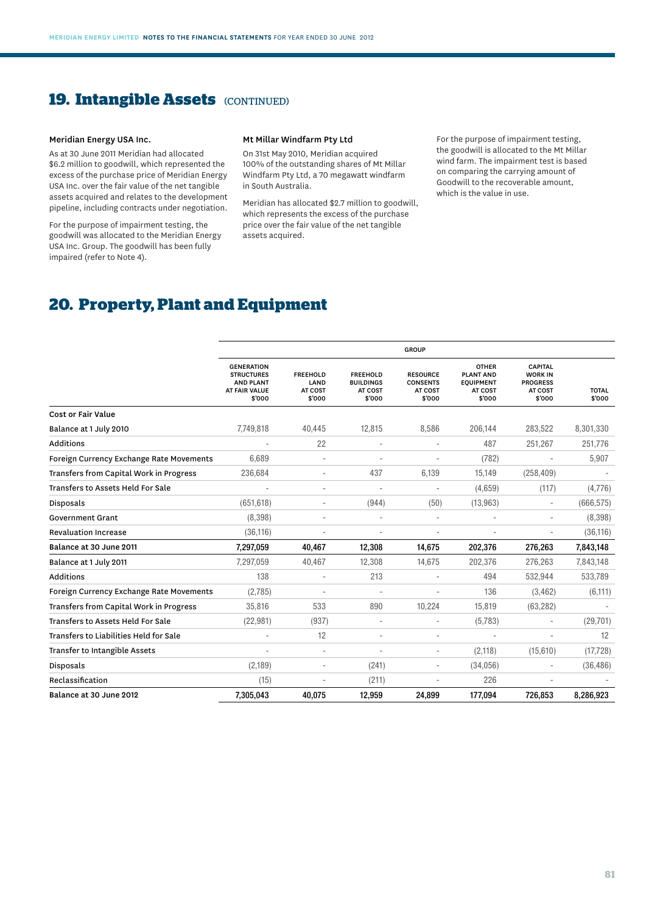## **19. Intangible Assets (CONTINUED)**

## Meridian Energy USA Inc.

As at 30 June 2011 Meridian had allocated \$6.2 million to goodwill, which represented the excess of the purchase price of Meridian Energy USA Inc. over the fair value of the net tangible assets acquired and relates to the development pipeline, including contracts under negotiation.

For the purpose of impairment testing, the goodwill was allocated to the Meridian Energy USA Inc. Group. The goodwill has been fully impaired (refer to Note 4).

### Mt Millar Windfarm Pty Ltd

On 31st May 2010, Meridian acquired 100% of the outstanding shares of Mt Millar Windfarm Pty Ltd, a 70 megawatt windfarm in South Australia.

Meridian has allocated \$2.7 million to goodwill, which represents the excess of the purchase price over the fair value of the net tangible assets acquired.

For the purpose of impairment testing, the goodwill is allocated to the Mt Millar wind farm. The impairment test is based on comparing the carrying amount of Goodwill to the recoverable amount, which is the value in use.

## **20. Property, Plant and Equipment**

|                                          | <b>GROUP</b>                                                                          |                                                     |                                                          |                                                         |                                                                           |                                                                          |                        |  |
|------------------------------------------|---------------------------------------------------------------------------------------|-----------------------------------------------------|----------------------------------------------------------|---------------------------------------------------------|---------------------------------------------------------------------------|--------------------------------------------------------------------------|------------------------|--|
|                                          | <b>GENERATION</b><br><b>STRUCTURES</b><br><b>AND PLANT</b><br>AT FAIR VALUE<br>\$'000 | <b>FREEHOLD</b><br>LAND<br><b>AT COST</b><br>\$'000 | <b>FREEHOLD</b><br><b>BUILDINGS</b><br>AT COST<br>\$'000 | <b>RESOURCE</b><br><b>CONSENTS</b><br>AT COST<br>\$'000 | <b>OTHER</b><br><b>PLANT AND</b><br><b>EQUIPMENT</b><br>AT COST<br>\$'000 | <b>CAPITAL</b><br><b>WORK IN</b><br><b>PROGRESS</b><br>AT COST<br>\$'000 | <b>TOTAL</b><br>\$'000 |  |
| <b>Cost or Fair Value</b>                |                                                                                       |                                                     |                                                          |                                                         |                                                                           |                                                                          |                        |  |
| Balance at 1 July 2010                   | 7.749.818                                                                             | 40.445                                              | 12.815                                                   | 8,586                                                   | 206.144                                                                   | 283,522                                                                  | 8,301,330              |  |
| <b>Additions</b>                         |                                                                                       | 22                                                  |                                                          |                                                         | 487                                                                       | 251,267                                                                  | 251,776                |  |
| Foreign Currency Exchange Rate Movements | 6,689                                                                                 | ÷,                                                  |                                                          |                                                         | (782)                                                                     |                                                                          | 5,907                  |  |
| Transfers from Capital Work in Progress  | 236,684                                                                               | L.                                                  | 437                                                      | 6,139                                                   | 15,149                                                                    | (258, 409)                                                               |                        |  |
| Transfers to Assets Held For Sale        | L,                                                                                    | $\overline{a}$                                      | ÷,                                                       | $\overline{a}$                                          | (4,659)                                                                   | (117)                                                                    | (4,776)                |  |
| Disposals                                | (651, 618)                                                                            |                                                     | (944)                                                    | (50)                                                    | (13, 963)                                                                 |                                                                          | (666, 575)             |  |
| <b>Government Grant</b>                  | (8,398)                                                                               |                                                     |                                                          | ٠                                                       |                                                                           |                                                                          | (8, 398)               |  |
| <b>Revaluation Increase</b>              | (36, 116)                                                                             |                                                     |                                                          |                                                         |                                                                           |                                                                          | (36, 116)              |  |
| Balance at 30 June 2011                  | 7,297,059                                                                             | 40,467                                              | 12,308                                                   | 14,675                                                  | 202,376                                                                   | 276,263                                                                  | 7,843,148              |  |
| Balance at 1 July 2011                   | 7,297,059                                                                             | 40,467                                              | 12,308                                                   | 14,675                                                  | 202,376                                                                   | 276,263                                                                  | 7,843,148              |  |
| Additions                                | 138                                                                                   | $\overline{a}$                                      | 213                                                      | ٠                                                       | 494                                                                       | 532,944                                                                  | 533,789                |  |
| Foreign Currency Exchange Rate Movements | (2,785)                                                                               |                                                     |                                                          |                                                         | 136                                                                       | (3,462)                                                                  | (6, 111)               |  |
| Transfers from Capital Work in Progress  | 35,816                                                                                | 533                                                 | 890                                                      | 10,224                                                  | 15,819                                                                    | (63, 282)                                                                |                        |  |
| Transfers to Assets Held For Sale        | (22, 981)                                                                             | (937)                                               | $\overline{a}$                                           | ٠                                                       | (5,783)                                                                   | $\blacksquare$                                                           | (29,701)               |  |
| Transfers to Liabilities Held for Sale   |                                                                                       | 12                                                  | ÷                                                        | ۰                                                       | $\overline{a}$                                                            |                                                                          | 12                     |  |
| Transfer to Intangible Assets            |                                                                                       | $\overline{a}$                                      | $\overline{a}$                                           | $\overline{\phantom{a}}$                                | (2, 118)                                                                  | (15,610)                                                                 | (17, 728)              |  |
| <b>Disposals</b>                         | (2,189)                                                                               | $\overline{\phantom{0}}$                            | (241)                                                    | $\bar{ }$                                               | (34,056)                                                                  |                                                                          | (36, 486)              |  |
| Reclassification                         | (15)                                                                                  | ÷                                                   | (211)                                                    | $\overline{\phantom{a}}$                                | 226                                                                       | $\blacksquare$                                                           |                        |  |
| Balance at 30 June 2012                  | 7,305,043                                                                             | 40,075                                              | 12,959                                                   | 24,899                                                  | 177,094                                                                   | 726,853                                                                  | 8,286,923              |  |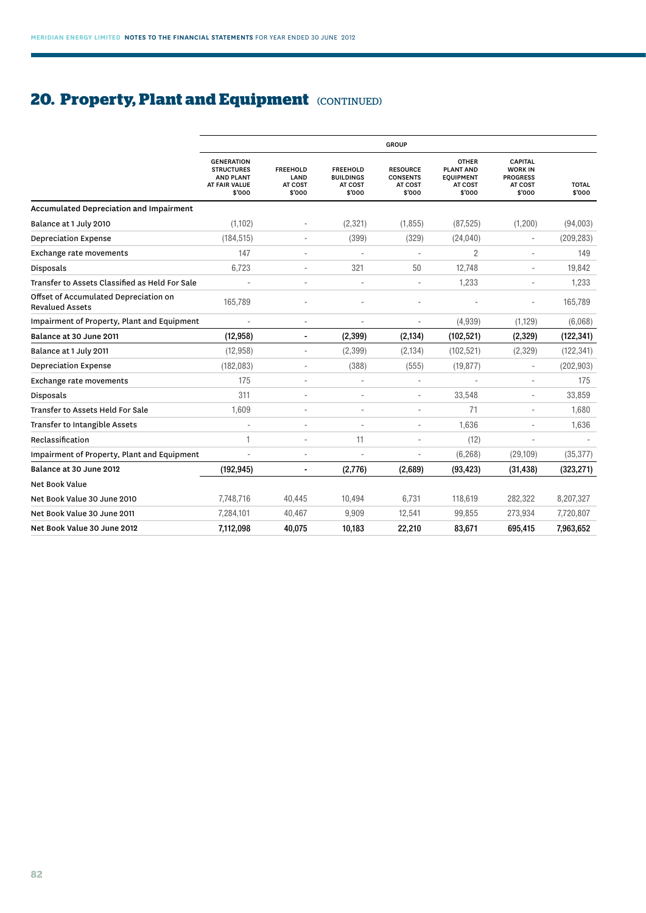## **20. Property, Plant and Equipment** (CONTINUED)

|                                                                 | <b>GROUP</b>                                                                          |                                              |                                                          |                                                         |                                                                           |                                                                          |                        |  |  |
|-----------------------------------------------------------------|---------------------------------------------------------------------------------------|----------------------------------------------|----------------------------------------------------------|---------------------------------------------------------|---------------------------------------------------------------------------|--------------------------------------------------------------------------|------------------------|--|--|
|                                                                 | <b>GENERATION</b><br><b>STRUCTURES</b><br><b>AND PLANT</b><br>AT FAIR VALUE<br>\$'000 | <b>FREEHOLD</b><br>LAND<br>AT COST<br>\$'000 | <b>FREEHOLD</b><br><b>BUILDINGS</b><br>AT COST<br>\$'000 | <b>RESOURCE</b><br><b>CONSENTS</b><br>AT COST<br>\$'000 | <b>OTHER</b><br><b>PLANT AND</b><br><b>EQUIPMENT</b><br>AT COST<br>\$'000 | <b>CAPITAL</b><br><b>WORK IN</b><br><b>PROGRESS</b><br>AT COST<br>\$'000 | <b>TOTAL</b><br>\$'000 |  |  |
| <b>Accumulated Depreciation and Impairment</b>                  |                                                                                       |                                              |                                                          |                                                         |                                                                           |                                                                          |                        |  |  |
| Balance at 1 July 2010                                          | (1,102)                                                                               |                                              | (2, 321)                                                 | (1, 855)                                                | (87, 525)                                                                 | (1,200)                                                                  | (94,003)               |  |  |
| <b>Depreciation Expense</b>                                     | (184, 515)                                                                            |                                              | (399)                                                    | (329)                                                   | (24,040)                                                                  |                                                                          | (209, 283)             |  |  |
| Exchange rate movements                                         | 147                                                                                   | $\overline{\phantom{m}}$                     |                                                          | ÷,                                                      | $\overline{2}$                                                            | $\overline{a}$                                                           | 149                    |  |  |
| Disposals                                                       | 6,723                                                                                 | $\overline{a}$                               | 321                                                      | 50                                                      | 12,748                                                                    | L,                                                                       | 19,842                 |  |  |
| Transfer to Assets Classified as Held For Sale                  |                                                                                       | $\overline{\phantom{a}}$                     |                                                          | $\overline{\phantom{a}}$                                | 1,233                                                                     |                                                                          | 1,233                  |  |  |
| Offset of Accumulated Depreciation on<br><b>Revalued Assets</b> | 165,789                                                                               |                                              |                                                          |                                                         |                                                                           | L,                                                                       | 165,789                |  |  |
| Impairment of Property, Plant and Equipment                     |                                                                                       | L.                                           |                                                          | $\overline{a}$                                          | (4,939)                                                                   | (1, 129)                                                                 | (6,068)                |  |  |
| Balance at 30 June 2011                                         | (12, 958)                                                                             | $\overline{a}$                               | (2, 399)                                                 | (2, 134)                                                | (102, 521)                                                                | (2, 329)                                                                 | (122, 341)             |  |  |
| Balance at 1 July 2011                                          | (12, 958)                                                                             | $\overline{\phantom{a}}$                     | (2,399)                                                  | (2, 134)                                                | (102, 521)                                                                | (2,329)                                                                  | (122, 341)             |  |  |
| <b>Depreciation Expense</b>                                     | (182, 083)                                                                            |                                              | (388)                                                    | (555)                                                   | (19, 877)                                                                 | ÷,                                                                       | (202, 903)             |  |  |
| Exchange rate movements                                         | 175                                                                                   |                                              |                                                          |                                                         |                                                                           |                                                                          | 175                    |  |  |
| <b>Disposals</b>                                                | 311                                                                                   | $\overline{\phantom{a}}$                     | $\overline{a}$                                           | ÷,                                                      | 33,548                                                                    | $\overline{a}$                                                           | 33,859                 |  |  |
| Transfer to Assets Held For Sale                                | 1,609                                                                                 | $\overline{\phantom{m}}$                     |                                                          | L,                                                      | 71                                                                        |                                                                          | 1,680                  |  |  |
| Transfer to Intangible Assets                                   |                                                                                       |                                              |                                                          |                                                         | 1,636                                                                     |                                                                          | 1,636                  |  |  |
| Reclassification                                                |                                                                                       | $\overline{a}$                               | 11                                                       | $\overline{a}$                                          | (12)                                                                      |                                                                          |                        |  |  |
| Impairment of Property, Plant and Equipment                     | L.                                                                                    | $\overline{\phantom{a}}$                     | L.                                                       | $\overline{a}$                                          | (6, 268)                                                                  | (29,109)                                                                 | (35, 377)              |  |  |
| Balance at 30 June 2012                                         | (192, 945)                                                                            | $\overline{\phantom{a}}$                     | (2,776)                                                  | (2,689)                                                 | (93, 423)                                                                 | (31, 438)                                                                | (323, 271)             |  |  |
| Net Book Value                                                  |                                                                                       |                                              |                                                          |                                                         |                                                                           |                                                                          |                        |  |  |
| Net Book Value 30 June 2010                                     | 7,748,716                                                                             | 40,445                                       | 10,494                                                   | 6.731                                                   | 118,619                                                                   | 282,322                                                                  | 8,207,327              |  |  |
| Net Book Value 30 June 2011                                     | 7,284,101                                                                             | 40,467                                       | 9,909                                                    | 12,541                                                  | 99,855                                                                    | 273,934                                                                  | 7,720,807              |  |  |
| Net Book Value 30 June 2012                                     | 7,112,098                                                                             | 40,075                                       | 10,183                                                   | 22,210                                                  | 83,671                                                                    | 695,415                                                                  | 7,963,652              |  |  |
|                                                                 |                                                                                       |                                              |                                                          |                                                         |                                                                           |                                                                          |                        |  |  |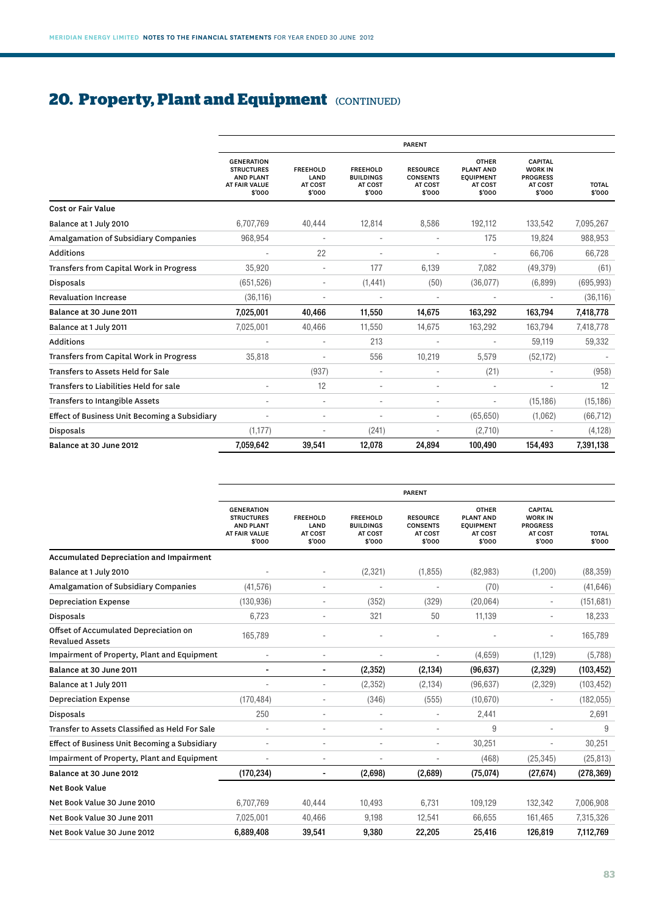## **20. Property, Plant and Equipment** (CONTINUED)

|                                               | <b>PARENT</b>                                                                         |                                              |                                                          |                                                         |                                                                           |                                                                          |                        |  |
|-----------------------------------------------|---------------------------------------------------------------------------------------|----------------------------------------------|----------------------------------------------------------|---------------------------------------------------------|---------------------------------------------------------------------------|--------------------------------------------------------------------------|------------------------|--|
|                                               | <b>GENERATION</b><br><b>STRUCTURES</b><br><b>AND PLANT</b><br>AT FAIR VALUE<br>\$'000 | <b>FREEHOLD</b><br>LAND<br>AT COST<br>\$'000 | <b>FREEHOLD</b><br><b>BUILDINGS</b><br>AT COST<br>\$'000 | <b>RESOURCE</b><br><b>CONSENTS</b><br>AT COST<br>\$'000 | <b>OTHER</b><br><b>PLANT AND</b><br><b>EQUIPMENT</b><br>AT COST<br>\$'000 | <b>CAPITAL</b><br><b>WORK IN</b><br><b>PROGRESS</b><br>AT COST<br>\$'000 | <b>TOTAL</b><br>\$'000 |  |
| <b>Cost or Fair Value</b>                     |                                                                                       |                                              |                                                          |                                                         |                                                                           |                                                                          |                        |  |
| Balance at 1 July 2010                        | 6.707.769                                                                             | 40.444                                       | 12,814                                                   | 8,586                                                   | 192.112                                                                   | 133,542                                                                  | 7,095,267              |  |
| Amalgamation of Subsidiary Companies          | 968,954                                                                               | $\blacksquare$                               |                                                          | ٠                                                       | 175                                                                       | 19,824                                                                   | 988,953                |  |
| <b>Additions</b>                              |                                                                                       | 22                                           |                                                          |                                                         |                                                                           | 66.706                                                                   | 66,728                 |  |
| Transfers from Capital Work in Progress       | 35,920                                                                                | $\overline{a}$                               | 177                                                      | 6,139                                                   | 7,082                                                                     | (49, 379)                                                                | (61)                   |  |
| Disposals                                     | (651, 526)                                                                            | $\overline{\phantom{a}}$                     | (1, 441)                                                 | (50)                                                    | (36,077)                                                                  | (6,899)                                                                  | (695, 993)             |  |
| <b>Revaluation Increase</b>                   | (36, 116)                                                                             | $\overline{\phantom{a}}$                     |                                                          | ٠                                                       | $\blacksquare$                                                            | $\blacksquare$                                                           | (36, 116)              |  |
| Balance at 30 June 2011                       | 7,025,001                                                                             | 40,466                                       | 11,550                                                   | 14,675                                                  | 163,292                                                                   | 163,794                                                                  | 7,418,778              |  |
| Balance at 1 July 2011                        | 7,025,001                                                                             | 40,466                                       | 11,550                                                   | 14,675                                                  | 163,292                                                                   | 163,794                                                                  | 7,418,778              |  |
| <b>Additions</b>                              |                                                                                       | ٠                                            | 213                                                      |                                                         |                                                                           | 59,119                                                                   | 59,332                 |  |
| Transfers from Capital Work in Progress       | 35,818                                                                                | $\overline{\phantom{a}}$                     | 556                                                      | 10,219                                                  | 5,579                                                                     | (52, 172)                                                                |                        |  |
| Transfers to Assets Held for Sale             |                                                                                       | (937)                                        |                                                          | ÷,                                                      | (21)                                                                      |                                                                          | (958)                  |  |
| Transfers to Liabilities Held for sale        |                                                                                       | 12                                           |                                                          | $\overline{\phantom{a}}$                                |                                                                           | $\overline{\phantom{a}}$                                                 | 12                     |  |
| Transfers to Intangible Assets                |                                                                                       | $\overline{\phantom{a}}$                     |                                                          | ٠                                                       |                                                                           | (15, 186)                                                                | (15, 186)              |  |
| Effect of Business Unit Becoming a Subsidiary |                                                                                       | $\overline{\phantom{a}}$                     |                                                          | $\overline{\phantom{a}}$                                | (65, 650)                                                                 | (1,062)                                                                  | (66, 712)              |  |
| Disposals                                     | (1,177)                                                                               |                                              | (241)                                                    |                                                         | (2,710)                                                                   |                                                                          | (4, 128)               |  |
| Balance at 30 June 2012                       | 7.059.642                                                                             | 39,541                                       | 12,078                                                   | 24,894                                                  | 100,490                                                                   | 154,493                                                                  | 7,391,138              |  |

|                                                                 |                                                                                       |                                              |                                                          | <b>PARENT</b>                                           |                                                                           |                                                                          |                        |
|-----------------------------------------------------------------|---------------------------------------------------------------------------------------|----------------------------------------------|----------------------------------------------------------|---------------------------------------------------------|---------------------------------------------------------------------------|--------------------------------------------------------------------------|------------------------|
|                                                                 | <b>GENERATION</b><br><b>STRUCTURES</b><br><b>AND PLANT</b><br>AT FAIR VALUE<br>\$'000 | <b>FREEHOLD</b><br>LAND<br>AT COST<br>\$'000 | <b>FREEHOLD</b><br><b>BUILDINGS</b><br>AT COST<br>\$'000 | <b>RESOURCE</b><br><b>CONSENTS</b><br>AT COST<br>\$'000 | <b>OTHER</b><br><b>PLANT AND</b><br><b>EOUIPMENT</b><br>AT COST<br>\$'000 | <b>CAPITAL</b><br><b>WORK IN</b><br><b>PROGRESS</b><br>AT COST<br>\$'000 | <b>TOTAL</b><br>\$'000 |
| <b>Accumulated Depreciation and Impairment</b>                  |                                                                                       |                                              |                                                          |                                                         |                                                                           |                                                                          |                        |
| Balance at 1 July 2010                                          |                                                                                       | $\overline{\phantom{a}}$                     | (2, 321)                                                 | (1, 855)                                                | (82,983)                                                                  | (1, 200)                                                                 | (88, 359)              |
| Amalgamation of Subsidiary Companies                            | (41, 576)                                                                             |                                              |                                                          |                                                         | (70)                                                                      | $\overline{\phantom{a}}$                                                 | (41, 646)              |
| <b>Depreciation Expense</b>                                     | (130, 936)                                                                            | ٠                                            | (352)                                                    | (329)                                                   | (20,064)                                                                  | $\overline{\phantom{a}}$                                                 | (151, 681)             |
| Disposals                                                       | 6,723                                                                                 |                                              | 321                                                      | 50                                                      | 11,139                                                                    |                                                                          | 18,233                 |
| Offset of Accumulated Depreciation on<br><b>Revalued Assets</b> | 165,789                                                                               |                                              |                                                          |                                                         |                                                                           |                                                                          | 165,789                |
| Impairment of Property, Plant and Equipment                     |                                                                                       |                                              |                                                          |                                                         | (4,659)                                                                   | (1,129)                                                                  | (5,788)                |
| Balance at 30 June 2011                                         |                                                                                       | ٠                                            | (2, 352)                                                 | (2, 134)                                                | (96, 637)                                                                 | (2, 329)                                                                 | (103, 452)             |
| Balance at 1 July 2011                                          |                                                                                       |                                              | (2, 352)                                                 | (2, 134)                                                | (96, 637)                                                                 | (2, 329)                                                                 | (103, 452)             |
| Depreciation Expense                                            | (170, 484)                                                                            |                                              | (346)                                                    | (555)                                                   | (10,670)                                                                  |                                                                          | (182, 055)             |
| Disposals                                                       | 250                                                                                   |                                              |                                                          |                                                         | 2,441                                                                     |                                                                          | 2,691                  |
| Transfer to Assets Classified as Held For Sale                  |                                                                                       |                                              |                                                          | ٠                                                       | 9                                                                         | $\blacksquare$                                                           | 9                      |
| Effect of Business Unit Becoming a Subsidiary                   |                                                                                       | $\overline{\phantom{a}}$                     |                                                          | $\overline{\phantom{a}}$                                | 30,251                                                                    | $\overline{\phantom{a}}$                                                 | 30,251                 |
| Impairment of Property, Plant and Equipment                     | $\overline{a}$                                                                        | $\overline{\phantom{a}}$                     |                                                          |                                                         | (468)                                                                     | (25, 345)                                                                | (25, 813)              |
| Balance at 30 June 2012                                         | (170, 234)                                                                            | ٠                                            | (2,698)                                                  | (2,689)                                                 | (75, 074)                                                                 | (27, 674)                                                                | (278, 369)             |
| <b>Net Book Value</b>                                           |                                                                                       |                                              |                                                          |                                                         |                                                                           |                                                                          |                        |
| Net Book Value 30 June 2010                                     | 6,707,769                                                                             | 40,444                                       | 10,493                                                   | 6,731                                                   | 109,129                                                                   | 132,342                                                                  | 7,006,908              |
| Net Book Value 30 June 2011                                     | 7,025,001                                                                             | 40,466                                       | 9,198                                                    | 12,541                                                  | 66,655                                                                    | 161,465                                                                  | 7,315,326              |
| Net Book Value 30 June 2012                                     | 6,889,408                                                                             | 39,541                                       | 9,380                                                    | 22,205                                                  | 25,416                                                                    | 126,819                                                                  | 7,112,769              |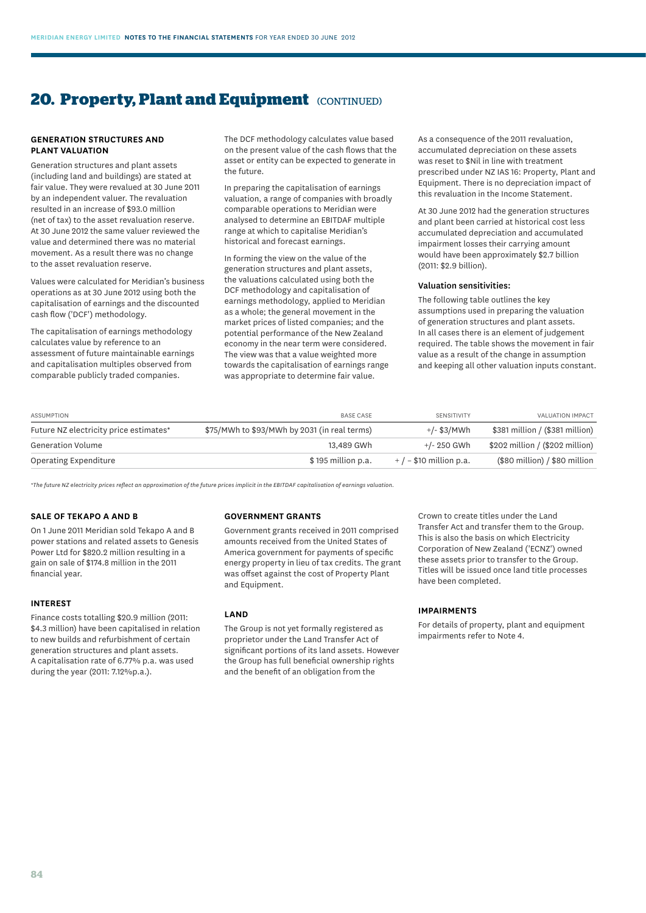## **20. Property, Plant and Equipment (CONTINUED)**

## **Generation Structures and Plant Valuation**

Generation structures and plant assets (including land and buildings) are stated at fair value. They were revalued at 30 June 2011 by an independent valuer. The revaluation resulted in an increase of \$93.0 million (net of tax) to the asset revaluation reserve. At 30 June 2012 the same valuer reviewed the value and determined there was no material movement. As a result there was no change to the asset revaluation reserve.

Values were calculated for Meridian's business operations as at 30 June 2012 using both the capitalisation of earnings and the discounted cash flow ('DCF') methodology.

The capitalisation of earnings methodology calculates value by reference to an assessment of future maintainable earnings and capitalisation multiples observed from comparable publicly traded companies.

The DCF methodology calculates value based on the present value of the cash flows that the asset or entity can be expected to generate in the future.

In preparing the capitalisation of earnings valuation, a range of companies with broadly comparable operations to Meridian were analysed to determine an EBITDAF multiple range at which to capitalise Meridian's historical and forecast earnings.

In forming the view on the value of the generation structures and plant assets, the valuations calculated using both the DCF methodology and capitalisation of earnings methodology, applied to Meridian as a whole; the general movement in the market prices of listed companies; and the potential performance of the New Zealand economy in the near term were considered. The view was that a value weighted more towards the capitalisation of earnings range was appropriate to determine fair value.

As a consequence of the 2011 revaluation, accumulated depreciation on these assets was reset to \$Nil in line with treatment prescribed under NZ IAS 16: Property, Plant and Equipment. There is no depreciation impact of this revaluation in the Income Statement.

At 30 June 2012 had the generation structures and plant been carried at historical cost less accumulated depreciation and accumulated impairment losses their carrying amount would have been approximately \$2.7 billion (2011: \$2.9 billion).

## Valuation sensitivities:

The following table outlines the key assumptions used in preparing the valuation of generation structures and plant assets. In all cases there is an element of judgement required. The table shows the movement in fair value as a result of the change in assumption and keeping all other valuation inputs constant.

| ASSUMPTION                             | <b>BASE CASE</b>                             | SENSITIVITY               | VALUATION IMPACT                |
|----------------------------------------|----------------------------------------------|---------------------------|---------------------------------|
| Future NZ electricity price estimates* | \$75/MWh to \$93/MWh by 2031 (in real terms) | $+/-$ \$3/MWh             | \$381 million / (\$381 million) |
| Generation Volume                      | 13,489 GWh                                   | +/- 250 GWh               | \$202 million / (\$202 million) |
| Operating Expenditure                  | \$ 195 million p.a.                          | $+$ / – \$10 million p.a. | $($80$ million) / $$80$ million |

*\*The future NZ electricity prices reflect an approximation of the future prices implicit in the EBITDAF capitalisation of earnings valuation.*

## **Sale of Tekapo A and B**

On 1 June 2011 Meridian sold Tekapo A and B power stations and related assets to Genesis Power Ltd for \$820.2 million resulting in a gain on sale of \$174.8 million in the 2011 financial year.

## **Interest**

Finance costs totalling \$20.9 million (2011: \$4.3 million) have been capitalised in relation to new builds and refurbishment of certain generation structures and plant assets. A capitalisation rate of 6.77% p.a. was used during the year (2011: 7.12%p.a.).

#### **Government Grants**

Government grants received in 2011 comprised amounts received from the United States of America government for payments of specific energy property in lieu of tax credits. The grant was offset against the cost of Property Plant and Equipment.

## **Land**

The Group is not yet formally registered as proprietor under the Land Transfer Act of significant portions of its land assets. However the Group has full beneficial ownership rights and the benefit of an obligation from the

Crown to create titles under the Land Transfer Act and transfer them to the Group. This is also the basis on which Electricity Corporation of New Zealand ('ECNZ') owned these assets prior to transfer to the Group. Titles will be issued once land title processes have been completed.

### **Impairments**

For details of property, plant and equipment impairments refer to Note 4.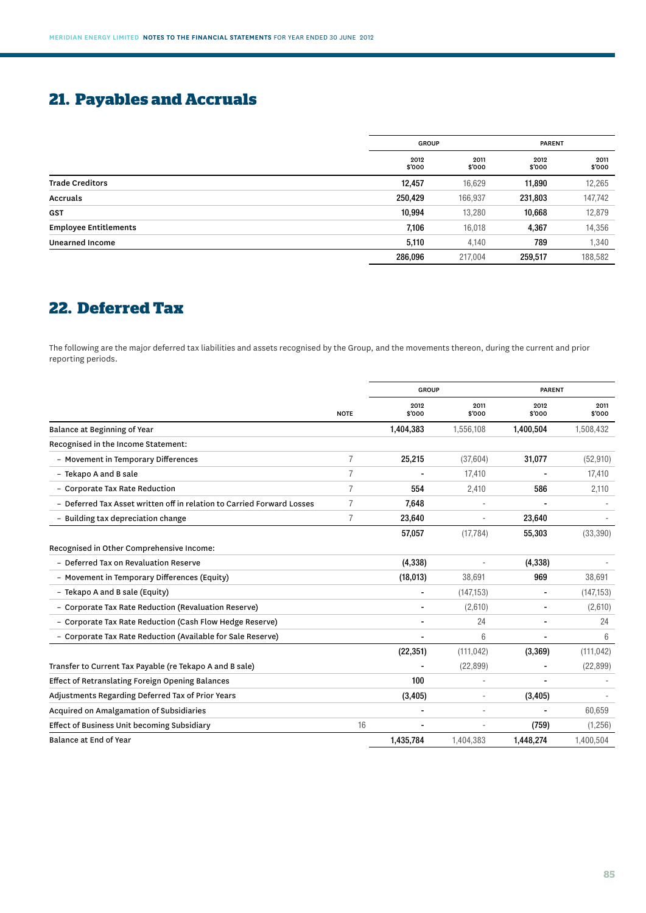## **21. Payables and Accruals**

|                              |                | <b>GROUP</b>   |                | <b>PARENT</b>  |
|------------------------------|----------------|----------------|----------------|----------------|
|                              | 2012<br>\$'000 | 2011<br>\$'000 | 2012<br>\$'000 | 2011<br>\$'000 |
| <b>Trade Creditors</b>       | 12,457         | 16,629         | 11,890         | 12,265         |
| Accruals                     | 250,429        | 166,937        | 231,803        | 147,742        |
| <b>GST</b>                   | 10,994         | 13,280         | 10,668         | 12,879         |
| <b>Employee Entitlements</b> | 7,106          | 16,018         | 4,367          | 14,356         |
| <b>Unearned Income</b>       | 5,110          | 4,140          | 789            | 1,340          |
|                              | 286,096        | 217.004        | 259,517        | 188,582        |

## **22. Deferred Tax**

The following are the major deferred tax liabilities and assets recognised by the Group, and the movements thereon, during the current and prior reporting periods.

|                                                                        |                | <b>GROUP</b>   |                | <b>PARENT</b>  |                |  |
|------------------------------------------------------------------------|----------------|----------------|----------------|----------------|----------------|--|
|                                                                        | <b>NOTE</b>    | 2012<br>\$'000 | 2011<br>\$'000 | 2012<br>\$'000 | 2011<br>\$'000 |  |
| Balance at Beginning of Year                                           |                | 1,404,383      | 1,556,108      | 1,400,504      | 1,508,432      |  |
| Recognised in the Income Statement:                                    |                |                |                |                |                |  |
| - Movement in Temporary Differences                                    | $\overline{7}$ | 25,215         | (37,604)       | 31,077         | (52, 910)      |  |
| - Tekapo A and B sale                                                  | $\overline{7}$ |                | 17,410         |                | 17,410         |  |
| - Corporate Tax Rate Reduction                                         | $\overline{7}$ | 554            | 2,410          | 586            | 2,110          |  |
| - Deferred Tax Asset written off in relation to Carried Forward Losses | $\overline{7}$ | 7,648          |                |                |                |  |
| - Building tax depreciation change                                     | $\overline{7}$ | 23,640         |                | 23,640         |                |  |
|                                                                        |                | 57,057         | (17, 784)      | 55,303         | (33, 390)      |  |
| Recognised in Other Comprehensive Income:                              |                |                |                |                |                |  |
| - Deferred Tax on Revaluation Reserve                                  |                | (4,338)        |                | (4, 338)       |                |  |
| - Movement in Temporary Differences (Equity)                           |                | (18, 013)      | 38,691         | 969            | 38,691         |  |
| - Tekapo A and B sale (Equity)                                         |                |                | (147, 153)     |                | (147, 153)     |  |
| - Corporate Tax Rate Reduction (Revaluation Reserve)                   |                |                | (2,610)        |                | (2,610)        |  |
| - Corporate Tax Rate Reduction (Cash Flow Hedge Reserve)               |                |                | 24             |                | 24             |  |
| - Corporate Tax Rate Reduction (Available for Sale Reserve)            |                | ٠              | 6              |                | 6              |  |
|                                                                        |                | (22, 351)      | (111, 042)     | (3,369)        | (111, 042)     |  |
| Transfer to Current Tax Payable (re Tekapo A and B sale)               |                |                | (22, 899)      |                | (22, 899)      |  |
| Effect of Retranslating Foreign Opening Balances                       |                | 100            |                |                |                |  |
| Adjustments Regarding Deferred Tax of Prior Years                      |                | (3, 405)       |                | (3, 405)       |                |  |
| Acquired on Amalgamation of Subsidiaries                               |                |                |                |                | 60,659         |  |
| Effect of Business Unit becoming Subsidiary                            | 16             | ۰              |                | (759)          | (1, 256)       |  |
| Balance at End of Year                                                 |                | 1,435,784      | 1,404,383      | 1,448,274      | 1,400,504      |  |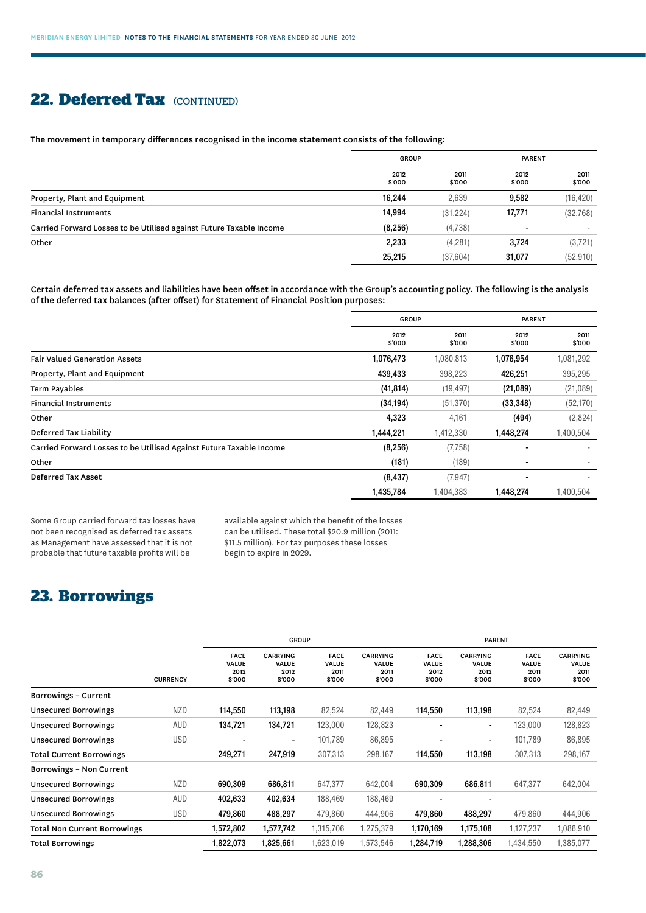## **22. Deferred Tax (CONTINUED)**

## The movement in temporary differences recognised in the income statement consists of the following:

|                                                                     | <b>GROUP</b>   |                | <b>PARENT</b>  |                |
|---------------------------------------------------------------------|----------------|----------------|----------------|----------------|
|                                                                     | 2012<br>\$'000 | 2011<br>\$'000 | 2012<br>\$'000 | 2011<br>\$'000 |
| Property, Plant and Equipment                                       | 16.244         | 2,639          | 9,582          | (16, 420)      |
| <b>Financial Instruments</b>                                        | 14.994         | (31, 224)      | 17,771         | (32,768)       |
| Carried Forward Losses to be Utilised against Future Taxable Income | (8,256)        | (4,738)        |                |                |
| Other                                                               | 2,233          | (4,281)        | 3,724          | (3,721)        |
|                                                                     | 25,215         | (37,604)       | 31,077         | (52, 910)      |

Certain deferred tax assets and liabilities have been offset in accordance with the Group's accounting policy. The following is the analysis of the deferred tax balances (after offset) for Statement of Financial Position purposes:

|                                                                     |                | <b>GROUP</b>   |                | <b>PARENT</b>  |
|---------------------------------------------------------------------|----------------|----------------|----------------|----------------|
|                                                                     | 2012<br>\$'000 | 2011<br>\$'000 | 2012<br>\$'000 | 2011<br>\$'000 |
| <b>Fair Valued Generation Assets</b>                                | 1,076,473      | 1,080,813      | 1,076,954      | 1,081,292      |
| Property, Plant and Equipment                                       | 439,433        | 398,223        | 426,251        | 395,295        |
| Term Payables                                                       | (41, 814)      | (19, 497)      | (21,089)       | (21,089)       |
| <b>Financial Instruments</b>                                        | (34, 194)      | (51, 370)      | (33, 348)      | (52, 170)      |
| Other                                                               | 4,323          | 4,161          | (494)          | (2,824)        |
| Deferred Tax Liability                                              | 1,444,221      | 1,412,330      | 1,448,274      | 1,400,504      |
| Carried Forward Losses to be Utilised Against Future Taxable Income | (8, 256)       | (7,758)        |                |                |
| Other                                                               | (181)          | (189)          | ۰              |                |
| <b>Deferred Tax Asset</b>                                           | (8, 437)       | (7, 947)       |                |                |
|                                                                     | 1,435,784      | 1,404,383      | 1,448,274      | 1,400,504      |

Some Group carried forward tax losses have not been recognised as deferred tax assets as Management have assessed that it is not probable that future taxable profits will be

available against which the benefit of the losses can be utilised. These total \$20.9 million (2011: \$11.5 million). For tax purposes these losses begin to expire in 2029.

## **23. Borrowings**

|                                     |                 |                                        | <b>GROUP</b>                                      |                                               |                                            |                                        | <b>PARENT</b>                                     |                                        |                                            |  |
|-------------------------------------|-----------------|----------------------------------------|---------------------------------------------------|-----------------------------------------------|--------------------------------------------|----------------------------------------|---------------------------------------------------|----------------------------------------|--------------------------------------------|--|
|                                     | <b>CURRENCY</b> | <b>FACE</b><br>VALUE<br>2012<br>\$'000 | <b>CARRYING</b><br><b>VALUE</b><br>2012<br>\$'000 | <b>FACE</b><br><b>VALUE</b><br>2011<br>\$'000 | <b>CARRYING</b><br>VALUE<br>2011<br>\$'000 | <b>FACE</b><br>VALUE<br>2012<br>\$'000 | <b>CARRYING</b><br><b>VALUE</b><br>2012<br>\$'000 | <b>FACE</b><br>VALUE<br>2011<br>\$'000 | <b>CARRYING</b><br>VALUE<br>2011<br>\$'000 |  |
| <b>Borrowings - Current</b>         |                 |                                        |                                                   |                                               |                                            |                                        |                                                   |                                        |                                            |  |
| <b>Unsecured Borrowings</b>         | NZD             | 114,550                                | 113,198                                           | 82,524                                        | 82,449                                     | 114,550                                | 113,198                                           | 82,524                                 | 82,449                                     |  |
| <b>Unsecured Borrowings</b>         | AUD             | 134,721                                | 134,721                                           | 123,000                                       | 128.823                                    |                                        | $\blacksquare$                                    | 123,000                                | 128,823                                    |  |
| <b>Unsecured Borrowings</b>         | <b>USD</b>      |                                        | ٠                                                 | 101,789                                       | 86,895                                     |                                        | ٠                                                 | 101,789                                | 86,895                                     |  |
| <b>Total Current Borrowings</b>     |                 | 249,271                                | 247,919                                           | 307,313                                       | 298,167                                    | 114,550                                | 113,198                                           | 307,313                                | 298,167                                    |  |
| <b>Borrowings - Non Current</b>     |                 |                                        |                                                   |                                               |                                            |                                        |                                                   |                                        |                                            |  |
| <b>Unsecured Borrowings</b>         | NZD             | 690,309                                | 686,811                                           | 647,377                                       | 642,004                                    | 690,309                                | 686,811                                           | 647,377                                | 642,004                                    |  |
| <b>Unsecured Borrowings</b>         | AUD             | 402,633                                | 402,634                                           | 188,469                                       | 188,469                                    |                                        |                                                   |                                        |                                            |  |
| <b>Unsecured Borrowings</b>         | <b>USD</b>      | 479,860                                | 488,297                                           | 479,860                                       | 444,906                                    | 479,860                                | 488,297                                           | 479,860                                | 444,906                                    |  |
| <b>Total Non Current Borrowings</b> |                 | 1,572,802                              | 1,577,742                                         | 1,315,706                                     | 1,275,379                                  | 1,170,169                              | 1,175,108                                         | 1,127,237                              | 1,086,910                                  |  |
| <b>Total Borrowings</b>             |                 | 1,822,073                              | 1,825,661                                         | 1,623,019                                     | 1,573,546                                  | 1,284,719                              | 1,288,306                                         | 1,434,550                              | 1,385,077                                  |  |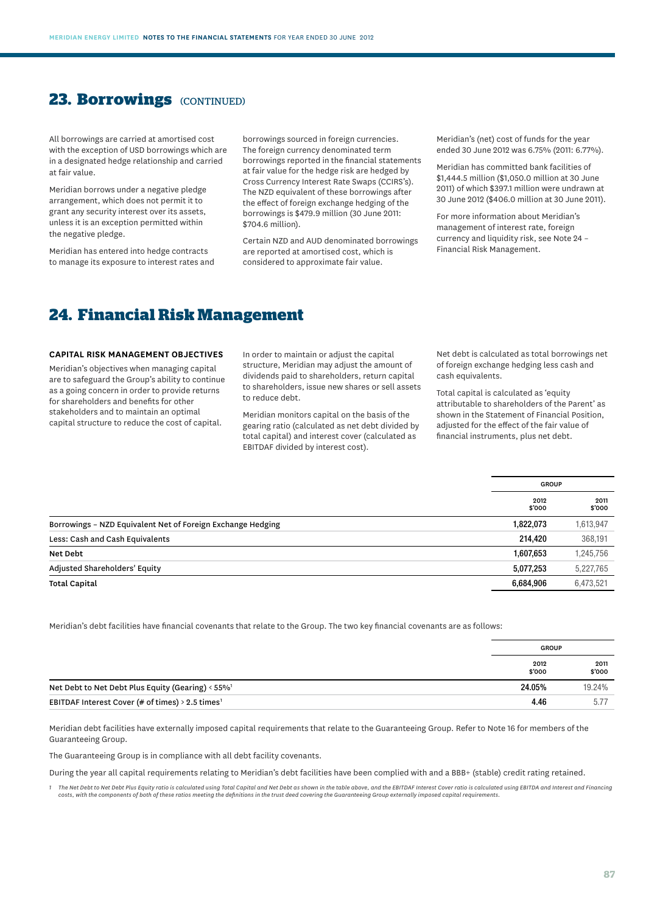## **23. Borrowings (CONTINUED)**

All borrowings are carried at amortised cost with the exception of USD borrowings which are in a designated hedge relationship and carried at fair value.

Meridian borrows under a negative pledge arrangement, which does not permit it to grant any security interest over its assets, unless it is an exception permitted within the negative pledge.

Meridian has entered into hedge contracts to manage its exposure to interest rates and

borrowings sourced in foreign currencies. The foreign currency denominated term borrowings reported in the financial statements at fair value for the hedge risk are hedged by Cross Currency Interest Rate Swaps (CCIRS's). The NZD equivalent of these borrowings after the effect of foreign exchange hedging of the borrowings is \$479.9 million (30 June 2011: \$704.6 million).

Certain NZD and AUD denominated borrowings are reported at amortised cost, which is considered to approximate fair value.

Meridian's (net) cost of funds for the year ended 30 June 2012 was 6.75% (2011: 6.77%).

Meridian has committed bank facilities of \$1,444.5 million (\$1,050.0 million at 30 June 2011) of which \$397.1 million were undrawn at 30 June 2012 (\$406.0 million at 30 June 2011).

For more information about Meridian's management of interest rate, foreign currency and liquidity risk, see Note 24 – Financial Risk Management.

## **24. Financial Risk Management**

#### **Capital Risk Management Objectives**

Meridian's objectives when managing capital are to safeguard the Group's ability to continue as a going concern in order to provide returns for shareholders and benefits for other stakeholders and to maintain an optimal capital structure to reduce the cost of capital.

In order to maintain or adjust the capital structure, Meridian may adjust the amount of dividends paid to shareholders, return capital to shareholders, issue new shares or sell assets to reduce debt.

Meridian monitors capital on the basis of the gearing ratio (calculated as net debt divided by total capital) and interest cover (calculated as EBITDAF divided by interest cost).

Net debt is calculated as total borrowings net of foreign exchange hedging less cash and cash equivalents.

Total capital is calculated as 'equity attributable to shareholders of the Parent' as shown in the Statement of Financial Position, adjusted for the effect of the fair value of financial instruments, plus net debt.

|                                                             | <b>GROUP</b>   |                |
|-------------------------------------------------------------|----------------|----------------|
|                                                             | 2012<br>\$'000 | 2011<br>\$'000 |
| Borrowings - NZD Equivalent Net of Foreign Exchange Hedging | 1,822,073      | 1,613,947      |
| Less: Cash and Cash Equivalents                             | 214.420        | 368,191        |
| Net Debt                                                    | 1,607,653      | 1,245,756      |
| Adjusted Shareholders' Equity                               | 5,077,253      | 5,227,765      |
| <b>Total Capital</b>                                        | 6,684,906      | 6,473,521      |

Meridian's debt facilities have financial covenants that relate to the Group. The two key financial covenants are as follows:

|                                                                     | <b>GROUP</b>   |                |
|---------------------------------------------------------------------|----------------|----------------|
|                                                                     | 2012<br>\$'000 | 2011<br>\$'000 |
| Net Debt to Net Debt Plus Equity (Gearing) $\leq 55\%$ <sup>1</sup> | 24.05%         | 19.24%         |
| EBITDAF Interest Cover (# of times) > 2.5 times <sup>1</sup>        | 4.46           | 5.77           |

Meridian debt facilities have externally imposed capital requirements that relate to the Guaranteeing Group. Refer to Note 16 for members of the Guaranteeing Group.

The Guaranteeing Group is in compliance with all debt facility covenants.

During the year all capital requirements relating to Meridian's debt facilities have been complied with and a BBB+ (stable) credit rating retained.

1 The Net Debt to Net Debt Plus Equity ratio is calculated using Total Capital and Net Debt as shown in the table above, and the EBITDAF Interest Cover ratio is calculated using EBITDA and Interest and Financing *costs, with the components of both of these ratios meeting the definitions in the trust deed covering the Guaranteeing Group externally imposed capital requirements.*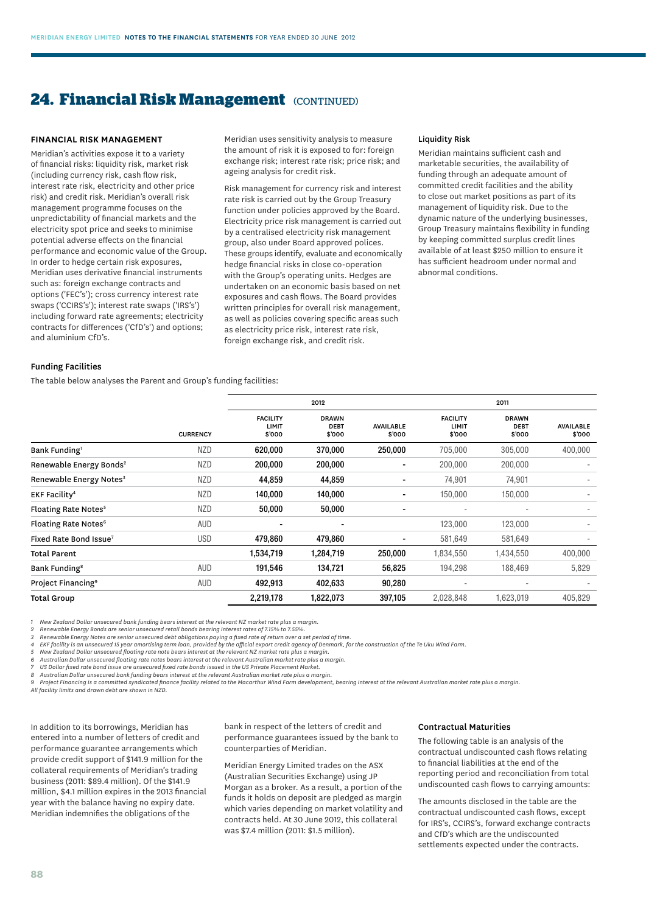## **Financial Risk Management**

Meridian's activities expose it to a variety of financial risks: liquidity risk, market risk (including currency risk, cash flow risk, interest rate risk, electricity and other price risk) and credit risk. Meridian's overall risk management programme focuses on the unpredictability of financial markets and the electricity spot price and seeks to minimise potential adverse effects on the financial performance and economic value of the Group. In order to hedge certain risk exposures, Meridian uses derivative financial instruments such as: foreign exchange contracts and options ('FEC's'); cross currency interest rate swaps ('CCIRS's'); interest rate swaps ('IRS's') including forward rate agreements; electricity contracts for differences ('CfD's') and options; and aluminium CfD's.

Meridian uses sensitivity analysis to measure the amount of risk it is exposed to for: foreign exchange risk; interest rate risk; price risk; and ageing analysis for credit risk.

Risk management for currency risk and interest rate risk is carried out by the Group Treasury function under policies approved by the Board. Electricity price risk management is carried out by a centralised electricity risk management group, also under Board approved polices. These groups identify, evaluate and economically hedge financial risks in close co-operation with the Group's operating units. Hedges are undertaken on an economic basis based on net exposures and cash flows. The Board provides written principles for overall risk management, as well as policies covering specific areas such as electricity price risk, interest rate risk, foreign exchange risk, and credit risk.

## Liquidity Risk

Meridian maintains sufficient cash and marketable securities, the availability of funding through an adequate amount of committed credit facilities and the ability to close out market positions as part of its management of liquidity risk. Due to the dynamic nature of the underlying businesses, Group Treasury maintains flexibility in funding by keeping committed surplus credit lines available of at least \$250 million to ensure it has sufficient headroom under normal and abnormal conditions.

## Funding Facilities

The table below analyses the Parent and Group's funding facilities:

|                                     |                 |                                    | 2012                                  |                            |                                    | 2011                                  |                            |  |
|-------------------------------------|-----------------|------------------------------------|---------------------------------------|----------------------------|------------------------------------|---------------------------------------|----------------------------|--|
|                                     | <b>CURRENCY</b> | <b>FACILITY</b><br>LIMIT<br>\$'000 | <b>DRAWN</b><br><b>DEBT</b><br>\$'000 | <b>AVAILABLE</b><br>\$'000 | <b>FACILITY</b><br>LIMIT<br>\$'000 | <b>DRAWN</b><br><b>DEBT</b><br>\$'000 | <b>AVAILABLE</b><br>\$'000 |  |
| Bank Funding <sup>1</sup>           | <b>NZD</b>      | 620,000                            | 370,000                               | 250,000                    | 705,000                            | 305,000                               | 400,000                    |  |
| Renewable Energy Bonds <sup>2</sup> | <b>NZD</b>      | 200,000                            | 200,000                               | ٠                          | 200,000                            | 200,000                               |                            |  |
| Renewable Energy Notes <sup>3</sup> | <b>NZD</b>      | 44,859                             | 44,859                                | ۰                          | 74,901                             | 74,901                                |                            |  |
| $EKF$ Facility <sup>4</sup>         | <b>NZD</b>      | 140,000                            | 140,000                               | ٠                          | 150,000                            | 150,000                               |                            |  |
| Floating Rate Notes <sup>5</sup>    | <b>NZD</b>      | 50,000                             | 50,000                                | $\blacksquare$             | ٠                                  |                                       |                            |  |
| Floating Rate Notes <sup>6</sup>    | <b>AUD</b>      |                                    | ۰                                     |                            | 123,000                            | 123,000                               |                            |  |
| Fixed Rate Bond Issue <sup>7</sup>  | <b>USD</b>      | 479,860                            | 479,860                               | ٠                          | 581,649                            | 581,649                               |                            |  |
| <b>Total Parent</b>                 |                 | 1,534,719                          | 1,284,719                             | 250,000                    | 1,834,550                          | 1,434,550                             | 400,000                    |  |
| Bank Funding <sup>8</sup>           | <b>AUD</b>      | 191,546                            | 134,721                               | 56,825                     | 194,298                            | 188,469                               | 5,829                      |  |
| Project Financing <sup>9</sup>      | <b>AUD</b>      | 492,913                            | 402,633                               | 90,280                     |                                    |                                       |                            |  |
| <b>Total Group</b>                  |                 | 2,219,178                          | 1,822,073                             | 397,105                    | 2,028,848                          | 1,623,019                             | 405,829                    |  |

*1 New Zealand Dollar unsecured bank funding bears interest at the relevant NZ market rate plus a margin.*

2 Renewable Energy Bonds are senior unsecured retail bonds bearing interest rates of 7.15% to 7.55%.<br>3 Renewable Energy Notes are senior unsecured debt obligations paying a fixed rate of return over a set period of t

*4 EKF facility is an unsecured 15 year amortising term loan, provided by the official export credit agency of Denmark, for the construction of the Te Uku Wind Farm.*

*5 New Zealand Dollar unsecured floating rate note bears interest at the relevant NZ market rate plus a margin.*

6 Australian Dollar unsecured floating rate notes bears interest at the relevant Australian market rate plus a margin.<br>7 US Dollar fixed rate bond issue are unsecured fixed rate bonds issued in the US Private Placement Mar

8 Australian Dollar unsecured bank funding bears interest at the relevant Australian market rate plus a margin.<br>9 Project Financing is a committed syndicated finance facility related to the Macarthur Wind Farm develo *All facility limits and drawn debt are shown in NZD.*

In addition to its borrowings, Meridian has entered into a number of letters of credit and performance guarantee arrangements which provide credit support of \$141.9 million for the collateral requirements of Meridian's trading business (2011: \$89.4 million). Of the \$141.9 million, \$4.1 million expires in the 2013 financial year with the balance having no expiry date. Meridian indemnifies the obligations of the

bank in respect of the letters of credit and performance guarantees issued by the bank to counterparties of Meridian.

Meridian Energy Limited trades on the ASX (Australian Securities Exchange) using JP Morgan as a broker. As a result, a portion of the funds it holds on deposit are pledged as margin which varies depending on market volatility and contracts held. At 30 June 2012, this collateral was \$7.4 million (2011: \$1.5 million).

#### Contractual Maturities

The following table is an analysis of the contractual undiscounted cash flows relating to financial liabilities at the end of the reporting period and reconciliation from total undiscounted cash flows to carrying amounts:

The amounts disclosed in the table are the contractual undiscounted cash flows, except for IRS's, CCIRS's, forward exchange contracts and CfD's which are the undiscounted settlements expected under the contracts.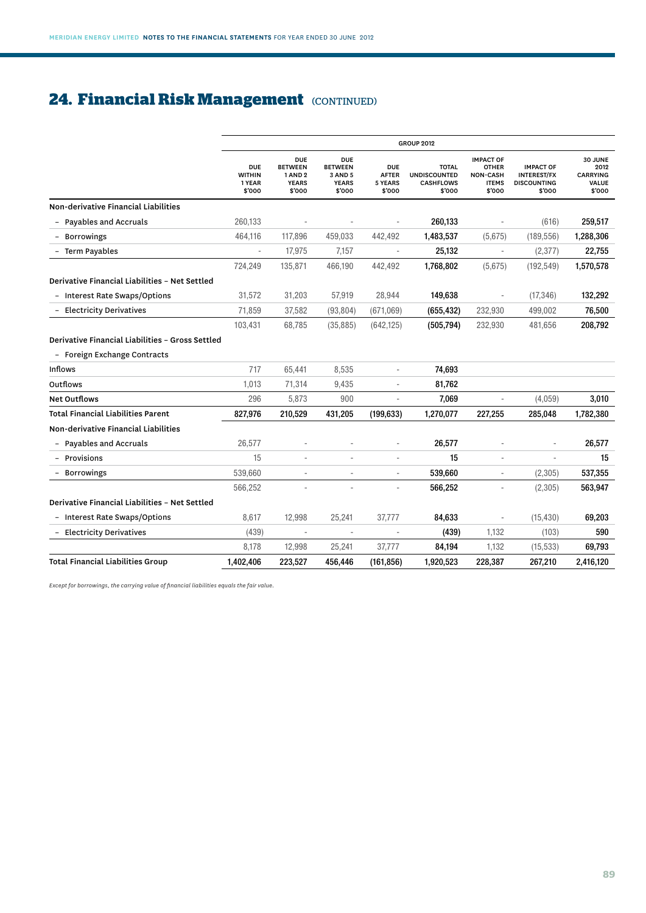|                                                  |                                                 |                                                                          |                                                                   |                                                 | <b>GROUP 2012</b>                                                 |                                                                               |                                                                        |                                                       |
|--------------------------------------------------|-------------------------------------------------|--------------------------------------------------------------------------|-------------------------------------------------------------------|-------------------------------------------------|-------------------------------------------------------------------|-------------------------------------------------------------------------------|------------------------------------------------------------------------|-------------------------------------------------------|
|                                                  | <b>DUE</b><br><b>WITHIN</b><br>1 YEAR<br>\$'000 | <b>DUE</b><br><b>BETWEEN</b><br><b>1 AND 2</b><br><b>YEARS</b><br>\$'000 | <b>DUE</b><br><b>BETWEEN</b><br>3 AND 5<br><b>YEARS</b><br>\$'000 | <b>DUE</b><br><b>AFTER</b><br>5 YEARS<br>\$'000 | <b>TOTAL</b><br><b>UNDISCOUNTED</b><br><b>CASHFLOWS</b><br>\$'000 | <b>IMPACT OF</b><br><b>OTHER</b><br><b>NON-CASH</b><br><b>ITEMS</b><br>\$'000 | <b>IMPACT OF</b><br><b>INTEREST/FX</b><br><b>DISCOUNTING</b><br>\$'000 | 30 JUNE<br>2012<br><b>CARRYING</b><br>VALUE<br>\$'000 |
| Non-derivative Financial Liabilities             |                                                 |                                                                          |                                                                   |                                                 |                                                                   |                                                                               |                                                                        |                                                       |
| - Payables and Accruals                          | 260,133                                         |                                                                          |                                                                   |                                                 | 260,133                                                           |                                                                               | (616)                                                                  | 259,517                                               |
| - Borrowings                                     | 464,116                                         | 117,896                                                                  | 459,033                                                           | 442,492                                         | 1,483,537                                                         | (5,675)                                                                       | (189, 556)                                                             | 1,288,306                                             |
| - Term Payables                                  |                                                 | 17,975                                                                   | 7,157                                                             |                                                 | 25,132                                                            |                                                                               | (2, 377)                                                               | 22,755                                                |
|                                                  | 724,249                                         | 135,871                                                                  | 466,190                                                           | 442,492                                         | 1,768,802                                                         | (5,675)                                                                       | (192, 549)                                                             | 1,570,578                                             |
| Derivative Financial Liabilities - Net Settled   |                                                 |                                                                          |                                                                   |                                                 |                                                                   |                                                                               |                                                                        |                                                       |
| - Interest Rate Swaps/Options                    | 31.572                                          | 31,203                                                                   | 57,919                                                            | 28.944                                          | 149,638                                                           |                                                                               | (17, 346)                                                              | 132,292                                               |
| - Electricity Derivatives                        | 71,859                                          | 37,582                                                                   | (93, 804)                                                         | (671,069)                                       | (655, 432)                                                        | 232,930                                                                       | 499,002                                                                | 76,500                                                |
|                                                  | 103,431                                         | 68,785                                                                   | (35, 885)                                                         | (642, 125)                                      | (505, 794)                                                        | 232,930                                                                       | 481,656                                                                | 208,792                                               |
| Derivative Financial Liabilities - Gross Settled |                                                 |                                                                          |                                                                   |                                                 |                                                                   |                                                                               |                                                                        |                                                       |
| - Foreign Exchange Contracts                     |                                                 |                                                                          |                                                                   |                                                 |                                                                   |                                                                               |                                                                        |                                                       |
| Inflows                                          | 717                                             | 65,441                                                                   | 8,535                                                             | $\overline{a}$                                  | 74,693                                                            |                                                                               |                                                                        |                                                       |
| Outflows                                         | 1,013                                           | 71,314                                                                   | 9,435                                                             |                                                 | 81,762                                                            |                                                                               |                                                                        |                                                       |
| <b>Net Outflows</b>                              | 296                                             | 5,873                                                                    | 900                                                               | $\overline{a}$                                  | 7,069                                                             | $\overline{\phantom{a}}$                                                      | (4,059)                                                                | 3,010                                                 |
| <b>Total Financial Liabilities Parent</b>        | 827,976                                         | 210,529                                                                  | 431,205                                                           | (199, 633)                                      | 1,270,077                                                         | 227,255                                                                       | 285,048                                                                | 1,782,380                                             |
| Non-derivative Financial Liabilities             |                                                 |                                                                          |                                                                   |                                                 |                                                                   |                                                                               |                                                                        |                                                       |
| - Payables and Accruals                          | 26,577                                          |                                                                          |                                                                   |                                                 | 26,577                                                            |                                                                               |                                                                        | 26,577                                                |
| - Provisions                                     | 15                                              |                                                                          |                                                                   |                                                 | 15                                                                |                                                                               | $\overline{\phantom{a}}$                                               | 15                                                    |
| - Borrowings                                     | 539,660                                         |                                                                          |                                                                   |                                                 | 539,660                                                           | $\overline{\phantom{a}}$                                                      | (2,305)                                                                | 537,355                                               |
|                                                  | 566,252                                         |                                                                          |                                                                   |                                                 | 566,252                                                           |                                                                               | (2,305)                                                                | 563,947                                               |
| Derivative Financial Liabilities - Net Settled   |                                                 |                                                                          |                                                                   |                                                 |                                                                   |                                                                               |                                                                        |                                                       |
| - Interest Rate Swaps/Options                    | 8,617                                           | 12,998                                                                   | 25,241                                                            | 37,777                                          | 84,633                                                            |                                                                               | (15, 430)                                                              | 69,203                                                |
| - Electricity Derivatives                        | (439)                                           | $\overline{\phantom{a}}$                                                 | $\overline{a}$                                                    | ÷                                               | (439)                                                             | 1,132                                                                         | (103)                                                                  | 590                                                   |
|                                                  | 8,178                                           | 12,998                                                                   | 25,241                                                            | 37,777                                          | 84,194                                                            | 1.132                                                                         | (15, 533)                                                              | 69,793                                                |
| <b>Total Financial Liabilities Group</b>         | 1,402,406                                       | 223,527                                                                  | 456,446                                                           | (161, 856)                                      | 1,920,523                                                         | 228,387                                                                       | 267,210                                                                | 2,416,120                                             |

*Except for borrowings, the carrying value of financial liabilities equals the fair value.*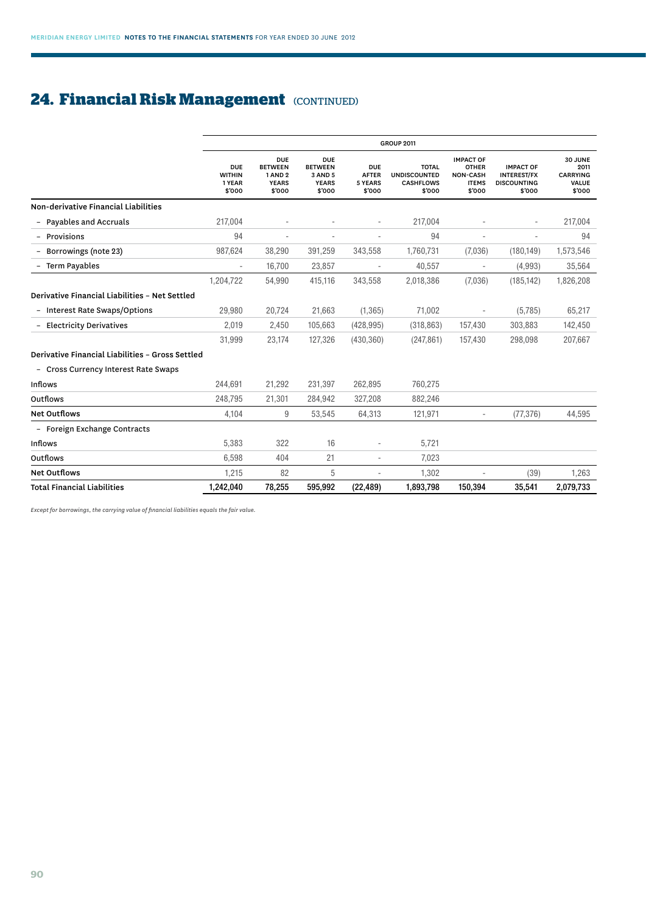|                                                  |                                                 |                                                                          |                                                                   |                                                        | <b>GROUP 2011</b>                                                 |                                                                               |                                                                        |                                                       |
|--------------------------------------------------|-------------------------------------------------|--------------------------------------------------------------------------|-------------------------------------------------------------------|--------------------------------------------------------|-------------------------------------------------------------------|-------------------------------------------------------------------------------|------------------------------------------------------------------------|-------------------------------------------------------|
|                                                  | <b>DUE</b><br><b>WITHIN</b><br>1 YEAR<br>\$'000 | <b>DUE</b><br><b>BETWEEN</b><br><b>1 AND 2</b><br><b>YEARS</b><br>\$'000 | <b>DUE</b><br><b>BETWEEN</b><br>3 AND 5<br><b>YEARS</b><br>\$'000 | <b>DUE</b><br><b>AFTER</b><br><b>5 YEARS</b><br>\$'000 | <b>TOTAL</b><br><b>UNDISCOUNTED</b><br><b>CASHFLOWS</b><br>\$'000 | <b>IMPACT OF</b><br><b>OTHER</b><br><b>NON-CASH</b><br><b>ITEMS</b><br>\$'000 | <b>IMPACT OF</b><br><b>INTEREST/FX</b><br><b>DISCOUNTING</b><br>\$'000 | 30 JUNE<br>2011<br><b>CARRYING</b><br>VALUE<br>\$'000 |
| Non-derivative Financial Liabilities             |                                                 |                                                                          |                                                                   |                                                        |                                                                   |                                                                               |                                                                        |                                                       |
| - Payables and Accruals                          | 217,004                                         |                                                                          |                                                                   |                                                        | 217,004                                                           |                                                                               |                                                                        | 217.004                                               |
| - Provisions                                     | 94                                              |                                                                          |                                                                   |                                                        | 94                                                                |                                                                               |                                                                        | 94                                                    |
| - Borrowings (note 23)                           | 987,624                                         | 38,290                                                                   | 391,259                                                           | 343,558                                                | 1,760,731                                                         | (7,036)                                                                       | (180, 149)                                                             | 1,573,546                                             |
| - Term Payables                                  | $\overline{\phantom{a}}$                        | 16,700                                                                   | 23,857                                                            | $\overline{\phantom{a}}$                               | 40,557                                                            |                                                                               | (4,993)                                                                | 35,564                                                |
|                                                  | 1.204.722                                       | 54,990                                                                   | 415.116                                                           | 343.558                                                | 2,018,386                                                         | (7,036)                                                                       | (185, 142)                                                             | 1,826,208                                             |
| Derivative Financial Liabilities - Net Settled   |                                                 |                                                                          |                                                                   |                                                        |                                                                   |                                                                               |                                                                        |                                                       |
| - Interest Rate Swaps/Options                    | 29,980                                          | 20,724                                                                   | 21,663                                                            | (1, 365)                                               | 71,002                                                            |                                                                               | (5,785)                                                                | 65,217                                                |
| - Electricity Derivatives                        | 2,019                                           | 2,450                                                                    | 105,663                                                           | (428, 995)                                             | (318, 863)                                                        | 157,430                                                                       | 303,883                                                                | 142,450                                               |
|                                                  | 31,999                                          | 23,174                                                                   | 127,326                                                           | (430, 360)                                             | (247, 861)                                                        | 157,430                                                                       | 298,098                                                                | 207,667                                               |
| Derivative Financial Liabilities - Gross Settled |                                                 |                                                                          |                                                                   |                                                        |                                                                   |                                                                               |                                                                        |                                                       |
| - Cross Currency Interest Rate Swaps             |                                                 |                                                                          |                                                                   |                                                        |                                                                   |                                                                               |                                                                        |                                                       |
| <b>Inflows</b>                                   | 244.691                                         | 21,292                                                                   | 231,397                                                           | 262,895                                                | 760,275                                                           |                                                                               |                                                                        |                                                       |
| Outflows                                         | 248,795                                         | 21,301                                                                   | 284,942                                                           | 327,208                                                | 882,246                                                           |                                                                               |                                                                        |                                                       |
| <b>Net Outflows</b>                              | 4,104                                           | 9                                                                        | 53,545                                                            | 64,313                                                 | 121,971                                                           | $\qquad \qquad -$                                                             | (77, 376)                                                              | 44,595                                                |
| - Foreign Exchange Contracts                     |                                                 |                                                                          |                                                                   |                                                        |                                                                   |                                                                               |                                                                        |                                                       |
| <b>Inflows</b>                                   | 5,383                                           | 322                                                                      | 16                                                                |                                                        | 5,721                                                             |                                                                               |                                                                        |                                                       |
| Outflows                                         | 6,598                                           | 404                                                                      | 21                                                                | $\overline{\phantom{a}}$                               | 7,023                                                             |                                                                               |                                                                        |                                                       |
| <b>Net Outflows</b>                              | 1,215                                           | 82                                                                       | 5                                                                 |                                                        | 1.302                                                             |                                                                               | (39)                                                                   | 1,263                                                 |
| <b>Total Financial Liabilities</b>               | 1,242,040                                       | 78,255                                                                   | 595,992                                                           | (22, 489)                                              | 1,893,798                                                         | 150,394                                                                       | 35,541                                                                 | 2,079,733                                             |

*Except for borrowings, the carrying value of financial liabilities equals the fair value.*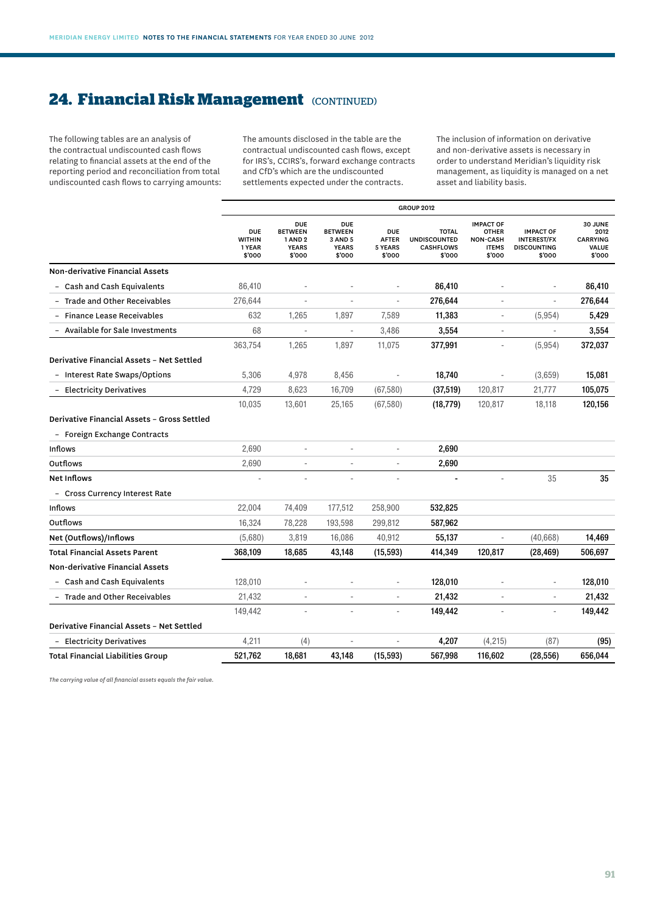The following tables are an analysis of the contractual undiscounted cash flows relating to financial assets at the end of the reporting period and reconciliation from total undiscounted cash flows to carrying amounts: The amounts disclosed in the table are the contractual undiscounted cash flows, except for IRS's, CCIRS's, forward exchange contracts and CfD's which are the undiscounted settlements expected under the contracts.

The inclusion of information on derivative and non-derivative assets is necessary in order to understand Meridian's liquidity risk management, as liquidity is managed on a net asset and liability basis.

|                                             |                                                 |                                                                          |                                                            |                                                        | <b>GROUP 2012</b>                                                 |                                                                               |                                                                        |                                                       |
|---------------------------------------------|-------------------------------------------------|--------------------------------------------------------------------------|------------------------------------------------------------|--------------------------------------------------------|-------------------------------------------------------------------|-------------------------------------------------------------------------------|------------------------------------------------------------------------|-------------------------------------------------------|
|                                             | <b>DUE</b><br><b>WITHIN</b><br>1 YEAR<br>\$'000 | <b>DUE</b><br><b>BETWEEN</b><br><b>1 AND 2</b><br><b>YEARS</b><br>\$'000 | DUE<br><b>BETWEEN</b><br>3 AND 5<br><b>YEARS</b><br>\$'000 | <b>DUE</b><br><b>AFTER</b><br><b>5 YEARS</b><br>\$'000 | <b>TOTAL</b><br><b>UNDISCOUNTED</b><br><b>CASHFLOWS</b><br>\$'000 | <b>IMPACT OF</b><br><b>OTHER</b><br><b>NON-CASH</b><br><b>ITEMS</b><br>\$'000 | <b>IMPACT OF</b><br><b>INTEREST/FX</b><br><b>DISCOUNTING</b><br>\$'000 | 30 JUNE<br>2012<br><b>CARRYING</b><br>VALUE<br>\$'000 |
| Non-derivative Financial Assets             |                                                 |                                                                          |                                                            |                                                        |                                                                   |                                                                               |                                                                        |                                                       |
| - Cash and Cash Equivalents                 | 86,410                                          |                                                                          |                                                            |                                                        | 86,410                                                            |                                                                               | $\overline{a}$                                                         | 86,410                                                |
| Trade and Other Receivables                 | 276,644                                         |                                                                          |                                                            |                                                        | 276,644                                                           |                                                                               |                                                                        | 276,644                                               |
| Finance Lease Receivables                   | 632                                             | 1,265                                                                    | 1,897                                                      | 7,589                                                  | 11,383                                                            |                                                                               | (5,954)                                                                | 5,429                                                 |
| – Available for Sale Investments            | 68                                              |                                                                          | $\overline{\phantom{a}}$                                   | 3,486                                                  | 3,554                                                             | $\overline{\phantom{a}}$                                                      | $\overline{\phantom{a}}$                                               | 3,554                                                 |
|                                             | 363,754                                         | 1,265                                                                    | 1,897                                                      | 11,075                                                 | 377,991                                                           |                                                                               | (5,954)                                                                | 372,037                                               |
| Derivative Financial Assets - Net Settled   |                                                 |                                                                          |                                                            |                                                        |                                                                   |                                                                               |                                                                        |                                                       |
| - Interest Rate Swaps/Options               | 5,306                                           | 4,978                                                                    | 8,456                                                      | $\overline{\phantom{a}}$                               | 18,740                                                            | $\overline{\phantom{a}}$                                                      | (3,659)                                                                | 15,081                                                |
| - Electricity Derivatives                   | 4,729                                           | 8,623                                                                    | 16,709                                                     | (67,580)                                               | (37, 519)                                                         | 120,817                                                                       | 21,777                                                                 | 105,075                                               |
|                                             | 10,035                                          | 13,601                                                                   | 25,165                                                     | (67,580)                                               | (18, 779)                                                         | 120,817                                                                       | 18,118                                                                 | 120,156                                               |
| Derivative Financial Assets - Gross Settled |                                                 |                                                                          |                                                            |                                                        |                                                                   |                                                                               |                                                                        |                                                       |
| - Foreign Exchange Contracts                |                                                 |                                                                          |                                                            |                                                        |                                                                   |                                                                               |                                                                        |                                                       |
| Inflows                                     | 2,690                                           |                                                                          |                                                            |                                                        | 2,690                                                             |                                                                               |                                                                        |                                                       |
| Outflows                                    | 2,690                                           |                                                                          | $\overline{a}$                                             | $\overline{a}$                                         | 2,690                                                             |                                                                               |                                                                        |                                                       |
| Net Inflows                                 |                                                 |                                                                          |                                                            |                                                        |                                                                   |                                                                               | 35                                                                     | 35                                                    |
| - Cross Currency Interest Rate              |                                                 |                                                                          |                                                            |                                                        |                                                                   |                                                                               |                                                                        |                                                       |
| <b>Inflows</b>                              | 22,004                                          | 74,409                                                                   | 177,512                                                    | 258,900                                                | 532,825                                                           |                                                                               |                                                                        |                                                       |
| Outflows                                    | 16,324                                          | 78,228                                                                   | 193,598                                                    | 299,812                                                | 587,962                                                           |                                                                               |                                                                        |                                                       |
| Net (Outflows)/Inflows                      | (5,680)                                         | 3,819                                                                    | 16,086                                                     | 40,912                                                 | 55,137                                                            | $\overline{\phantom{a}}$                                                      | (40, 668)                                                              | 14,469                                                |
| <b>Total Financial Assets Parent</b>        | 368,109                                         | 18,685                                                                   | 43,148                                                     | (15, 593)                                              | 414,349                                                           | 120,817                                                                       | (28, 469)                                                              | 506,697                                               |
| Non-derivative Financial Assets             |                                                 |                                                                          |                                                            |                                                        |                                                                   |                                                                               |                                                                        |                                                       |
| - Cash and Cash Equivalents                 | 128,010                                         |                                                                          |                                                            |                                                        | 128,010                                                           |                                                                               |                                                                        | 128,010                                               |
| - Trade and Other Receivables               | 21,432                                          |                                                                          |                                                            |                                                        | 21,432                                                            |                                                                               |                                                                        | 21,432                                                |
|                                             | 149,442                                         |                                                                          | $\overline{a}$                                             | ÷,                                                     | 149,442                                                           |                                                                               | ÷,                                                                     | 149,442                                               |
| Derivative Financial Assets – Net Settled   |                                                 |                                                                          |                                                            |                                                        |                                                                   |                                                                               |                                                                        |                                                       |
| <b>Electricity Derivatives</b>              | 4,211                                           | (4)                                                                      |                                                            |                                                        | 4,207                                                             | (4,215)                                                                       | (87)                                                                   | (95)                                                  |
| <b>Total Financial Liabilities Group</b>    | 521,762                                         | 18,681                                                                   | 43,148                                                     | (15, 593)                                              | 567,998                                                           | 116,602                                                                       | (28, 556)                                                              | 656,044                                               |

*The carrying value of all financial assets equals the fair value.*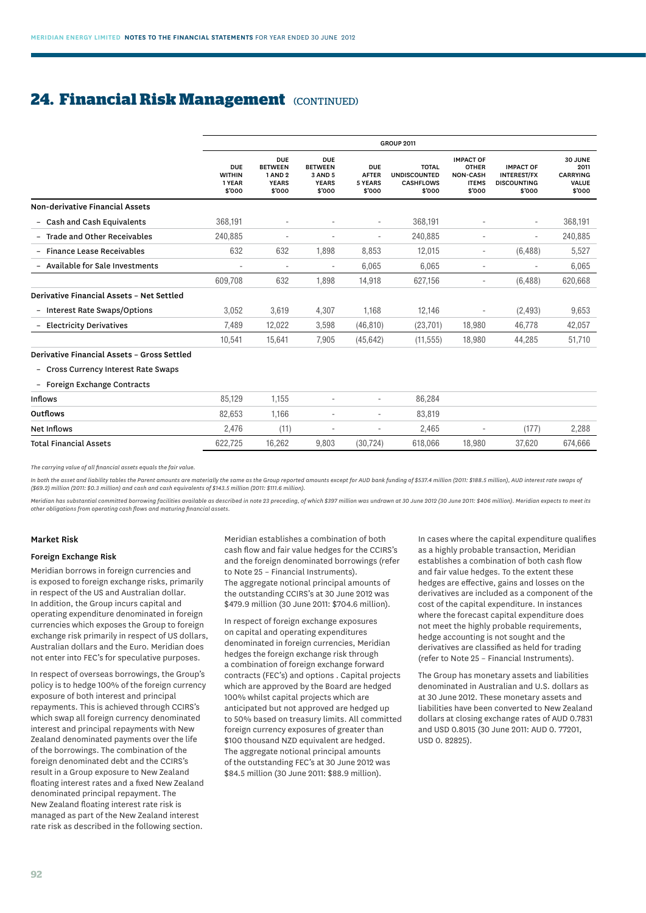|                                             |                                                 |                                                                          |                                                                   |                                                        | <b>GROUP 2011</b>                                                 |                                                                               |                                                                        |                                                       |
|---------------------------------------------|-------------------------------------------------|--------------------------------------------------------------------------|-------------------------------------------------------------------|--------------------------------------------------------|-------------------------------------------------------------------|-------------------------------------------------------------------------------|------------------------------------------------------------------------|-------------------------------------------------------|
|                                             | <b>DUE</b><br><b>WITHIN</b><br>1 YEAR<br>\$'000 | <b>DUE</b><br><b>BETWEEN</b><br><b>1 AND 2</b><br><b>YEARS</b><br>\$'000 | <b>DUE</b><br><b>BETWEEN</b><br>3 AND 5<br><b>YEARS</b><br>\$'000 | <b>DUE</b><br><b>AFTER</b><br><b>5 YEARS</b><br>\$'000 | <b>TOTAL</b><br><b>UNDISCOUNTED</b><br><b>CASHFLOWS</b><br>\$'000 | <b>IMPACT OF</b><br><b>OTHER</b><br><b>NON-CASH</b><br><b>ITEMS</b><br>\$'000 | <b>IMPACT OF</b><br><b>INTEREST/FX</b><br><b>DISCOUNTING</b><br>\$'000 | 30 JUNE<br>2011<br><b>CARRYING</b><br>VALUE<br>\$'000 |
| Non-derivative Financial Assets             |                                                 |                                                                          |                                                                   |                                                        |                                                                   |                                                                               |                                                                        |                                                       |
| - Cash and Cash Equivalents                 | 368,191                                         | $\overline{\phantom{a}}$                                                 |                                                                   | $\overline{\phantom{a}}$                               | 368,191                                                           | $\overline{\phantom{a}}$                                                      | $\overline{\phantom{a}}$                                               | 368,191                                               |
| - Trade and Other Receivables               | 240,885                                         |                                                                          |                                                                   | $\overline{\phantom{a}}$                               | 240,885                                                           |                                                                               | ٠                                                                      | 240,885                                               |
| - Finance Lease Receivables                 | 632                                             | 632                                                                      | 1,898                                                             | 8,853                                                  | 12,015                                                            | $\overline{\phantom{a}}$                                                      | (6, 488)                                                               | 5,527                                                 |
| - Available for Sale Investments            |                                                 |                                                                          | $\overline{\phantom{a}}$                                          | 6,065                                                  | 6,065                                                             |                                                                               |                                                                        | 6,065                                                 |
|                                             | 609,708                                         | 632                                                                      | 1,898                                                             | 14,918                                                 | 627,156                                                           |                                                                               | (6, 488)                                                               | 620,668                                               |
| Derivative Financial Assets - Net Settled   |                                                 |                                                                          |                                                                   |                                                        |                                                                   |                                                                               |                                                                        |                                                       |
| - Interest Rate Swaps/Options               | 3,052                                           | 3,619                                                                    | 4,307                                                             | 1,168                                                  | 12,146                                                            |                                                                               | (2, 493)                                                               | 9,653                                                 |
| - Electricity Derivatives                   | 7,489                                           | 12,022                                                                   | 3,598                                                             | (46, 810)                                              | (23,701)                                                          | 18,980                                                                        | 46,778                                                                 | 42,057                                                |
|                                             | 10,541                                          | 15,641                                                                   | 7,905                                                             | (45, 642)                                              | (11, 555)                                                         | 18,980                                                                        | 44,285                                                                 | 51,710                                                |
| Derivative Financial Assets - Gross Settled |                                                 |                                                                          |                                                                   |                                                        |                                                                   |                                                                               |                                                                        |                                                       |
| - Cross Currency Interest Rate Swaps        |                                                 |                                                                          |                                                                   |                                                        |                                                                   |                                                                               |                                                                        |                                                       |
| _ . _ . _ .                                 |                                                 |                                                                          |                                                                   |                                                        |                                                                   |                                                                               |                                                                        |                                                       |

|  | - Foreign Exchange Contracts |  |
|--|------------------------------|--|
|  |                              |  |

| <b>Inflows</b>         | 85.129  | .155   | $\overline{\phantom{a}}$ | $\sim$                   | 86.284  |        |        |         |
|------------------------|---------|--------|--------------------------|--------------------------|---------|--------|--------|---------|
| <b>Outflows</b>        | 82.653  | ,166   |                          | $\overline{\phantom{a}}$ | 83.819  |        |        |         |
| Net Inflows            | 2,476   | (11    | $\overline{\phantom{a}}$ | $\overline{\phantom{a}}$ | 2,465   |        | 177    | 2,288   |
| Total Financial Assets | 622.725 | 16.262 | 9,803                    | (30, 724)                | 618,066 | 18.980 | 37,620 | 674,666 |

*The carrying value of all financial assets equals the fair value.*

*In both the asset and liability tables the Parent amounts are materially the same as the Group reported amounts except for AUD bank funding of \$537.4 million (2011: \$188.5 million), AUD interest rate swaps of (\$69.2) million (2011: \$0.3 million) and cash and cash equivalents of \$143.5 million (2011: \$111.6 million).*

Meridian has substantial committed borrowing facilities available as described in note 23 preceding, of which \$397 million was undrawn at 30 June 2012 (30 June 2011: \$406 million). Meridian expects to meet its<br>other obliga

## Market Risk

## Foreign Exchange Risk

Meridian borrows in foreign currencies and is exposed to foreign exchange risks, primarily in respect of the US and Australian dollar. In addition, the Group incurs capital and operating expenditure denominated in foreign currencies which exposes the Group to foreign exchange risk primarily in respect of US dollars, Australian dollars and the Euro. Meridian does not enter into FEC's for speculative purposes.

In respect of overseas borrowings, the Group's policy is to hedge 100% of the foreign currency exposure of both interest and principal repayments. This is achieved through CCIRS's which swap all foreign currency denominated interest and principal repayments with New Zealand denominated payments over the life of the borrowings. The combination of the foreign denominated debt and the CCIRS's result in a Group exposure to New Zealand floating interest rates and a fixed New Zealand denominated principal repayment. The New Zealand floating interest rate risk is managed as part of the New Zealand interest rate risk as described in the following section.

Meridian establishes a combination of both cash flow and fair value hedges for the CCIRS's and the foreign denominated borrowings (refer to Note 25 – Financial Instruments). The aggregate notional principal amounts of the outstanding CCIRS's at 30 June 2012 was \$479.9 million (30 June 2011: \$704.6 million).

In respect of foreign exchange exposures on capital and operating expenditures denominated in foreign currencies, Meridian hedges the foreign exchange risk through a combination of foreign exchange forward contracts (FEC's) and options . Capital projects which are approved by the Board are hedged 100% whilst capital projects which are anticipated but not approved are hedged up to 50% based on treasury limits. All committed foreign currency exposures of greater than \$100 thousand NZD equivalent are hedged. The aggregate notional principal amounts of the outstanding FEC's at 30 June 2012 was \$84.5 million (30 June 2011: \$88.9 million).

In cases where the capital expenditure qualifies as a highly probable transaction, Meridian establishes a combination of both cash flow and fair value hedges. To the extent these hedges are effective, gains and losses on the derivatives are included as a component of the cost of the capital expenditure. In instances where the forecast capital expenditure does not meet the highly probable requirements, hedge accounting is not sought and the derivatives are classified as held for trading (refer to Note 25 – Financial Instruments).

The Group has monetary assets and liabilities denominated in Australian and U.S. dollars as at 30 June 2012. These monetary assets and liabilities have been converted to New Zealand dollars at closing exchange rates of AUD 0.7831 and USD 0.8015 (30 June 2011: AUD 0. 77201, USD 0. 82825).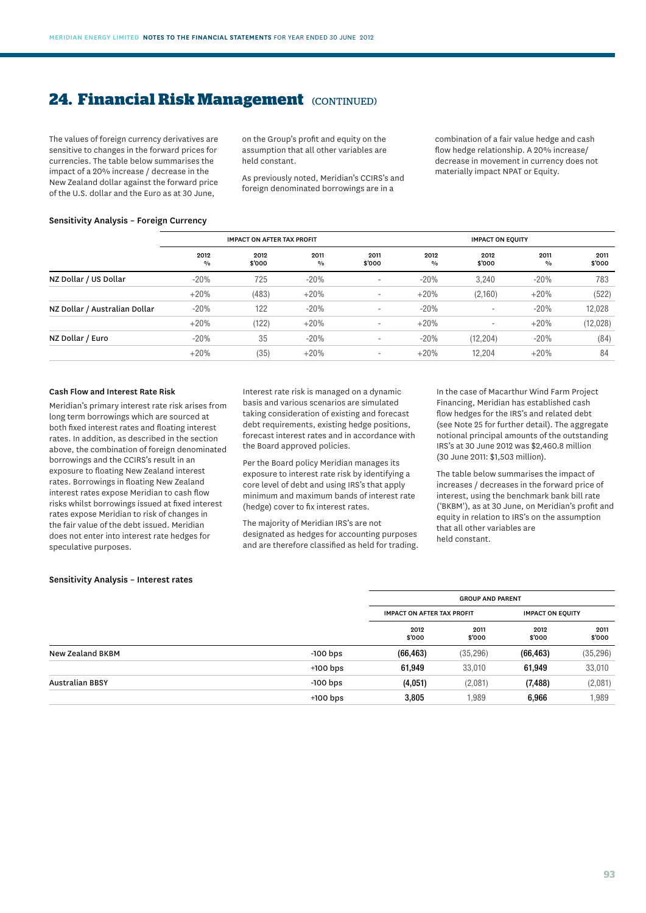The values of foreign currency derivatives are sensitive to changes in the forward prices for currencies. The table below summarises the impact of a 20% increase / decrease in the New Zealand dollar against the forward price of the U.S. dollar and the Euro as at 30 June,

on the Group's profit and equity on the assumption that all other variables are held constant.

As previously noted, Meridian's CCIRS's and foreign denominated borrowings are in a

combination of a fair value hedge and cash flow hedge relationship. A 20% increase/ decrease in movement in currency does not materially impact NPAT or Equity.

## Sensitivity Analysis – Foreign Currency

|                               |                       | <b>IMPACT ON AFTER TAX PROFIT</b> |                       |                          |                       | <b>IMPACT ON EOUITY</b> |                       |                |
|-------------------------------|-----------------------|-----------------------------------|-----------------------|--------------------------|-----------------------|-------------------------|-----------------------|----------------|
|                               | 2012<br>$\frac{0}{0}$ | 2012<br>\$'000                    | 2011<br>$\frac{0}{0}$ | 2011<br>\$'000           | 2012<br>$\frac{0}{0}$ | 2012<br>\$'000          | 2011<br>$\frac{0}{0}$ | 2011<br>\$'000 |
| NZ Dollar / US Dollar         | $-20%$                | 725                               | $-20%$                | $\overline{\phantom{a}}$ | $-20%$                | 3,240                   | $-20%$                | 783            |
|                               | $+20%$                | (483)                             | $+20%$                | $\overline{\phantom{a}}$ | $+20%$                | (2,160)                 | $+20%$                | (522)          |
| NZ Dollar / Australian Dollar | $-20%$                | 122                               | $-20%$                | $\overline{\phantom{a}}$ | $-20%$                |                         | $-20%$                | 12,028         |
|                               | $+20%$                | (122)                             | $+20%$                |                          | $+20%$                |                         | $+20%$                | (12, 028)      |
| NZ Dollar / Euro              | $-20%$                | 35                                | $-20%$                | $\overline{\phantom{a}}$ | $-20%$                | (12, 204)               | $-20%$                | (84)           |
|                               | $+20%$                | (35)                              | $+20%$                | $\overline{\phantom{a}}$ | $+20%$                | 12.204                  | $+20%$                | 84             |

### Cash Flow and Interest Rate Risk

Meridian's primary interest rate risk arises from long term borrowings which are sourced at both fixed interest rates and floating interest rates. In addition, as described in the section above, the combination of foreign denominated borrowings and the CCIRS's result in an exposure to floating New Zealand interest rates. Borrowings in floating New Zealand interest rates expose Meridian to cash flow risks whilst borrowings issued at fixed interest rates expose Meridian to risk of changes in the fair value of the debt issued. Meridian does not enter into interest rate hedges for speculative purposes.

Interest rate risk is managed on a dynamic basis and various scenarios are simulated taking consideration of existing and forecast debt requirements, existing hedge positions, forecast interest rates and in accordance with the Board approved policies.

Per the Board policy Meridian manages its exposure to interest rate risk by identifying a core level of debt and using IRS's that apply minimum and maximum bands of interest rate (hedge) cover to fix interest rates.

The majority of Meridian IRS's are not designated as hedges for accounting purposes and are therefore classified as held for trading. In the case of Macarthur Wind Farm Project Financing, Meridian has established cash flow hedges for the IRS's and related debt (see Note 25 for further detail). The aggregate notional principal amounts of the outstanding IRS's at 30 June 2012 was \$2,460.8 million (30 June 2011: \$1,503 million).

The table below summarises the impact of increases / decreases in the forward price of interest, using the benchmark bank bill rate ('BKBM'), as at 30 June, on Meridian's profit and equity in relation to IRS's on the assumption that all other variables are held constant.

#### Sensitivity Analysis – Interest rates

|                  |            |                                   | <b>GROUP AND PARENT</b> |                         |                |  |  |  |
|------------------|------------|-----------------------------------|-------------------------|-------------------------|----------------|--|--|--|
|                  |            | <b>IMPACT ON AFTER TAX PROFIT</b> |                         | <b>IMPACT ON EQUITY</b> |                |  |  |  |
|                  |            | 2012<br>\$'000                    | 2011<br>\$'000          | 2012<br>\$'000          | 2011<br>\$'000 |  |  |  |
| New Zealand BKBM | $-100$ bps | (66, 463)                         | (35, 296)               | (66, 463)               | (35, 296)      |  |  |  |
|                  | $+100$ bps | 61,949                            | 33,010                  | 61,949                  | 33,010         |  |  |  |
| Australian BBSY  | $-100$ bps | (4,051)                           | (2,081)                 | (7, 488)                | (2,081)        |  |  |  |
|                  | $+100$ bps | 3,805                             | 1,989                   | 6,966                   | 1,989          |  |  |  |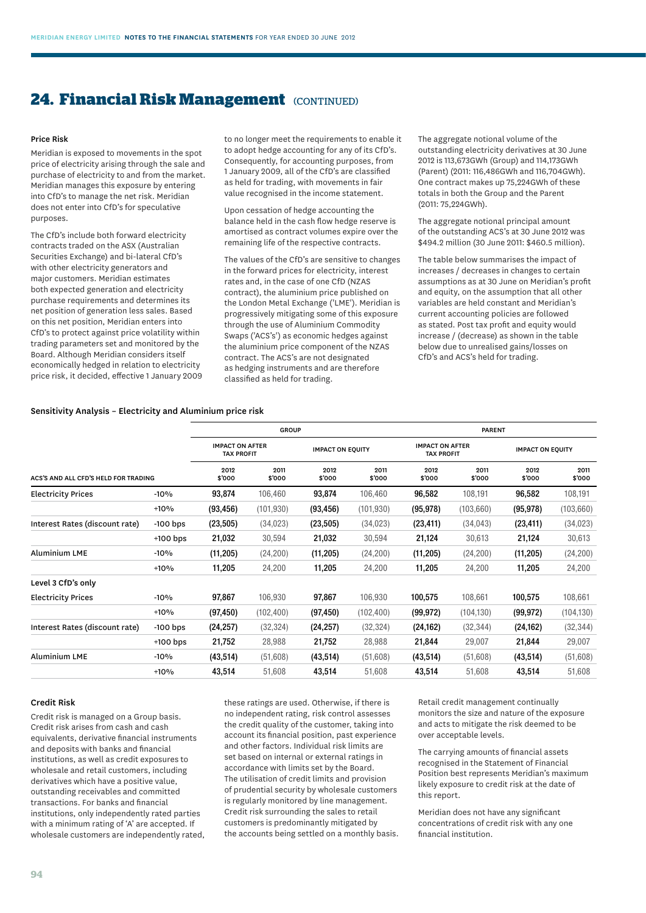### Price Risk

Meridian is exposed to movements in the spot price of electricity arising through the sale and purchase of electricity to and from the market. Meridian manages this exposure by entering into CfD's to manage the net risk. Meridian does not enter into CfD's for speculative purposes.

The CfD's include both forward electricity contracts traded on the ASX (Australian Securities Exchange) and bi-lateral CfD's with other electricity generators and major customers. Meridian estimates both expected generation and electricity purchase requirements and determines its net position of generation less sales. Based on this net position, Meridian enters into CfD's to protect against price volatility within trading parameters set and monitored by the Board. Although Meridian considers itself economically hedged in relation to electricity price risk, it decided, effective 1 January 2009 to no longer meet the requirements to enable it to adopt hedge accounting for any of its CfD's. Consequently, for accounting purposes, from 1 January 2009, all of the CfD's are classified as held for trading, with movements in fair value recognised in the income statement.

Upon cessation of hedge accounting the balance held in the cash flow hedge reserve is amortised as contract volumes expire over the remaining life of the respective contracts.

The values of the CfD's are sensitive to changes in the forward prices for electricity, interest rates and, in the case of one CfD (NZAS contract), the aluminium price published on the London Metal Exchange ('LME'). Meridian is progressively mitigating some of this exposure through the use of Aluminium Commodity Swaps ('ACS's') as economic hedges against the aluminium price component of the NZAS contract. The ACS's are not designated as hedging instruments and are therefore classified as held for trading.

The aggregate notional volume of the outstanding electricity derivatives at 30 June 2012 is 113,673GWh (Group) and 114,173GWh (Parent) (2011: 116,486GWh and 116,704GWh). One contract makes up 75,224GWh of these totals in both the Group and the Parent (2011: 75,224GWh).

The aggregate notional principal amount of the outstanding ACS's at 30 June 2012 was \$494.2 million (30 June 2011: \$460.5 million).

The table below summarises the impact of increases / decreases in changes to certain assumptions as at 30 June on Meridian's profit and equity, on the assumption that all other variables are held constant and Meridian's current accounting policies are followed as stated. Post tax profit and equity would increase / (decrease) as shown in the table below due to unrealised gains/losses on CfD's and ACS's held for trading.

## Sensitivity Analysis – Electricity and Aluminium price risk

| <b>GROUP</b>                         |            |                                             |                |                         | <b>PARENT</b>  |                                             |                |                         |                |
|--------------------------------------|------------|---------------------------------------------|----------------|-------------------------|----------------|---------------------------------------------|----------------|-------------------------|----------------|
|                                      |            | <b>IMPACT ON AFTER</b><br><b>TAX PROFIT</b> |                | <b>IMPACT ON EOUITY</b> |                | <b>IMPACT ON AFTER</b><br><b>TAX PROFIT</b> |                | <b>IMPACT ON EQUITY</b> |                |
| ACS'S AND ALL CFD'S HELD FOR TRADING |            | 2012<br>\$'000                              | 2011<br>\$'000 | 2012<br>\$'000          | 2011<br>\$'000 | 2012<br>\$'000                              | 2011<br>\$'000 | 2012<br>\$'000          | 2011<br>\$'000 |
| <b>Electricity Prices</b>            | $-10%$     | 93,874                                      | 106,460        | 93,874                  | 106,460        | 96,582                                      | 108,191        | 96,582                  | 108,191        |
|                                      | $+10%$     | (93, 456)                                   | (101, 930)     | (93, 456)               | (101, 930)     | (95, 978)                                   | (103, 660)     | (95, 978)               | (103,660)      |
| Interest Rates (discount rate)       | $-100$ bps | (23, 505)                                   | (34,023)       | (23, 505)               | (34, 023)      | (23, 411)                                   | (34, 043)      | (23, 411)               | (34, 023)      |
|                                      | $+100$ bps | 21,032                                      | 30,594         | 21,032                  | 30,594         | 21,124                                      | 30,613         | 21,124                  | 30,613         |
| <b>Aluminium LME</b>                 | $-10%$     | (11, 205)                                   | (24, 200)      | (11, 205)               | (24, 200)      | (11, 205)                                   | (24, 200)      | (11, 205)               | (24, 200)      |
|                                      | $+10%$     | 11,205                                      | 24,200         | 11,205                  | 24,200         | 11,205                                      | 24,200         | 11,205                  | 24,200         |
| Level 3 CfD's only                   |            |                                             |                |                         |                |                                             |                |                         |                |
| <b>Electricity Prices</b>            | $-10%$     | 97,867                                      | 106,930        | 97,867                  | 106,930        | 100,575                                     | 108,661        | 100,575                 | 108,661        |
|                                      | $+10%$     | (97, 450)                                   | (102, 400)     | (97, 450)               | (102, 400)     | (99, 972)                                   | (104, 130)     | (99, 972)               | (104, 130)     |
| Interest Rates (discount rate)       | $-100$ bps | (24, 257)                                   | (32, 324)      | (24, 257)               | (32, 324)      | (24, 162)                                   | (32, 344)      | (24, 162)               | (32, 344)      |
|                                      | $+100$ bps | 21,752                                      | 28,988         | 21,752                  | 28,988         | 21,844                                      | 29,007         | 21,844                  | 29,007         |
| <b>Aluminium LME</b>                 | $-10%$     | (43, 514)                                   | (51,608)       | (43, 514)               | (51,608)       | (43, 514)                                   | (51,608)       | (43, 514)               | (51,608)       |
|                                      | $+10%$     | 43,514                                      | 51,608         | 43,514                  | 51,608         | 43,514                                      | 51,608         | 43,514                  | 51,608         |
|                                      |            |                                             |                |                         |                |                                             |                |                         |                |

### Credit Risk

Credit risk is managed on a Group basis. Credit risk arises from cash and cash equivalents, derivative financial instruments and deposits with banks and financial institutions, as well as credit exposures to wholesale and retail customers, including derivatives which have a positive value, outstanding receivables and committed transactions. For banks and financial institutions, only independently rated parties with a minimum rating of 'A' are accepted. If wholesale customers are independently rated, these ratings are used. Otherwise, if there is no independent rating, risk control assesses the credit quality of the customer, taking into account its financial position, past experience and other factors. Individual risk limits are set based on internal or external ratings in accordance with limits set by the Board. The utilisation of credit limits and provision of prudential security by wholesale customers is regularly monitored by line management. Credit risk surrounding the sales to retail customers is predominantly mitigated by the accounts being settled on a monthly basis. Retail credit management continually monitors the size and nature of the exposure and acts to mitigate the risk deemed to be over acceptable levels.

The carrying amounts of financial assets recognised in the Statement of Financial Position best represents Meridian's maximum likely exposure to credit risk at the date of this report.

Meridian does not have any significant concentrations of credit risk with any one financial institution.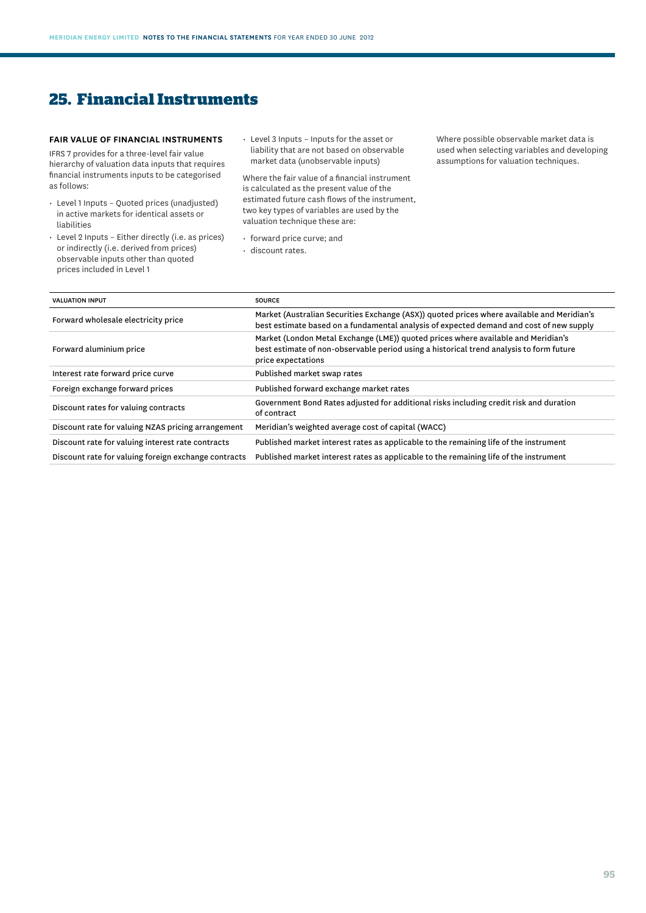## **25. Financial Instruments**

## **Fair Value of Financial Instruments**

IFRS 7 provides for a three-level fair value hierarchy of valuation data inputs that requires financial instruments inputs to be categorised as follows:

- • Level 1 Inputs Quoted prices (unadjusted) in active markets for identical assets or liabilities
- $\cdot$  Level 2 Inputs Either directly (i.e. as prices) or indirectly (i.e. derived from prices) observable inputs other than quoted prices included in Level 1
- • Level 3 Inputs Inputs for the asset or liability that are not based on observable market data (unobservable inputs)

Where the fair value of a financial instrument is calculated as the present value of the estimated future cash flows of the instrument, two key types of variables are used by the valuation technique these are:

- • forward price curve; and
- discount rates.

Where possible observable market data is used when selecting variables and developing assumptions for valuation techniques.

| <b>VALUATION INPUT</b>                               | <b>SOURCE</b>                                                                                                                                                                                      |
|------------------------------------------------------|----------------------------------------------------------------------------------------------------------------------------------------------------------------------------------------------------|
| Forward wholesale electricity price                  | Market (Australian Securities Exchange (ASX)) quoted prices where available and Meridian's<br>best estimate based on a fundamental analysis of expected demand and cost of new supply              |
| Forward aluminium price                              | Market (London Metal Exchange (LME)) quoted prices where available and Meridian's<br>best estimate of non-observable period using a historical trend analysis to form future<br>price expectations |
| Interest rate forward price curve                    | Published market swap rates                                                                                                                                                                        |
| Foreign exchange forward prices                      | Published forward exchange market rates                                                                                                                                                            |
| Discount rates for valuing contracts                 | Government Bond Rates adjusted for additional risks including credit risk and duration<br>of contract                                                                                              |
| Discount rate for valuing NZAS pricing arrangement   | Meridian's weighted average cost of capital (WACC)                                                                                                                                                 |
| Discount rate for valuing interest rate contracts    | Published market interest rates as applicable to the remaining life of the instrument                                                                                                              |
| Discount rate for valuing foreign exchange contracts | Published market interest rates as applicable to the remaining life of the instrument                                                                                                              |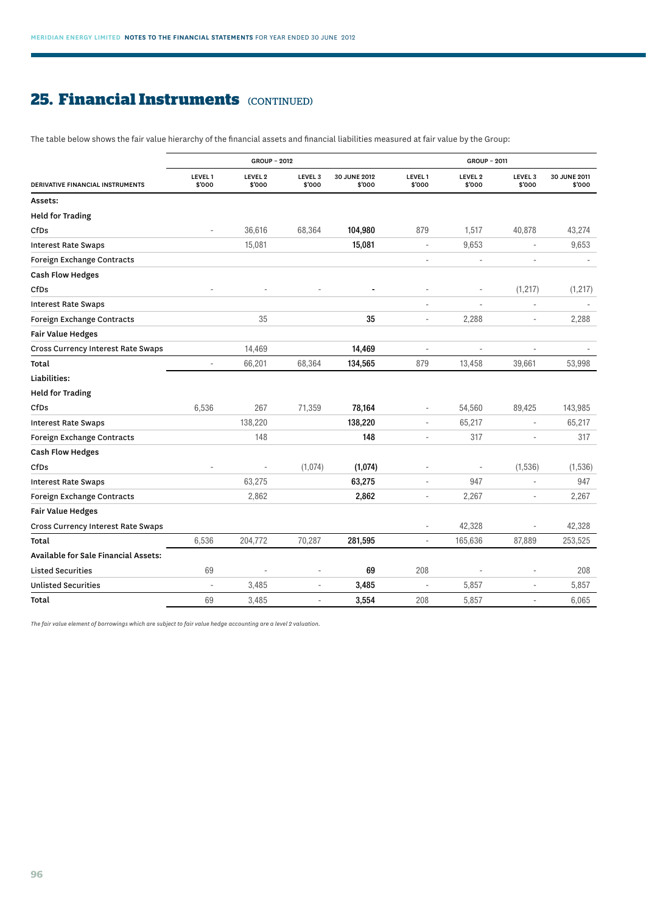The table below shows the fair value hierarchy of the financial assets and financial liabilities measured at fair value by the Group:

|                                      | <b>GROUP - 2012</b> |                              |                          |                        | <b>GROUP - 2011</b>      |                              |                   |                        |
|--------------------------------------|---------------------|------------------------------|--------------------------|------------------------|--------------------------|------------------------------|-------------------|------------------------|
| DERIVATIVE FINANCIAL INSTRUMENTS     | LEVEL 1<br>\$'000   | LEVEL <sub>2</sub><br>\$'000 | LEVEL 3<br>\$'000        | 30 JUNE 2012<br>\$'000 | LEVEL 1<br>\$'000        | LEVEL <sub>2</sub><br>\$'000 | LEVEL 3<br>\$'000 | 30 JUNE 2011<br>\$'000 |
| Assets:                              |                     |                              |                          |                        |                          |                              |                   |                        |
| <b>Held for Trading</b>              |                     |                              |                          |                        |                          |                              |                   |                        |
| CfDs                                 |                     | 36,616                       | 68,364                   | 104,980                | 879                      | 1,517                        | 40,878            | 43,274                 |
| <b>Interest Rate Swaps</b>           |                     | 15,081                       |                          | 15,081                 | $\frac{1}{2}$            | 9,653                        | $\sim$            | 9,653                  |
| Foreign Exchange Contracts           |                     |                              |                          |                        | i.                       |                              |                   |                        |
| <b>Cash Flow Hedges</b>              |                     |                              |                          |                        |                          |                              |                   |                        |
| CfDs                                 |                     |                              |                          |                        | ÷                        |                              | (1, 217)          | (1, 217)               |
| <b>Interest Rate Swaps</b>           |                     |                              |                          |                        | L,                       |                              |                   |                        |
| Foreign Exchange Contracts           |                     | 35                           |                          | 35                     | ÷,                       | 2,288                        | ÷                 | 2,288                  |
| <b>Fair Value Hedges</b>             |                     |                              |                          |                        |                          |                              |                   |                        |
| Cross Currency Interest Rate Swaps   |                     | 14,469                       |                          | 14,469                 | ÷,                       | $\overline{\phantom{a}}$     | $\sim$            |                        |
| Total                                | ÷,                  | 66,201                       | 68,364                   | 134,565                | 879                      | 13,458                       | 39,661            | 53,998                 |
| Liabilities:                         |                     |                              |                          |                        |                          |                              |                   |                        |
| <b>Held for Trading</b>              |                     |                              |                          |                        |                          |                              |                   |                        |
| CfDs                                 | 6,536               | 267                          | 71,359                   | 78,164                 | ÷,                       | 54,560                       | 89,425            | 143,985                |
| <b>Interest Rate Swaps</b>           |                     | 138,220                      |                          | 138,220                | ÷,                       | 65,217                       |                   | 65,217                 |
| Foreign Exchange Contracts           |                     | 148                          |                          | 148                    | L,                       | 317                          |                   | 317                    |
| <b>Cash Flow Hedges</b>              |                     |                              |                          |                        |                          |                              |                   |                        |
| CfDs                                 |                     | L,                           | (1,074)                  | (1,074)                |                          |                              | (1,536)           | (1,536)                |
| <b>Interest Rate Swaps</b>           |                     | 63,275                       |                          | 63,275                 | ÷,                       | 947                          | $\overline{a}$    | 947                    |
| Foreign Exchange Contracts           |                     | 2,862                        |                          | 2,862                  | i.                       | 2,267                        | ÷,                | 2,267                  |
| <b>Fair Value Hedges</b>             |                     |                              |                          |                        |                          |                              |                   |                        |
| Cross Currency Interest Rate Swaps   |                     |                              |                          |                        | ÷,                       | 42,328                       |                   | 42,328                 |
| Total                                | 6,536               | 204,772                      | 70,287                   | 281,595                | ÷,                       | 165,636                      | 87,889            | 253,525                |
| Available for Sale Financial Assets: |                     |                              |                          |                        |                          |                              |                   |                        |
| <b>Listed Securities</b>             | 69                  |                              | $\overline{\phantom{a}}$ | 69                     | 208                      |                              |                   | 208                    |
| <b>Unlisted Securities</b>           | $\overline{a}$      | 3,485                        | $\overline{\phantom{a}}$ | 3,485                  | $\overline{\phantom{a}}$ | 5,857                        | ÷,                | 5,857                  |
| Total                                | 69                  | 3,485                        | $\overline{\phantom{a}}$ | 3,554                  | 208                      | 5,857                        | ÷,                | 6,065                  |

*The fair value element of borrowings which are subject to fair value hedge accounting are a level 2 valuation.*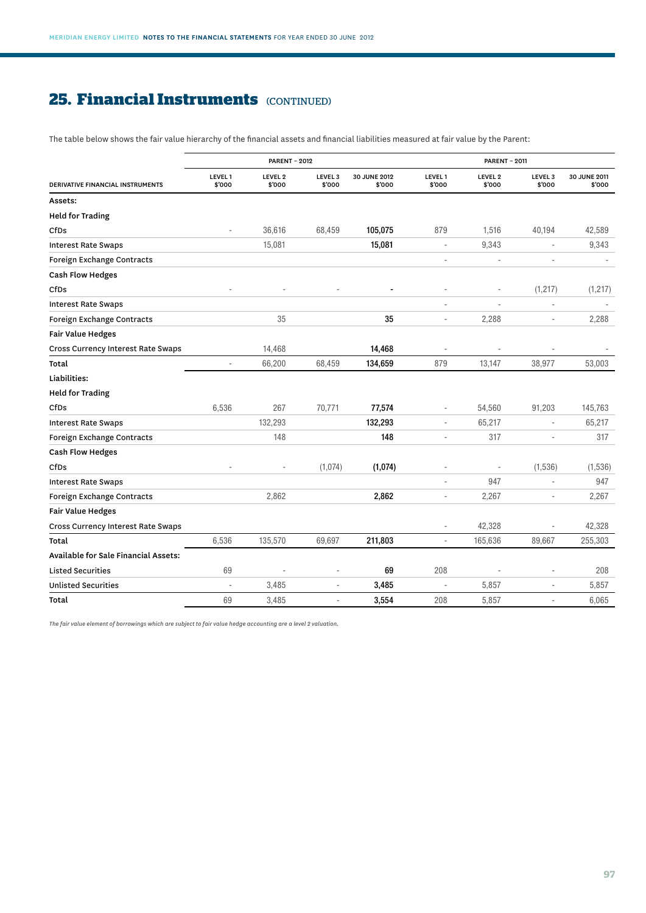The table below shows the fair value hierarchy of the financial assets and financial liabilities measured at fair value by the Parent:

|                                      | <b>PARENT - 2012</b>     |                   |                          |                        | <b>PARENT - 2011</b>     |                              |                          |                        |
|--------------------------------------|--------------------------|-------------------|--------------------------|------------------------|--------------------------|------------------------------|--------------------------|------------------------|
| DERIVATIVE FINANCIAL INSTRUMENTS     | LEVEL 1<br>\$'000        | LEVEL 2<br>\$'000 | LEVEL 3<br>\$'000        | 30 JUNE 2012<br>\$'000 | LEVEL 1<br>\$'000        | LEVEL <sub>2</sub><br>\$'000 | LEVEL 3<br>\$'000        | 30 JUNE 2011<br>\$'000 |
| Assets:                              |                          |                   |                          |                        |                          |                              |                          |                        |
| <b>Held for Trading</b>              |                          |                   |                          |                        |                          |                              |                          |                        |
| CfDs                                 | ÷,                       | 36,616            | 68,459                   | 105,075                | 879                      | 1,516                        | 40.194                   | 42,589                 |
| <b>Interest Rate Swaps</b>           |                          | 15,081            |                          | 15,081                 | $\frac{1}{2}$            | 9,343                        | $\overline{\phantom{m}}$ | 9,343                  |
| Foreign Exchange Contracts           |                          |                   |                          |                        |                          |                              |                          |                        |
| <b>Cash Flow Hedges</b>              |                          |                   |                          |                        |                          |                              |                          |                        |
| CfDs                                 |                          |                   |                          | ٠                      |                          |                              | (1, 217)                 | (1, 217)               |
| <b>Interest Rate Swaps</b>           |                          |                   |                          |                        |                          |                              |                          |                        |
| Foreign Exchange Contracts           |                          | 35                |                          | 35                     | $\overline{a}$           | 2,288                        | $\overline{a}$           | 2,288                  |
| <b>Fair Value Hedges</b>             |                          |                   |                          |                        |                          |                              |                          |                        |
| Cross Currency Interest Rate Swaps   |                          | 14,468            |                          | 14,468                 | $\overline{\phantom{m}}$ | ÷,                           | ÷                        |                        |
| Total                                | $\overline{a}$           | 66,200            | 68,459                   | 134,659                | 879                      | 13,147                       | 38,977                   | 53,003                 |
| Liabilities:                         |                          |                   |                          |                        |                          |                              |                          |                        |
| <b>Held for Trading</b>              |                          |                   |                          |                        |                          |                              |                          |                        |
| CfDs                                 | 6,536                    | 267               | 70,771                   | 77,574                 | $\overline{a}$           | 54,560                       | 91,203                   | 145,763                |
| <b>Interest Rate Swaps</b>           |                          | 132,293           |                          | 132,293                | $\sim$                   | 65,217                       |                          | 65,217                 |
| Foreign Exchange Contracts           |                          | 148               |                          | 148                    |                          | 317                          |                          | 317                    |
| <b>Cash Flow Hedges</b>              |                          |                   |                          |                        |                          |                              |                          |                        |
| CfDs                                 |                          |                   | (1,074)                  | (1,074)                |                          |                              | (1,536)                  | (1,536)                |
| <b>Interest Rate Swaps</b>           |                          |                   |                          |                        | $\sim$                   | 947                          | ÷,                       | 947                    |
| Foreign Exchange Contracts           |                          | 2,862             |                          | 2,862                  | $\sim$                   | 2,267                        | $\overline{a}$           | 2,267                  |
| <b>Fair Value Hedges</b>             |                          |                   |                          |                        |                          |                              |                          |                        |
| Cross Currency Interest Rate Swaps   |                          |                   |                          |                        | $\overline{\phantom{a}}$ | 42,328                       |                          | 42,328                 |
| Total                                | 6,536                    | 135,570           | 69,697                   | 211,803                | $\overline{\phantom{m}}$ | 165,636                      | 89,667                   | 255,303                |
| Available for Sale Financial Assets: |                          |                   |                          |                        |                          |                              |                          |                        |
| <b>Listed Securities</b>             | 69                       |                   |                          | 69                     | 208                      |                              |                          | 208                    |
| <b>Unlisted Securities</b>           | $\overline{\phantom{a}}$ | 3,485             | $\overline{\phantom{a}}$ | 3,485                  | $\overline{a}$           | 5,857                        | $\overline{a}$           | 5,857                  |
| Total                                | 69                       | 3,485             | $\overline{\phantom{a}}$ | 3,554                  | 208                      | 5,857                        | $\overline{a}$           | 6,065                  |

*The fair value element of borrowings which are subject to fair value hedge accounting are a level 2 valuation.*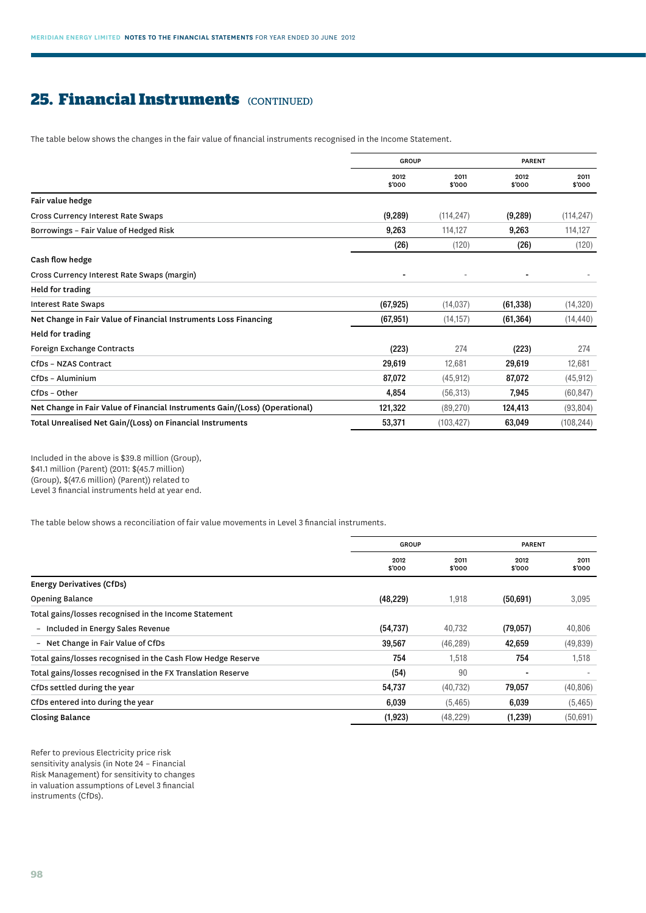The table below shows the changes in the fair value of financial instruments recognised in the Income Statement.

|                                                                             | <b>GROUP</b>   |                | <b>PARENT</b>  |                |
|-----------------------------------------------------------------------------|----------------|----------------|----------------|----------------|
|                                                                             | 2012<br>\$'000 | 2011<br>\$'000 | 2012<br>\$'000 | 2011<br>\$'000 |
| Fair value hedge                                                            |                |                |                |                |
| Cross Currency Interest Rate Swaps                                          | (9,289)        | (114, 247)     | (9,289)        | (114, 247)     |
| Borrowings - Fair Value of Hedged Risk                                      | 9,263          | 114,127        | 9,263          | 114,127        |
|                                                                             | (26)           | (120)          | (26)           | (120)          |
| Cash flow hedge                                                             |                |                |                |                |
| Cross Currency Interest Rate Swaps (margin)                                 | ٠              | ۰              |                |                |
| Held for trading                                                            |                |                |                |                |
| <b>Interest Rate Swaps</b>                                                  | (67, 925)      | (14, 037)      | (61, 338)      | (14, 320)      |
| Net Change in Fair Value of Financial Instruments Loss Financing            | (67, 951)      | (14, 157)      | (61, 364)      | (14, 440)      |
| Held for trading                                                            |                |                |                |                |
| Foreign Exchange Contracts                                                  | (223)          | 274            | (223)          | 274            |
| CfDs - NZAS Contract                                                        | 29,619         | 12,681         | 29,619         | 12,681         |
| CfDs - Aluminium                                                            | 87,072         | (45, 912)      | 87,072         | (45, 912)      |
| CfDs - Other                                                                | 4,854          | (56, 313)      | 7,945          | (60, 847)      |
| Net Change in Fair Value of Financial Instruments Gain/(Loss) (Operational) | 121,322        | (89, 270)      | 124,413        | (93, 804)      |
| Total Unrealised Net Gain/(Loss) on Financial Instruments                   | 53,371         | (103, 427)     | 63,049         | (108, 244)     |

Included in the above is \$39.8 million (Group), \$41.1 million (Parent) (2011: \$(45.7 million) (Group), \$(47.6 million) (Parent)) related to Level 3 financial instruments held at year end.

The table below shows a reconciliation of fair value movements in Level 3 financial instruments.

|                                                              | <b>GROUP</b>   | <b>PARENT</b>  |                |                |
|--------------------------------------------------------------|----------------|----------------|----------------|----------------|
|                                                              | 2012<br>\$'000 | 2011<br>\$'000 | 2012<br>\$'000 | 2011<br>\$'000 |
| Energy Derivatives (CfDs)                                    |                |                |                |                |
| <b>Opening Balance</b>                                       | (48, 229)      | 1,918          | (50, 691)      | 3,095          |
| Total gains/losses recognised in the Income Statement        |                |                |                |                |
| - Included in Energy Sales Revenue                           | (54, 737)      | 40,732         | (79, 057)      | 40,806         |
| - Net Change in Fair Value of CfDs                           | 39,567         | (46, 289)      | 42,659         | (49, 839)      |
| Total gains/losses recognised in the Cash Flow Hedge Reserve | 754            | 1,518          | 754            | 1,518          |
| Total gains/losses recognised in the FX Translation Reserve  | (54)           | 90             | ٠              |                |
| CfDs settled during the year                                 | 54,737         | (40, 732)      | 79,057         | (40, 806)      |
| CfDs entered into during the year                            | 6,039          | (5,465)        | 6,039          | (5,465)        |
| <b>Closing Balance</b>                                       | (1, 923)       | (48, 229)      | (1,239)        | (50, 691)      |

Refer to previous Electricity price risk sensitivity analysis (in Note 24 – Financial Risk Management) for sensitivity to changes in valuation assumptions of Level 3 financial instruments (CfDs).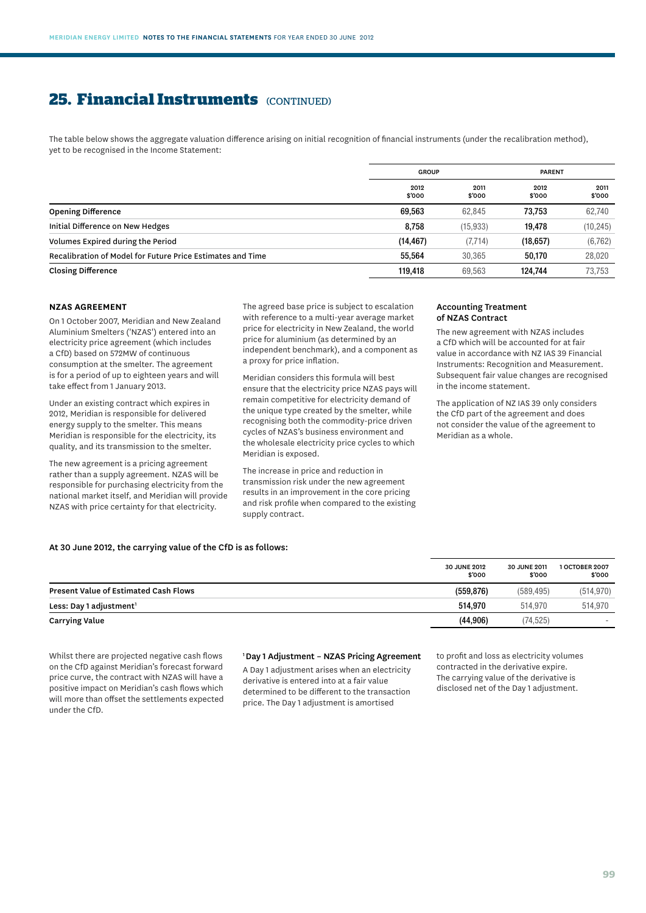The table below shows the aggregate valuation difference arising on initial recognition of financial instruments (under the recalibration method), yet to be recognised in the Income Statement:

|                                                            | <b>GROUP</b>   |                | <b>PARENT</b>  |                |
|------------------------------------------------------------|----------------|----------------|----------------|----------------|
|                                                            | 2012<br>\$'000 | 2011<br>\$'000 | 2012<br>\$'000 | 2011<br>\$'000 |
| <b>Opening Difference</b>                                  | 69,563         | 62.845         | 73,753         | 62,740         |
| Initial Difference on New Hedges                           | 8,758          | (15, 933)      | 19,478         | (10, 245)      |
| Volumes Expired during the Period                          | (14, 467)      | (7,714)        | (18, 657)      | (6, 762)       |
| Recalibration of Model for Future Price Estimates and Time | 55.564         | 30.365         | 50.170         | 28,020         |
| <b>Closing Difference</b>                                  | 119.418        | 69.563         | 124.744        | 73.753         |

## **NZAS Agreement**

On 1 October 2007, Meridian and New Zealand Aluminium Smelters ('NZAS') entered into an electricity price agreement (which includes a CfD) based on 572MW of continuous consumption at the smelter. The agreement is for a period of up to eighteen years and will take effect from 1 January 2013.

Under an existing contract which expires in 2012, Meridian is responsible for delivered energy supply to the smelter. This means Meridian is responsible for the electricity, its quality, and its transmission to the smelter.

The new agreement is a pricing agreement rather than a supply agreement. NZAS will be responsible for purchasing electricity from the national market itself, and Meridian will provide NZAS with price certainty for that electricity.

The agreed base price is subject to escalation with reference to a multi-year average market price for electricity in New Zealand, the world price for aluminium (as determined by an independent benchmark), and a component as a proxy for price inflation.

Meridian considers this formula will best ensure that the electricity price NZAS pays will remain competitive for electricity demand of the unique type created by the smelter, while recognising both the commodity-price driven cycles of NZAS's business environment and the wholesale electricity price cycles to which Meridian is exposed.

The increase in price and reduction in transmission risk under the new agreement results in an improvement in the core pricing and risk profile when compared to the existing supply contract.

## Accounting Treatment of NZAS Contract

The new agreement with NZAS includes a CfD which will be accounted for at fair value in accordance with NZ IAS 39 Financial Instruments: Recognition and Measurement. Subsequent fair value changes are recognised in the income statement.

The application of NZ IAS 39 only considers the CfD part of the agreement and does not consider the value of the agreement to Meridian as a whole.

### At 30 June 2012, the carrying value of the CfD is as follows:

|                                              | 30 JUNE 2012<br>\$'000 | 30 JUNE 2011<br>\$'000 | 1 OCTOBER 2007<br>\$'000 |
|----------------------------------------------|------------------------|------------------------|--------------------------|
| <b>Present Value of Estimated Cash Flows</b> | (559.876)              | (589.495)              | (514, 970)               |
| Less: Day 1 adjustment <sup>1</sup>          | 514.970                | 514.970                | 514.970                  |
| Carrying Value                               | (44, 906)              | (74, 525)              | -                        |

Whilst there are projected negative cash flows on the CfD against Meridian's forecast forward price curve, the contract with NZAS will have a positive impact on Meridian's cash flows which will more than offset the settlements expected under the CfD.

#### <sup>1</sup> Day 1 Adjustment - NZAS Pricing Agreement

A Day 1 adjustment arises when an electricity derivative is entered into at a fair value determined to be different to the transaction price. The Day 1 adjustment is amortised

to profit and loss as electricity volumes contracted in the derivative expire. The carrying value of the derivative is disclosed net of the Day 1 adjustment.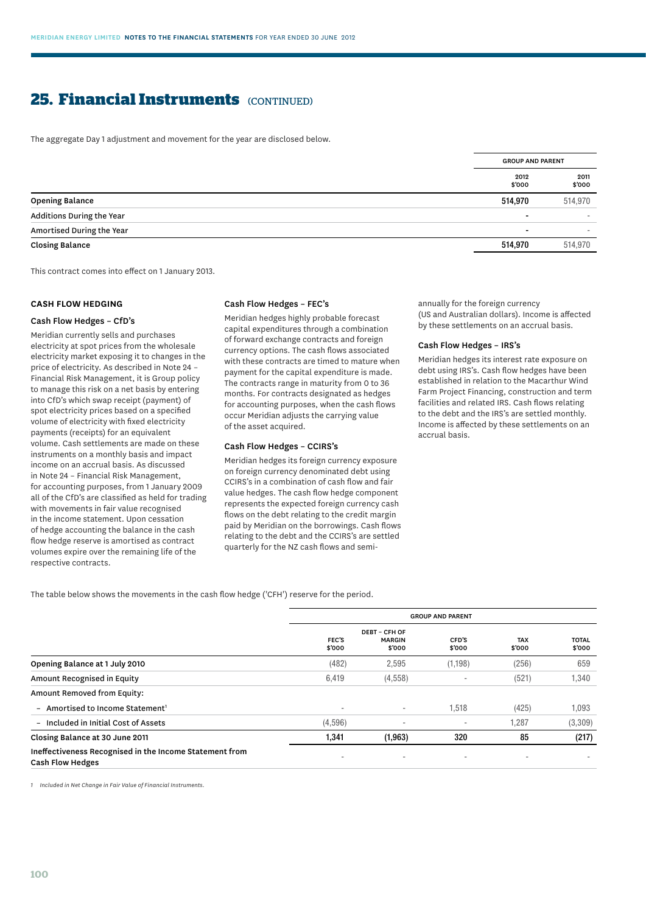The aggregate Day 1 adjustment and movement for the year are disclosed below.

|                           |                          | <b>GROUP AND PARENT</b>  |
|---------------------------|--------------------------|--------------------------|
|                           | 2012<br>\$'000           | 2011<br>\$'000           |
| <b>Opening Balance</b>    | 514,970                  | 514,970                  |
| Additions During the Year | $\overline{\phantom{a}}$ | $\overline{\phantom{a}}$ |
| Amortised During the Year | $\overline{\phantom{a}}$ | $\overline{\phantom{a}}$ |
| <b>Closing Balance</b>    | 514,970                  | 514,970                  |
|                           |                          |                          |

This contract comes into effect on 1 January 2013.

## **Cash Flow Hedging**

### Cash Flow Hedges – CfD's

Meridian currently sells and purchases electricity at spot prices from the wholesale electricity market exposing it to changes in the price of electricity. As described in Note 24 – Financial Risk Management, it is Group policy to manage this risk on a net basis by entering into CfD's which swap receipt (payment) of spot electricity prices based on a specified volume of electricity with fixed electricity payments (receipts) for an equivalent volume. Cash settlements are made on these instruments on a monthly basis and impact income on an accrual basis. As discussed in Note 24 – Financial Risk Management, for accounting purposes, from 1 January 2009 all of the CfD's are classified as held for trading with movements in fair value recognised in the income statement. Upon cessation of hedge accounting the balance in the cash flow hedge reserve is amortised as contract volumes expire over the remaining life of the respective contracts.

## Cash Flow Hedges – FEC's

Meridian hedges highly probable forecast capital expenditures through a combination of forward exchange contracts and foreign currency options. The cash flows associated with these contracts are timed to mature when payment for the capital expenditure is made. The contracts range in maturity from 0 to 36 months. For contracts designated as hedges for accounting purposes, when the cash flows occur Meridian adjusts the carrying value of the asset acquired.

### Cash Flow Hedges – CCIRS's

Meridian hedges its foreign currency exposure on foreign currency denominated debt using CCIRS's in a combination of cash flow and fair value hedges. The cash flow hedge component represents the expected foreign currency cash flows on the debt relating to the credit margin paid by Meridian on the borrowings. Cash flows relating to the debt and the CCIRS's are settled quarterly for the NZ cash flows and semiannually for the foreign currency (US and Australian dollars). Income is affected by these settlements on an accrual basis.

## Cash Flow Hedges – IRS's

Meridian hedges its interest rate exposure on debt using IRS's. Cash flow hedges have been established in relation to the Macarthur Wind Farm Project Financing, construction and term facilities and related IRS. Cash flows relating to the debt and the IRS's are settled monthly. Income is affected by these settlements on an accrual basis.

The table below shows the movements in the cash flow hedge ('CFH') reserve for the period.

|                                                                                    | <b>GROUP AND PARENT</b>  |                                                 |                          |                      |                        |  |  |  |
|------------------------------------------------------------------------------------|--------------------------|-------------------------------------------------|--------------------------|----------------------|------------------------|--|--|--|
|                                                                                    | <b>FEC'S</b><br>\$'000   | <b>DEBT - CFH OF</b><br><b>MARGIN</b><br>\$'000 | CFD'S<br>\$'000          | <b>TAX</b><br>\$'000 | <b>TOTAL</b><br>\$'000 |  |  |  |
| Opening Balance at 1 July 2010                                                     | (482)                    | 2,595                                           | (1, 198)                 | (256)                | 659                    |  |  |  |
| Amount Recognised in Equity                                                        | 6,419                    | (4,558)                                         | $\overline{\phantom{a}}$ | (521)                | 1,340                  |  |  |  |
| Amount Removed from Equity:                                                        |                          |                                                 |                          |                      |                        |  |  |  |
| - Amortised to Income Statement <sup>1</sup>                                       | $\overline{\phantom{a}}$ | $\overline{\phantom{a}}$                        | 1,518                    | (425)                | 1,093                  |  |  |  |
| - Included in Initial Cost of Assets                                               | (4,596)                  | $\overline{\phantom{a}}$                        | $\overline{\phantom{a}}$ | 1,287                | (3,309)                |  |  |  |
| Closing Balance at 30 June 2011                                                    | 1,341                    | (1, 963)                                        | 320                      | 85                   | (217)                  |  |  |  |
| Ineffectiveness Recognised in the Income Statement from<br><b>Cash Flow Hedges</b> |                          | $\overline{\phantom{a}}$                        | $\overline{\phantom{a}}$ |                      |                        |  |  |  |

*1 Included in Net Change in Fair Value of Financial Instruments.*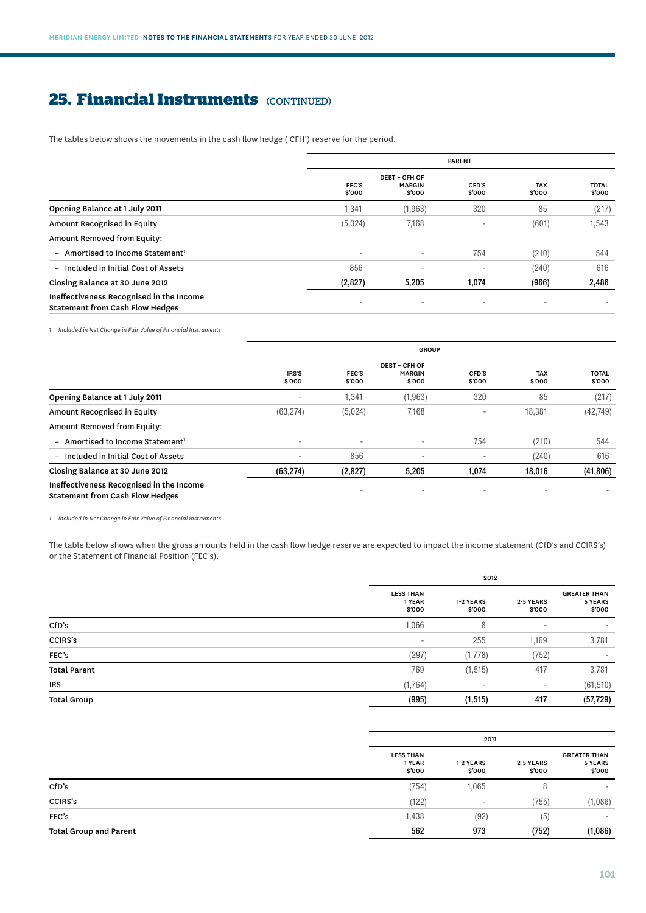The tables below shows the movements in the cash flow hedge ('CFH') reserve for the period.

|                                                                                    | <b>PARENT</b>            |                                                 |                          |                      |                        |  |  |
|------------------------------------------------------------------------------------|--------------------------|-------------------------------------------------|--------------------------|----------------------|------------------------|--|--|
|                                                                                    | FEC'S<br>\$'000          | <b>DEBT - CFH OF</b><br><b>MARGIN</b><br>\$'000 | CFD'S<br>\$'000          | <b>TAX</b><br>\$'000 | <b>TOTAL</b><br>\$'000 |  |  |
| Opening Balance at 1 July 2011                                                     | 1,341                    | (1, 963)                                        | 320                      | 85                   | (217)                  |  |  |
| Amount Recognised in Equity                                                        | (5,024)                  | 7,168                                           | $\overline{\phantom{a}}$ | (601)                | 1,543                  |  |  |
| Amount Removed from Equity:                                                        |                          |                                                 |                          |                      |                        |  |  |
| - Amortised to Income Statement <sup>1</sup>                                       | $\overline{\phantom{a}}$ | $\sim$                                          | 754                      | (210)                | 544                    |  |  |
| - Included in Initial Cost of Assets                                               | 856                      | $\sim$                                          | $\overline{\phantom{a}}$ | (240)                | 616                    |  |  |
| Closing Balance at 30 June 2012                                                    | (2,827)                  | 5,205                                           | 1,074                    | (966)                | 2,486                  |  |  |
| Ineffectiveness Recognised in the Income<br><b>Statement from Cash Flow Hedges</b> |                          |                                                 |                          |                      |                        |  |  |

*1 Included in Net Change in Fair Value of Financial Instruments.*

|                                                                                    | <b>GROUP</b>             |                          |                                                 |                          |                      |                        |  |
|------------------------------------------------------------------------------------|--------------------------|--------------------------|-------------------------------------------------|--------------------------|----------------------|------------------------|--|
|                                                                                    | IRS'S<br>\$'000          | FEC'S<br>\$'000          | <b>DEBT - CFH OF</b><br><b>MARGIN</b><br>\$'000 | CFD'S<br>\$'000          | <b>TAX</b><br>\$'000 | <b>TOTAL</b><br>\$'000 |  |
| Opening Balance at 1 July 2011                                                     | $\overline{\phantom{a}}$ | 1,341                    | (1,963)                                         | 320                      | 85                   | (217)                  |  |
| Amount Recognised in Equity                                                        | (63, 274)                | (5,024)                  | 7,168                                           | $\overline{\phantom{a}}$ | 18,381               | (42,749)               |  |
| Amount Removed from Equity:                                                        |                          |                          |                                                 |                          |                      |                        |  |
| - Amortised to Income Statement <sup>1</sup>                                       | $\overline{\phantom{a}}$ | $\overline{\phantom{a}}$ | $\overline{\phantom{a}}$                        | 754                      | (210)                | 544                    |  |
| - Included in Initial Cost of Assets                                               | $\overline{\phantom{a}}$ | 856                      | $\overline{\phantom{a}}$                        | $\overline{\phantom{a}}$ | (240)                | 616                    |  |
| Closing Balance at 30 June 2012                                                    | (63, 274)                | (2,827)                  | 5,205                                           | 1,074                    | 18,016               | (41, 806)              |  |
| Ineffectiveness Recognised in the Income<br><b>Statement from Cash Flow Hedges</b> |                          | $\blacksquare$           | $\overline{\phantom{a}}$                        | $\overline{\phantom{a}}$ |                      |                        |  |

*1 Included in Net Change in Fair Value of Financial Instruments.*

The table below shows when the gross amounts held in the cash flow hedge reserve are expected to impact the income statement (CfD's and CCIRS's) or the Statement of Financial Position (FEC's).

|                     |                                      | 2012                     |                          |                                          |  |
|---------------------|--------------------------------------|--------------------------|--------------------------|------------------------------------------|--|
|                     | <b>LESS THAN</b><br>1 YEAR<br>\$'000 | 1-2 YEARS<br>\$'000      | 2-5 YEARS<br>\$'000      | <b>GREATER THAN</b><br>5 YEARS<br>\$'000 |  |
| CfD's               | 1,066                                | 8                        | $\overline{\phantom{a}}$ | -                                        |  |
| CCIRS's             | $\overline{\phantom{a}}$             | 255                      | 1,169                    | 3,781                                    |  |
| FEC's               | (297)                                | (1,778)                  | (752)                    | $\overline{\phantom{a}}$                 |  |
| <b>Total Parent</b> | 769                                  | (1, 515)                 | 417                      | 3,781                                    |  |
| <b>IRS</b>          | (1,764)                              | $\overline{\phantom{a}}$ | $\overline{\phantom{a}}$ | (61, 510)                                |  |
| <b>Total Group</b>  | (995)                                | (1, 515)                 | 417                      | (57, 729)                                |  |

|                               |                                      | 2011                     |                     |                                                 |  |
|-------------------------------|--------------------------------------|--------------------------|---------------------|-------------------------------------------------|--|
|                               | <b>LESS THAN</b><br>1 YEAR<br>\$'000 | 1-2 YEARS<br>\$'000      | 2-5 YEARS<br>\$'000 | <b>GREATER THAN</b><br><b>5 YEARS</b><br>\$'000 |  |
| CfD's                         | (754)                                | 1,065                    | 8                   |                                                 |  |
| <b>CCIRS's</b>                | (122)                                | $\overline{\phantom{a}}$ | (755)               | (1,086)                                         |  |
| FEC's                         | 1,438                                | (92)                     | (5)                 | $\overline{\phantom{a}}$                        |  |
| <b>Total Group and Parent</b> | 562                                  | 973                      | (752)               | (1,086)                                         |  |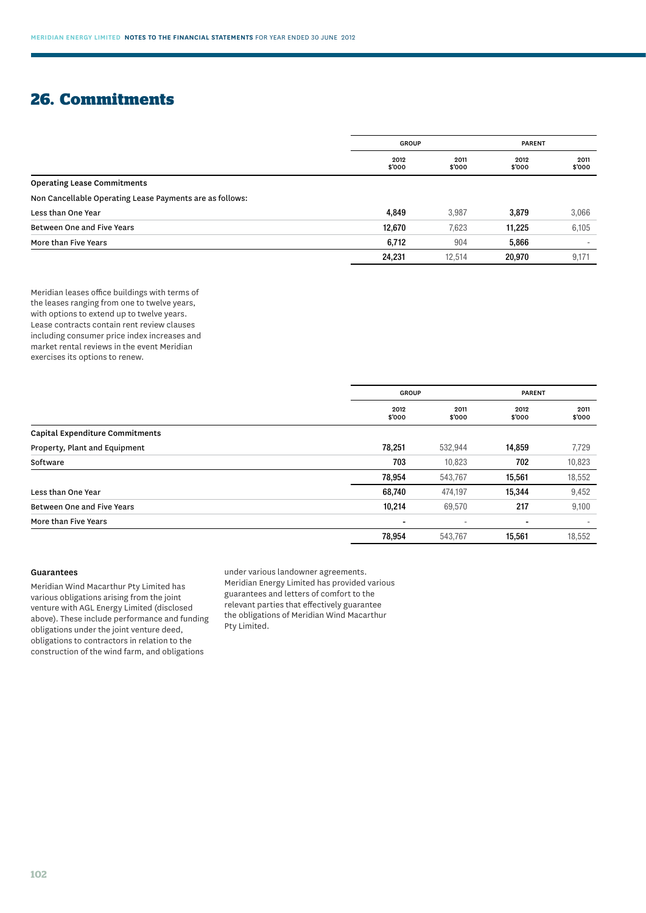## **26. Commitments**

|                                                          |                | <b>GROUP</b>   |                | <b>PARENT</b>  |  |
|----------------------------------------------------------|----------------|----------------|----------------|----------------|--|
|                                                          | 2012<br>\$'000 | 2011<br>\$'000 | 2012<br>\$'000 | 2011<br>\$'000 |  |
| <b>Operating Lease Commitments</b>                       |                |                |                |                |  |
| Non Cancellable Operating Lease Payments are as follows: |                |                |                |                |  |
| Less than One Year                                       | 4,849          | 3,987          | 3,879          | 3,066          |  |
| Between One and Five Years                               | 12,670         | 7,623          | 11,225         | 6,105          |  |
| More than Five Years                                     | 6,712          | 904            | 5,866          |                |  |
|                                                          | 24,231         | 12.514         | 20,970         | 9,171          |  |
|                                                          |                |                |                |                |  |

Meridian leases office buildings with terms of the leases ranging from one to twelve years, with options to extend up to twelve years. Lease contracts contain rent review clauses including consumer price index increases and market rental reviews in the event Meridian exercises its options to renew.

| <b>GROUP</b>   |                          | <b>PARENT</b>  |                          |
|----------------|--------------------------|----------------|--------------------------|
| 2012<br>\$'000 | 2011<br>\$'000           | 2012<br>\$'000 | 2011<br>\$'000           |
|                |                          |                |                          |
| 78,251         | 532,944                  | 14,859         | 7,729                    |
| 703            | 10,823                   | 702            | 10,823                   |
| 78,954         | 543,767                  | 15,561         | 18,552                   |
| 68,740         | 474,197                  | 15,344         | 9,452                    |
| 10,214         | 69,570                   | 217            | 9,100                    |
| $\blacksquare$ | $\overline{\phantom{a}}$ | $\blacksquare$ | $\overline{\phantom{a}}$ |
| 78,954         | 543,767                  | 15,561         | 18,552                   |
|                |                          |                |                          |

## Guarantees

Meridian Wind Macarthur Pty Limited has various obligations arising from the joint venture with AGL Energy Limited (disclosed above). These include performance and funding obligations under the joint venture deed, obligations to contractors in relation to the construction of the wind farm, and obligations

under various landowner agreements. Meridian Energy Limited has provided various guarantees and letters of comfort to the relevant parties that effectively guarantee the obligations of Meridian Wind Macarthur Pty Limited.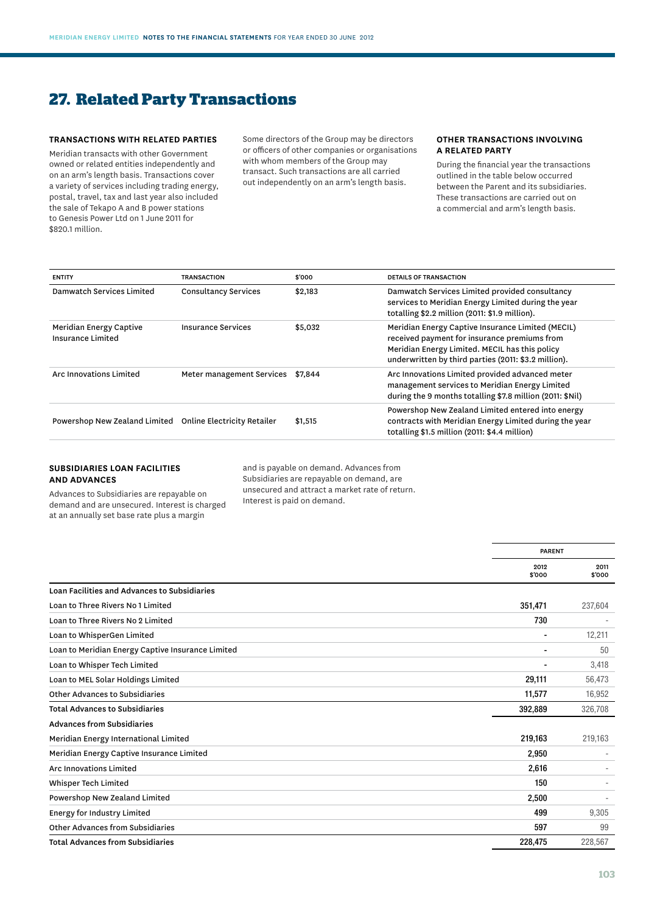## **27. Related Party Transactions**

## **Transactions with Related Parties**

Meridian transacts with other Government owned or related entities independently and on an arm's length basis. Transactions cover a variety of services including trading energy, postal, travel, tax and last year also included the sale of Tekapo A and B power stations to Genesis Power Ltd on 1 June 2011 for \$820.1 million.

Some directors of the Group may be directors or officers of other companies or organisations with whom members of the Group may transact. Such transactions are all carried out independently on an arm's length basis.

## **Other Transactions involving a Related Party**

During the financial year the transactions outlined in the table below occurred between the Parent and its subsidiaries. These transactions are carried out on a commercial and arm's length basis.

| <b>ENTITY</b>                                | <b>TRANSACTION</b>          | \$'000  | <b>DETAILS OF TRANSACTION</b>                                                                                                                                                                               |
|----------------------------------------------|-----------------------------|---------|-------------------------------------------------------------------------------------------------------------------------------------------------------------------------------------------------------------|
| Damwatch Services Limited                    | <b>Consultancy Services</b> | \$2,183 | Damwatch Services Limited provided consultancy<br>services to Meridian Energy Limited during the year<br>totalling \$2.2 million (2011: \$1.9 million).                                                     |
| Meridian Energy Captive<br>Insurance Limited | Insurance Services          | \$5,032 | Meridian Energy Captive Insurance Limited (MECIL)<br>received payment for insurance premiums from<br>Meridian Energy Limited. MECIL has this policy<br>underwritten by third parties (2011: \$3.2 million). |
| <b>Arc Innovations Limited</b>               | Meter management Services   | \$7.844 | Arc Innovations Limited provided advanced meter<br>management services to Meridian Energy Limited<br>during the 9 months totalling \$7.8 million (2011: \$Nil)                                              |
| Powershop New Zealand Limited                | Online Electricity Retailer | \$1,515 | Powershop New Zealand Limited entered into energy<br>contracts with Meridian Energy Limited during the year<br>totalling \$1.5 million (2011: \$4.4 million)                                                |

## **Subsidiaries Loan Facilities and Advances**

Advances to Subsidiaries are repayable on demand and are unsecured. Interest is charged at an annually set base rate plus a margin

and is payable on demand. Advances from Subsidiaries are repayable on demand, are unsecured and attract a market rate of return. Interest is paid on demand.

|                                                   | <b>PARENT</b>  |                |  |
|---------------------------------------------------|----------------|----------------|--|
|                                                   | 2012<br>\$'000 | 2011<br>\$'000 |  |
| Loan Facilities and Advances to Subsidiaries      |                |                |  |
| Loan to Three Rivers No 1 Limited                 | 351,471        | 237,604        |  |
| Loan to Three Rivers No 2 Limited                 | 730            |                |  |
| Loan to WhisperGen Limited                        |                | 12,211         |  |
| Loan to Meridian Energy Captive Insurance Limited | ٠              | 50             |  |
| Loan to Whisper Tech Limited                      |                | 3,418          |  |
| Loan to MEL Solar Holdings Limited                | 29,111         | 56,473         |  |
| <b>Other Advances to Subsidiaries</b>             | 11,577         | 16,952         |  |
| <b>Total Advances to Subsidiaries</b>             | 392,889        | 326,708        |  |
| <b>Advances from Subsidiaries</b>                 |                |                |  |
| Meridian Energy International Limited             | 219,163        | 219,163        |  |
| Meridian Energy Captive Insurance Limited         | 2,950          |                |  |
| <b>Arc Innovations Limited</b>                    | 2,616          |                |  |
| Whisper Tech Limited                              | 150            |                |  |
| Powershop New Zealand Limited                     | 2,500          |                |  |
| Energy for Industry Limited                       | 499            | 9,305          |  |
| Other Advances from Subsidiaries                  | 597            | 99             |  |
| <b>Total Advances from Subsidiaries</b>           | 228,475        | 228,567        |  |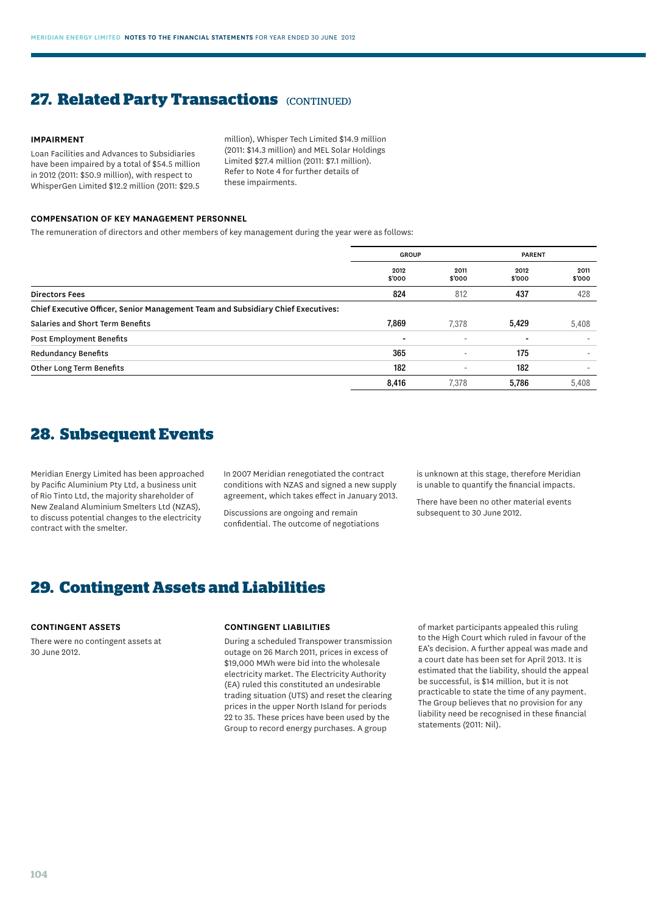## **27. Related Party Transactions (CONTINUED)**

## **Impairment**

Loan Facilities and Advances to Subsidiaries have been impaired by a total of \$54.5 million in 2012 (2011: \$50.9 million), with respect to WhisperGen Limited \$12.2 million (2011: \$29.5 million), Whisper Tech Limited \$14.9 million (2011: \$14.3 million) and MEL Solar Holdings Limited \$27.4 million (2011: \$7.1 million). Refer to Note 4 for further details of these impairments.

## **Compensation of Key Management Personnel**

The remuneration of directors and other members of key management during the year were as follows:

|                                                                                  | <b>GROUP</b>             |                          |                | <b>PARENT</b>  |  |
|----------------------------------------------------------------------------------|--------------------------|--------------------------|----------------|----------------|--|
|                                                                                  | 2012<br>\$'000           | 2011<br>\$'000           | 2012<br>\$'000 | 2011<br>\$'000 |  |
| <b>Directors Fees</b>                                                            | 824                      | 812                      | 437            | 428            |  |
| Chief Executive Officer, Senior Management Team and Subsidiary Chief Executives: |                          |                          |                |                |  |
| Salaries and Short Term Benefits                                                 | 7,869                    | 7,378                    | 5,429          | 5,408          |  |
| Post Employment Benefits                                                         | $\overline{\phantom{a}}$ |                          |                |                |  |
| <b>Redundancy Benefits</b>                                                       | 365                      | $\overline{\phantom{a}}$ | 175            | $\sim$         |  |
| Other Long Term Benefits                                                         | 182                      | $\overline{\phantom{a}}$ | 182            |                |  |
|                                                                                  | 8,416                    | 7,378                    | 5,786          | 5,408          |  |
|                                                                                  |                          |                          |                |                |  |

## **28. Subsequent Events**

Meridian Energy Limited has been approached by Pacific Aluminium Pty Ltd, a business unit of Rio Tinto Ltd, the majority shareholder of New Zealand Aluminium Smelters Ltd (NZAS), to discuss potential changes to the electricity contract with the smelter.

In 2007 Meridian renegotiated the contract conditions with NZAS and signed a new supply agreement, which takes effect in January 2013.

Discussions are ongoing and remain confidential. The outcome of negotiations is unknown at this stage, therefore Meridian is unable to quantify the financial impacts.

There have been no other material events subsequent to 30 June 2012.

## **29. Contingent Assets and Liabilities**

## **Contingent Assets**

There were no contingent assets at 30 June 2012.

## **Contingent Liabilities**

During a scheduled Transpower transmission outage on 26 March 2011, prices in excess of \$19,000 MWh were bid into the wholesale electricity market. The Electricity Authority (EA) ruled this constituted an undesirable trading situation (UTS) and reset the clearing prices in the upper North Island for periods 22 to 35. These prices have been used by the Group to record energy purchases. A group

of market participants appealed this ruling to the High Court which ruled in favour of the EA's decision. A further appeal was made and a court date has been set for April 2013. It is estimated that the liability, should the appeal be successful, is \$14 million, but it is not practicable to state the time of any payment. The Group believes that no provision for any liability need be recognised in these financial statements (2011: Nil).